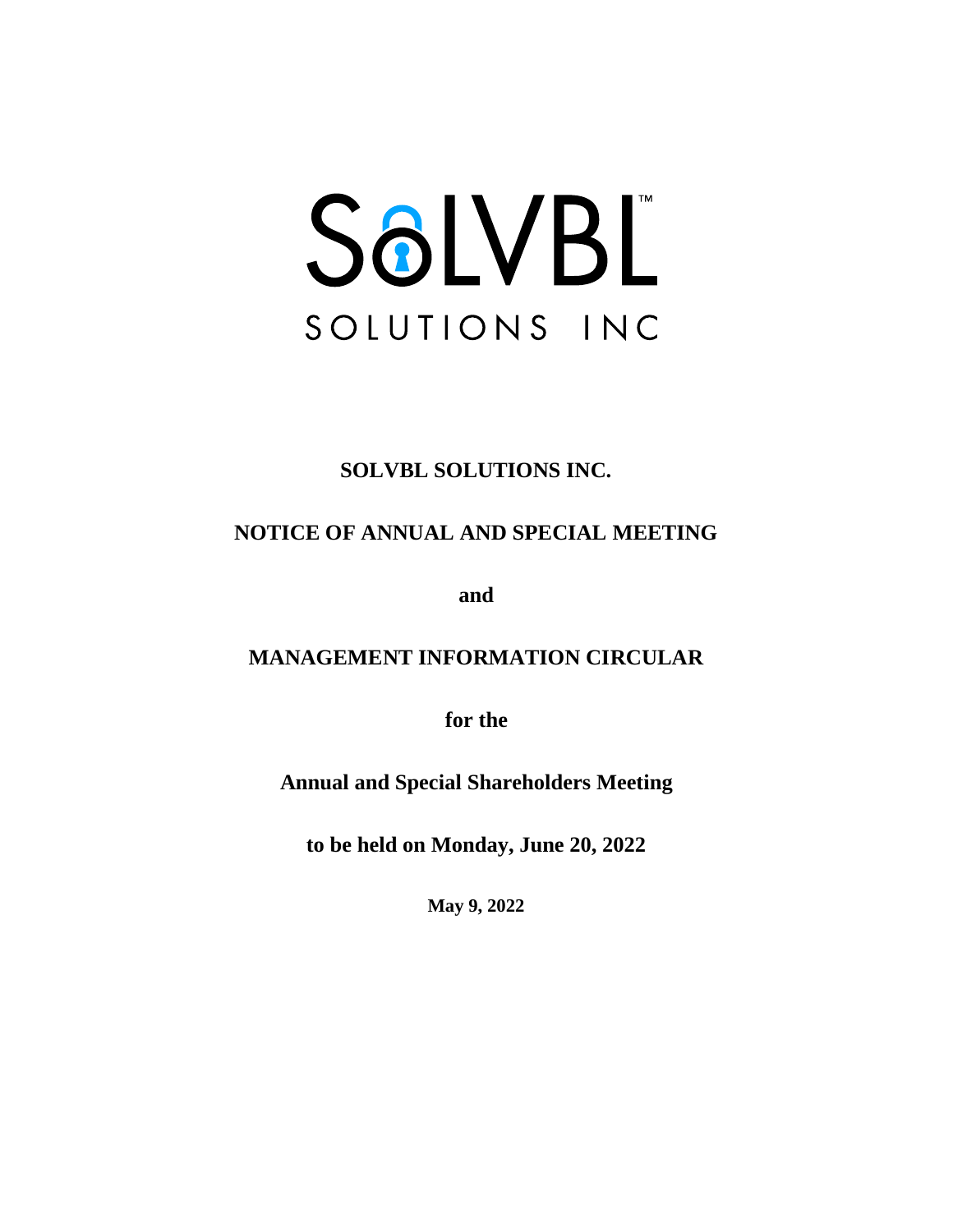# SOLVBL SOLUTIONS INC

# **SOLVBL SOLUTIONS INC.**

# **NOTICE OF ANNUAL AND SPECIAL MEETING**

**and**

# **MANAGEMENT INFORMATION CIRCULAR**

**for the**

**Annual and Special Shareholders Meeting**

**to be held on Monday, June 20, 2022**

**May 9, 2022**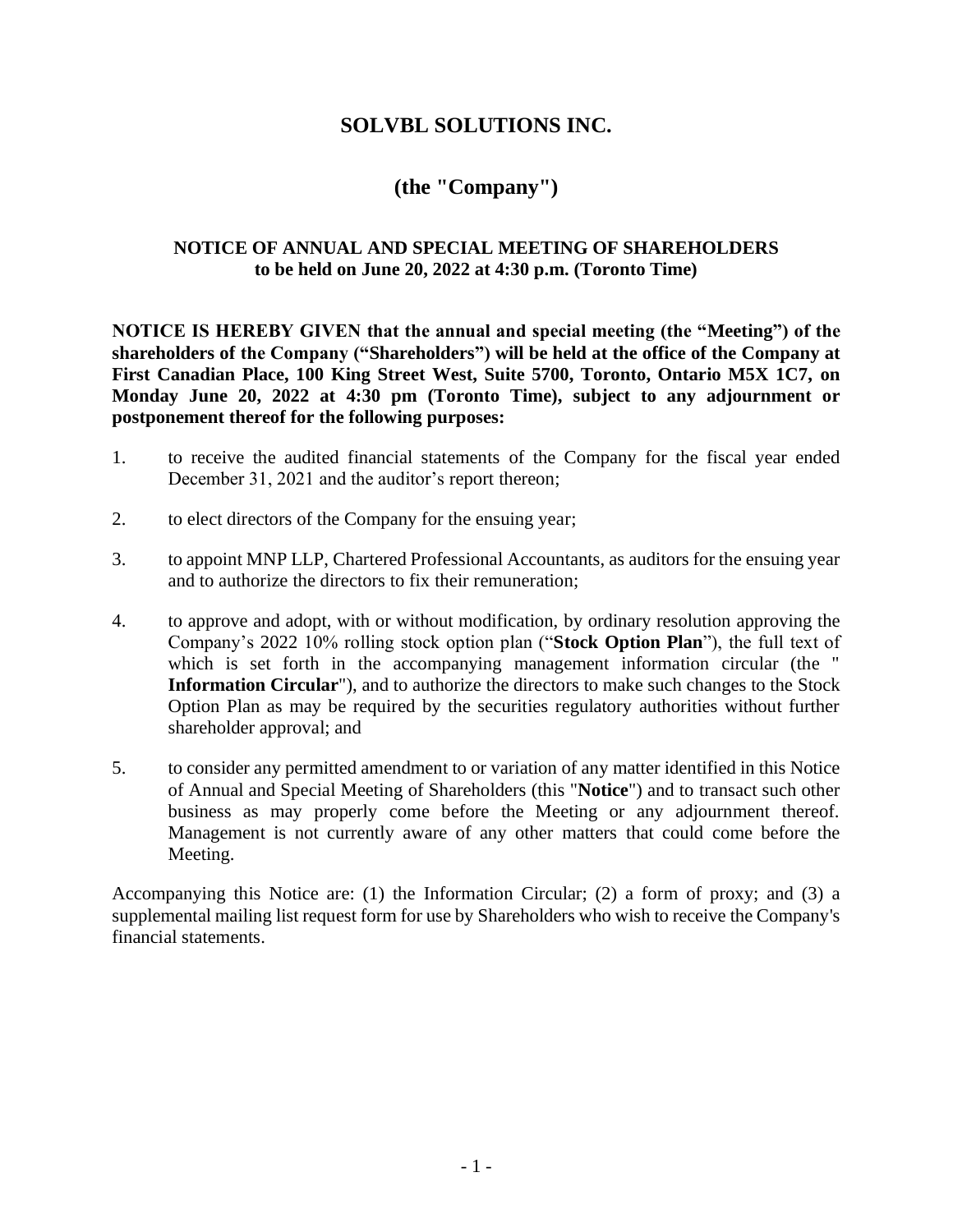## **SOLVBL SOLUTIONS INC.**

## **(the "Company")**

#### **NOTICE OF ANNUAL AND SPECIAL MEETING OF SHAREHOLDERS to be held on June 20, 2022 at 4:30 p.m. (Toronto Time)**

**NOTICE IS HEREBY GIVEN that the annual and special meeting (the "Meeting") of the shareholders of the Company ("Shareholders") will be held at the office of the Company at First Canadian Place, 100 King Street West, Suite 5700, Toronto, Ontario M5X 1C7, on Monday June 20, 2022 at 4:30 pm (Toronto Time), subject to any adjournment or postponement thereof for the following purposes:**

- 1. to receive the audited financial statements of the Company for the fiscal year ended December 31, 2021 and the auditor's report thereon;
- 2. to elect directors of the Company for the ensuing year;
- 3. to appoint MNP LLP, Chartered Professional Accountants, as auditors for the ensuing year and to authorize the directors to fix their remuneration;
- 4. to approve and adopt, with or without modification, by ordinary resolution approving the Company's 2022 10% rolling stock option plan ("**Stock Option Plan**"), the full text of which is set forth in the accompanying management information circular (the " **Information Circular**"), and to authorize the directors to make such changes to the Stock Option Plan as may be required by the securities regulatory authorities without further shareholder approval; and
- 5. to consider any permitted amendment to or variation of any matter identified in this Notice of Annual and Special Meeting of Shareholders (this "**Notice**") and to transact such other business as may properly come before the Meeting or any adjournment thereof. Management is not currently aware of any other matters that could come before the Meeting.

Accompanying this Notice are: (1) the Information Circular; (2) a form of proxy; and (3) a supplemental mailing list request form for use by Shareholders who wish to receive the Company's financial statements.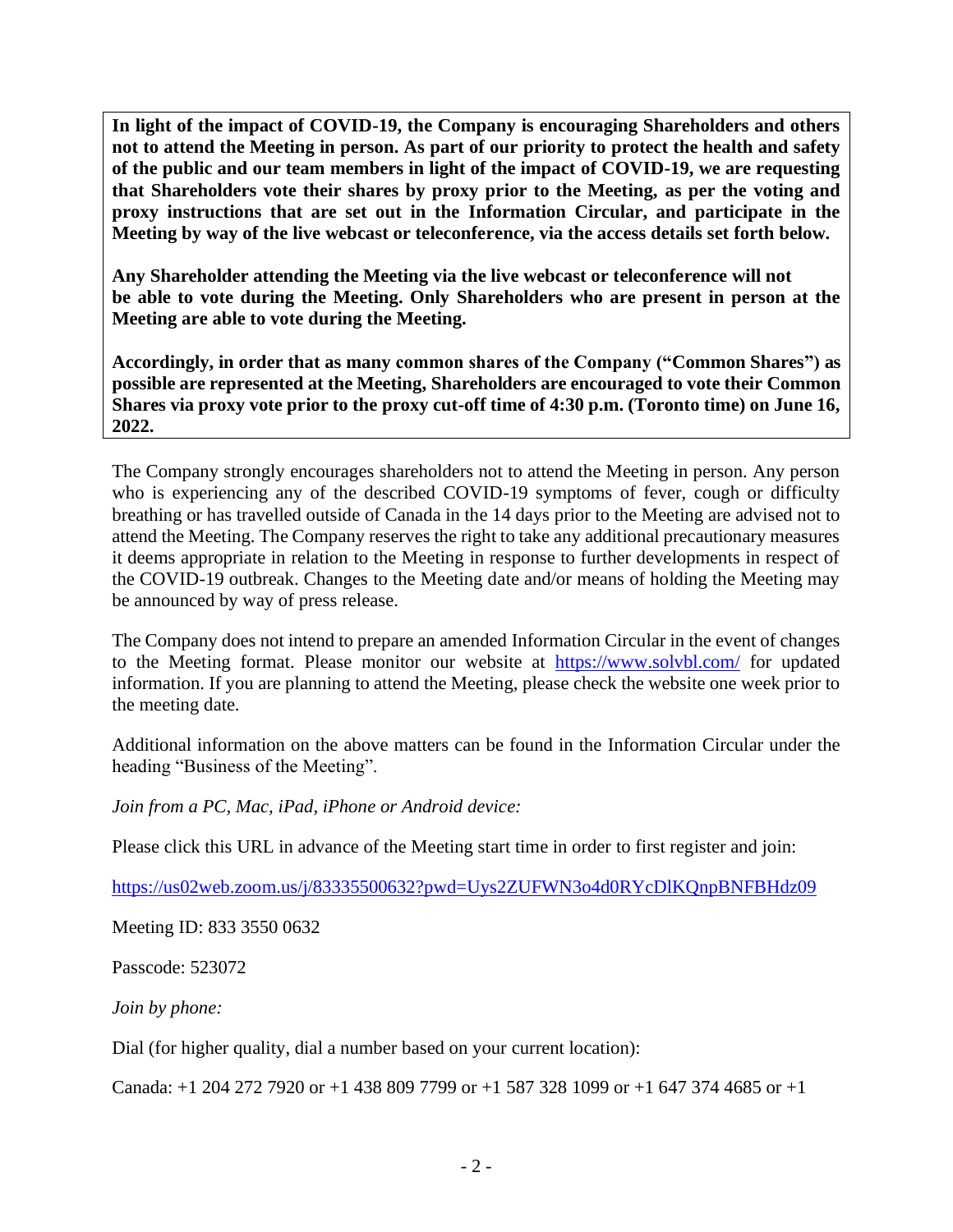**In light of the impact of COVID-19, the Company is encouraging Shareholders and others not to attend the Meeting in person. As part of our priority to protect the health and safety of the public and our team members in light of the impact of COVID-19, we are requesting that Shareholders vote their shares by proxy prior to the Meeting, as per the voting and proxy instructions that are set out in the Information Circular, and participate in the Meeting by way of the live webcast or teleconference, via the access details set forth below.** 

**Any Shareholder attending the Meeting via the live webcast or teleconference will not be able to vote during the Meeting. Only Shareholders who are present in person at the Meeting are able to vote during the Meeting.** 

**Accordingly, in order that as many common shares of the Company ("Common Shares") as possible are represented at the Meeting, Shareholders are encouraged to vote their Common Shares via proxy vote prior to the proxy cut-off time of 4:30 p.m. (Toronto time) on June 16, 2022.**

The Company strongly encourages shareholders not to attend the Meeting in person. Any person who is experiencing any of the described COVID-19 symptoms of fever, cough or difficulty breathing or has travelled outside of Canada in the 14 days prior to the Meeting are advised not to attend the Meeting. The Company reserves the right to take any additional precautionary measures it deems appropriate in relation to the Meeting in response to further developments in respect of the COVID-19 outbreak. Changes to the Meeting date and/or means of holding the Meeting may be announced by way of press release.

The Company does not intend to prepare an amended Information Circular in the event of changes to the Meeting format. Please monitor our website at <https://www.solvbl.com/> for updated information. If you are planning to attend the Meeting, please check the website one week prior to the meeting date.

Additional information on the above matters can be found in the Information Circular under the heading "Business of the Meeting".

*Join from a PC, Mac, iPad, iPhone or Android device:*

Please click this URL in advance of the Meeting start time in order to first register and join:

<https://us02web.zoom.us/j/83335500632?pwd=Uys2ZUFWN3o4d0RYcDlKQnpBNFBHdz09>

Meeting ID: 833 3550 0632

Passcode: 523072

*Join by phone:*

Dial (for higher quality, dial a number based on your current location):

Canada: +1 204 272 7920 or +1 438 809 7799 or +1 587 328 1099 or +1 647 374 4685 or +1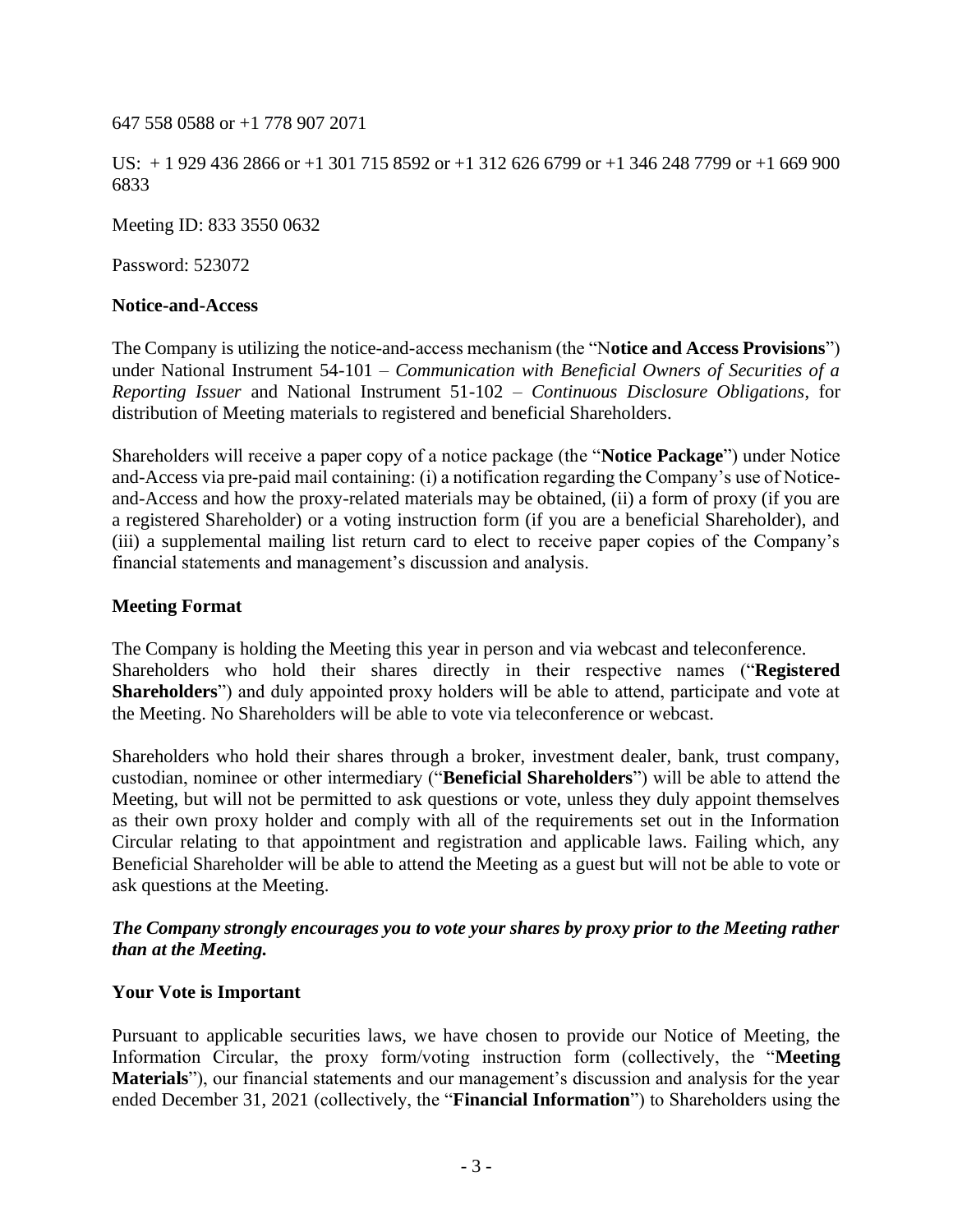647 558 0588 or +1 778 907 2071

US: + 1 929 436 2866 or +1 301 715 8592 or +1 312 626 6799 or +1 346 248 7799 or +1 669 900 6833

Meeting ID: 833 3550 0632

Password: 523072

#### **Notice-and-Access**

The Company is utilizing the notice-and-access mechanism (the "N**otice and Access Provisions**") under National Instrument 54-101 – *Communication with Beneficial Owners of Securities of a Reporting Issuer* and National Instrument 51-102 – *Continuous Disclosure Obligations*, for distribution of Meeting materials to registered and beneficial Shareholders.

Shareholders will receive a paper copy of a notice package (the "**Notice Package**") under Notice and-Access via pre-paid mail containing: (i) a notification regarding the Company's use of Noticeand-Access and how the proxy-related materials may be obtained, (ii) a form of proxy (if you are a registered Shareholder) or a voting instruction form (if you are a beneficial Shareholder), and (iii) a supplemental mailing list return card to elect to receive paper copies of the Company's financial statements and management's discussion and analysis.

#### **Meeting Format**

The Company is holding the Meeting this year in person and via webcast and teleconference. Shareholders who hold their shares directly in their respective names ("**Registered Shareholders**") and duly appointed proxy holders will be able to attend, participate and vote at the Meeting. No Shareholders will be able to vote via teleconference or webcast.

Shareholders who hold their shares through a broker, investment dealer, bank, trust company, custodian, nominee or other intermediary ("**Beneficial Shareholders**") will be able to attend the Meeting, but will not be permitted to ask questions or vote, unless they duly appoint themselves as their own proxy holder and comply with all of the requirements set out in the Information Circular relating to that appointment and registration and applicable laws. Failing which, any Beneficial Shareholder will be able to attend the Meeting as a guest but will not be able to vote or ask questions at the Meeting.

#### *The Company strongly encourages you to vote your shares by proxy prior to the Meeting rather than at the Meeting.*

#### **Your Vote is Important**

Pursuant to applicable securities laws, we have chosen to provide our Notice of Meeting, the Information Circular, the proxy form/voting instruction form (collectively, the "**Meeting Materials**"), our financial statements and our management's discussion and analysis for the year ended December 31, 2021 (collectively, the "**Financial Information**") to Shareholders using the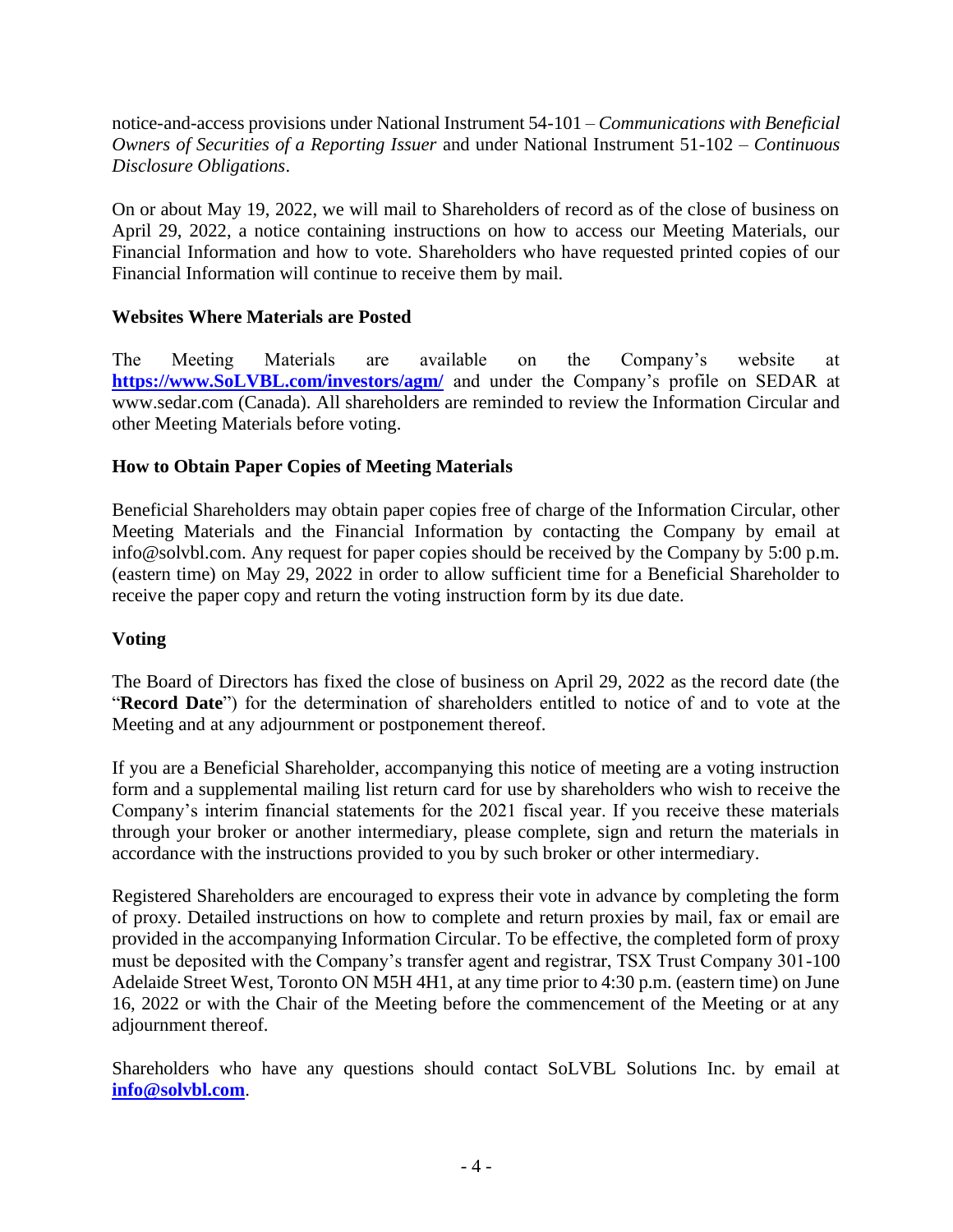notice-and-access provisions under National Instrument 54-101 – *Communications with Beneficial Owners of Securities of a Reporting Issuer* and under National Instrument 51-102 – *Continuous Disclosure Obligations*.

On or about May 19, 2022, we will mail to Shareholders of record as of the close of business on April 29, 2022, a notice containing instructions on how to access our Meeting Materials, our Financial Information and how to vote. Shareholders who have requested printed copies of our Financial Information will continue to receive them by mail.

## **Websites Where Materials are Posted**

The Meeting Materials are available on the Company's website at **[https://www.SoLVBL.com/investors/agm/](https://www.solvbl.com/investors/agm/)** and under the Company's profile on SEDAR at www.sedar.com (Canada). All shareholders are reminded to review the Information Circular and other Meeting Materials before voting.

## **How to Obtain Paper Copies of Meeting Materials**

Beneficial Shareholders may obtain paper copies free of charge of the Information Circular, other Meeting Materials and the Financial Information by contacting the Company by email at info@solvbl.com. Any request for paper copies should be received by the Company by 5:00 p.m. (eastern time) on May 29, 2022 in order to allow sufficient time for a Beneficial Shareholder to receive the paper copy and return the voting instruction form by its due date.

## **Voting**

The Board of Directors has fixed the close of business on April 29, 2022 as the record date (the "**Record Date**") for the determination of shareholders entitled to notice of and to vote at the Meeting and at any adjournment or postponement thereof.

If you are a Beneficial Shareholder, accompanying this notice of meeting are a voting instruction form and a supplemental mailing list return card for use by shareholders who wish to receive the Company's interim financial statements for the 2021 fiscal year. If you receive these materials through your broker or another intermediary, please complete, sign and return the materials in accordance with the instructions provided to you by such broker or other intermediary.

Registered Shareholders are encouraged to express their vote in advance by completing the form of proxy. Detailed instructions on how to complete and return proxies by mail, fax or email are provided in the accompanying Information Circular. To be effective, the completed form of proxy must be deposited with the Company's transfer agent and registrar, TSX Trust Company 301-100 Adelaide Street West, Toronto ON M5H 4H1, at any time prior to 4:30 p.m. (eastern time) on June 16, 2022 or with the Chair of the Meeting before the commencement of the Meeting or at any adjournment thereof.

Shareholders who have any questions should contact SoLVBL Solutions Inc. by email at **[info@solvbl.com](mailto:info@solvbl.com)**.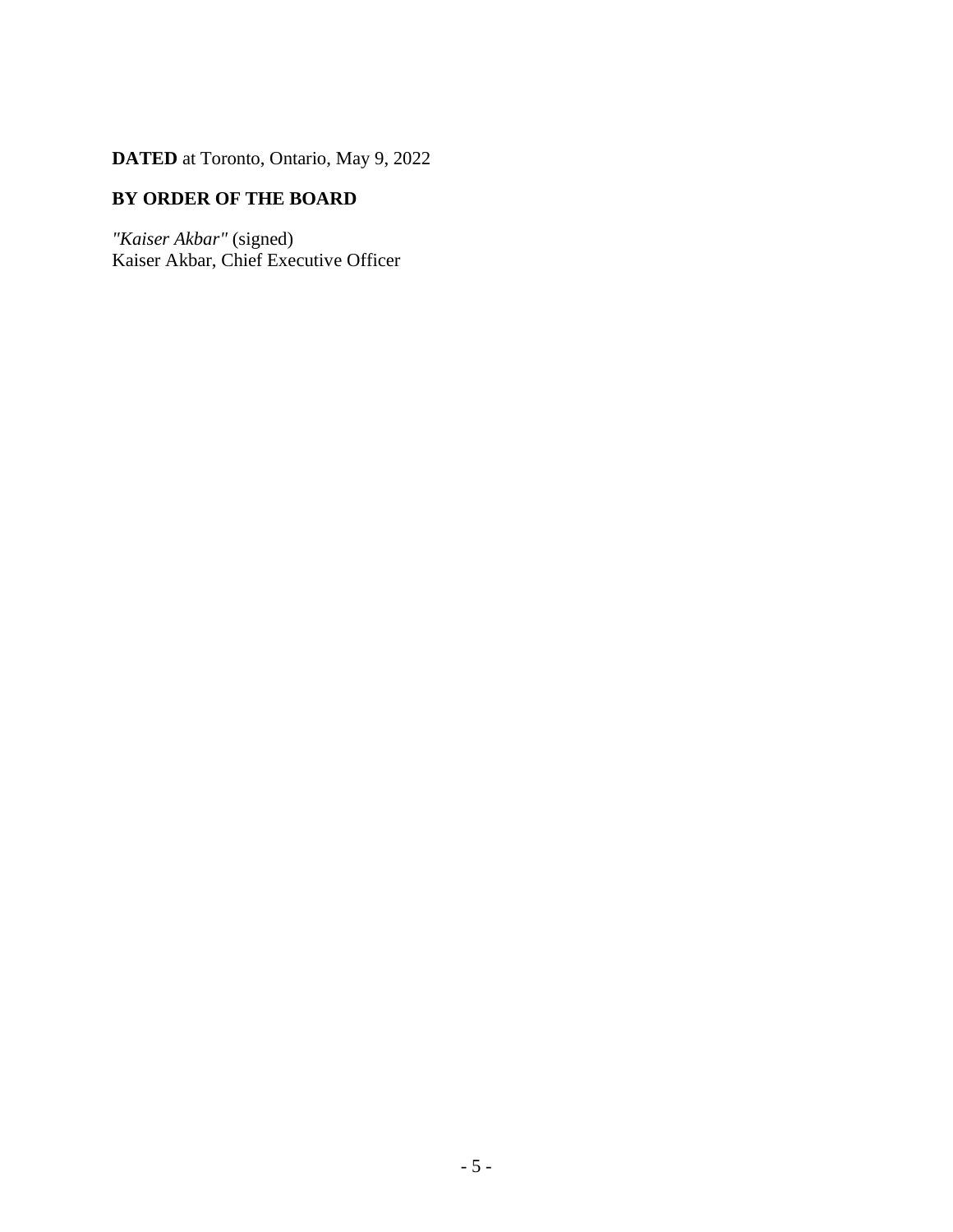**DATED** at Toronto, Ontario, May 9, 2022

## **BY ORDER OF THE BOARD**

*"Kaiser Akbar"* (signed) Kaiser Akbar, Chief Executive Officer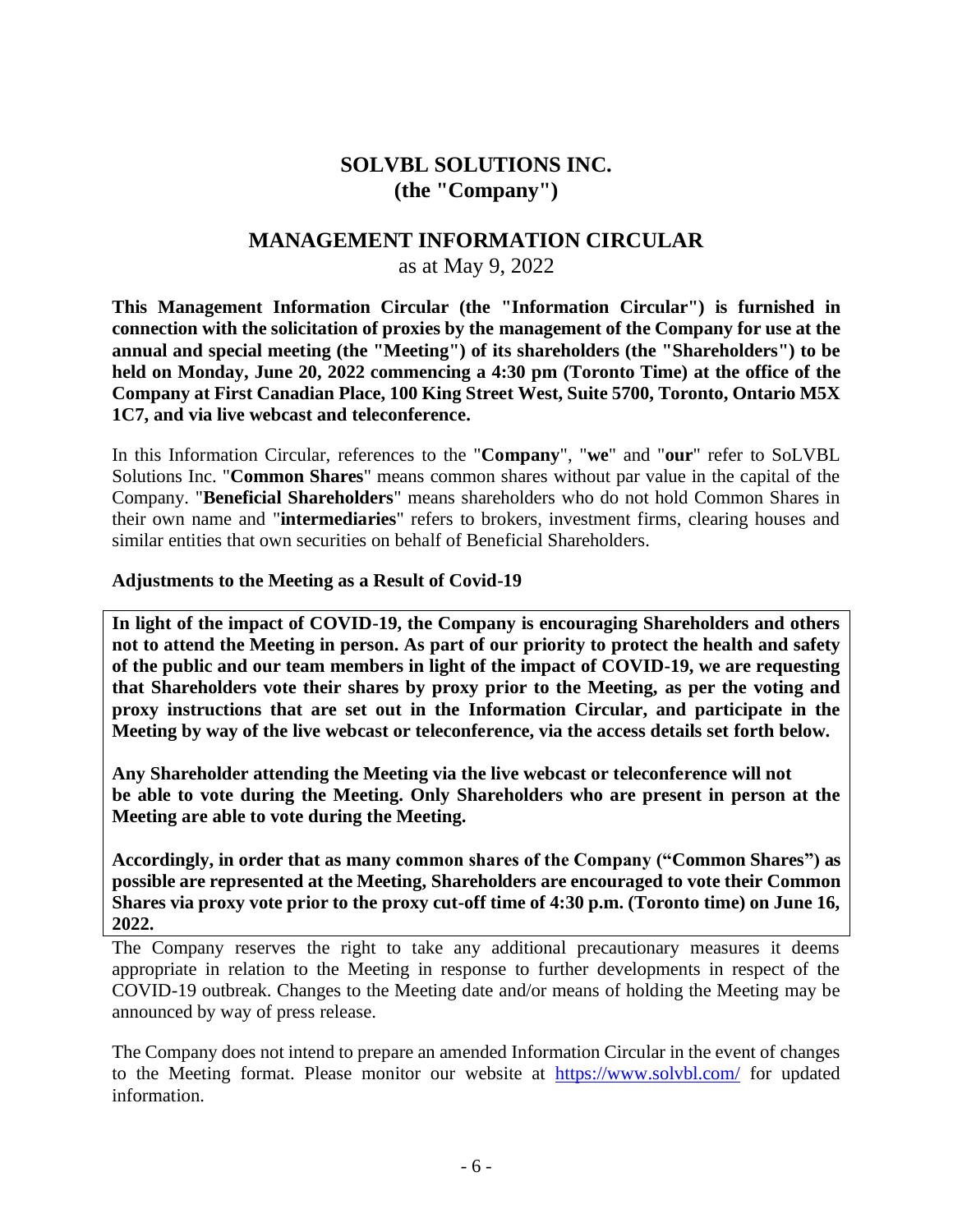## **SOLVBL SOLUTIONS INC. (the "Company")**

## **MANAGEMENT INFORMATION CIRCULAR**

#### as at May 9, 2022

**This Management Information Circular (the "Information Circular") is furnished in connection with the solicitation of proxies by the management of the Company for use at the annual and special meeting (the "Meeting") of its shareholders (the "Shareholders") to be held on Monday, June 20, 2022 commencing a 4:30 pm (Toronto Time) at the office of the Company at First Canadian Place, 100 King Street West, Suite 5700, Toronto, Ontario M5X 1C7, and via live webcast and teleconference.**

In this Information Circular, references to the "**Company**", "**we**" and "**our**" refer to SoLVBL Solutions Inc. "**Common Shares**" means common shares without par value in the capital of the Company. "**Beneficial Shareholders**" means shareholders who do not hold Common Shares in their own name and "**intermediaries**" refers to brokers, investment firms, clearing houses and similar entities that own securities on behalf of Beneficial Shareholders.

#### **Adjustments to the Meeting as a Result of Covid-19**

**In light of the impact of COVID-19, the Company is encouraging Shareholders and others not to attend the Meeting in person. As part of our priority to protect the health and safety of the public and our team members in light of the impact of COVID-19, we are requesting that Shareholders vote their shares by proxy prior to the Meeting, as per the voting and proxy instructions that are set out in the Information Circular, and participate in the Meeting by way of the live webcast or teleconference, via the access details set forth below.** 

**Any Shareholder attending the Meeting via the live webcast or teleconference will not be able to vote during the Meeting. Only Shareholders who are present in person at the Meeting are able to vote during the Meeting.** 

**Accordingly, in order that as many common shares of the Company ("Common Shares") as possible are represented at the Meeting, Shareholders are encouraged to vote their Common Shares via proxy vote prior to the proxy cut-off time of 4:30 p.m. (Toronto time) on June 16, 2022.**

The Company reserves the right to take any additional precautionary measures it deems appropriate in relation to the Meeting in response to further developments in respect of the COVID-19 outbreak. Changes to the Meeting date and/or means of holding the Meeting may be announced by way of press release.

The Company does not intend to prepare an amended Information Circular in the event of changes to the Meeting format. Please monitor our website at <https://www.solvbl.com/> for updated information.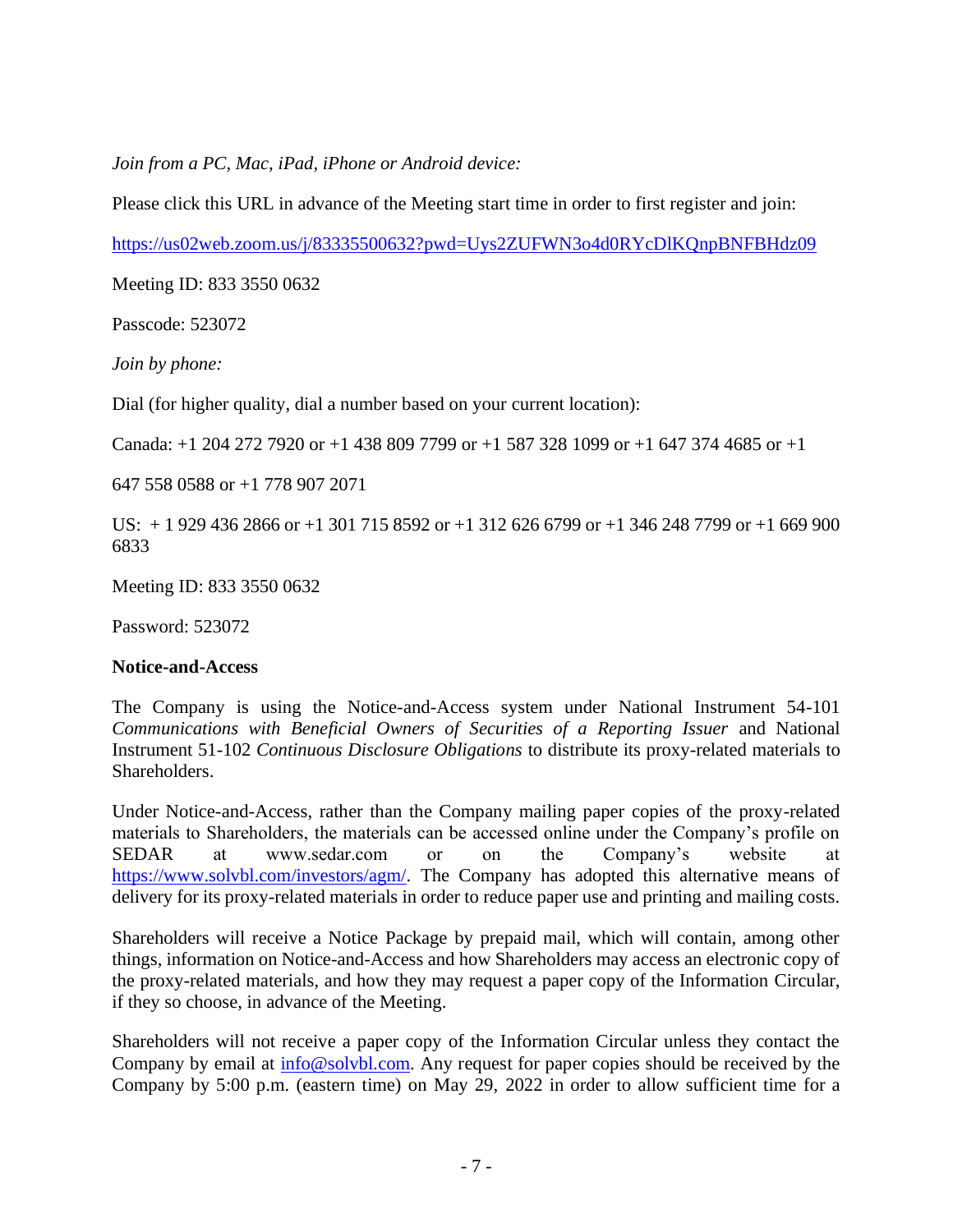*Join from a PC, Mac, iPad, iPhone or Android device:*

Please click this URL in advance of the Meeting start time in order to first register and join:

<https://us02web.zoom.us/j/83335500632?pwd=Uys2ZUFWN3o4d0RYcDlKQnpBNFBHdz09>

Meeting ID: 833 3550 0632

Passcode: 523072

*Join by phone:*

Dial (for higher quality, dial a number based on your current location):

Canada: +1 204 272 7920 or +1 438 809 7799 or +1 587 328 1099 or +1 647 374 4685 or +1

647 558 0588 or +1 778 907 2071

US: + 1 929 436 2866 or +1 301 715 8592 or +1 312 626 6799 or +1 346 248 7799 or +1 669 900 6833

Meeting ID: 833 3550 0632

Password: 523072

## **Notice-and-Access**

The Company is using the Notice-and-Access system under National Instrument 54-101 *Communications with Beneficial Owners of Securities of a Reporting Issuer* and National Instrument 51-102 *Continuous Disclosure Obligations* to distribute its proxy-related materials to Shareholders.

Under Notice-and-Access, rather than the Company mailing paper copies of the proxy-related materials to Shareholders, the materials can be accessed online under the Company's profile on SEDAR at www.sedar.com or on the Company's website at [https://www.solvbl.com/investors/agm/.](https://www.solvbl.com/investors/agm/) The Company has adopted this alternative means of delivery for its proxy-related materials in order to reduce paper use and printing and mailing costs.

Shareholders will receive a Notice Package by prepaid mail, which will contain, among other things, information on Notice-and-Access and how Shareholders may access an electronic copy of the proxy-related materials, and how they may request a paper copy of the Information Circular, if they so choose, in advance of the Meeting.

Shareholders will not receive a paper copy of the Information Circular unless they contact the Company by email at  $\inf_{{\mathcal{O}}\otimes{\mathcal{O}}}\delta$  com. Any request for paper copies should be received by the Company by 5:00 p.m. (eastern time) on May 29, 2022 in order to allow sufficient time for a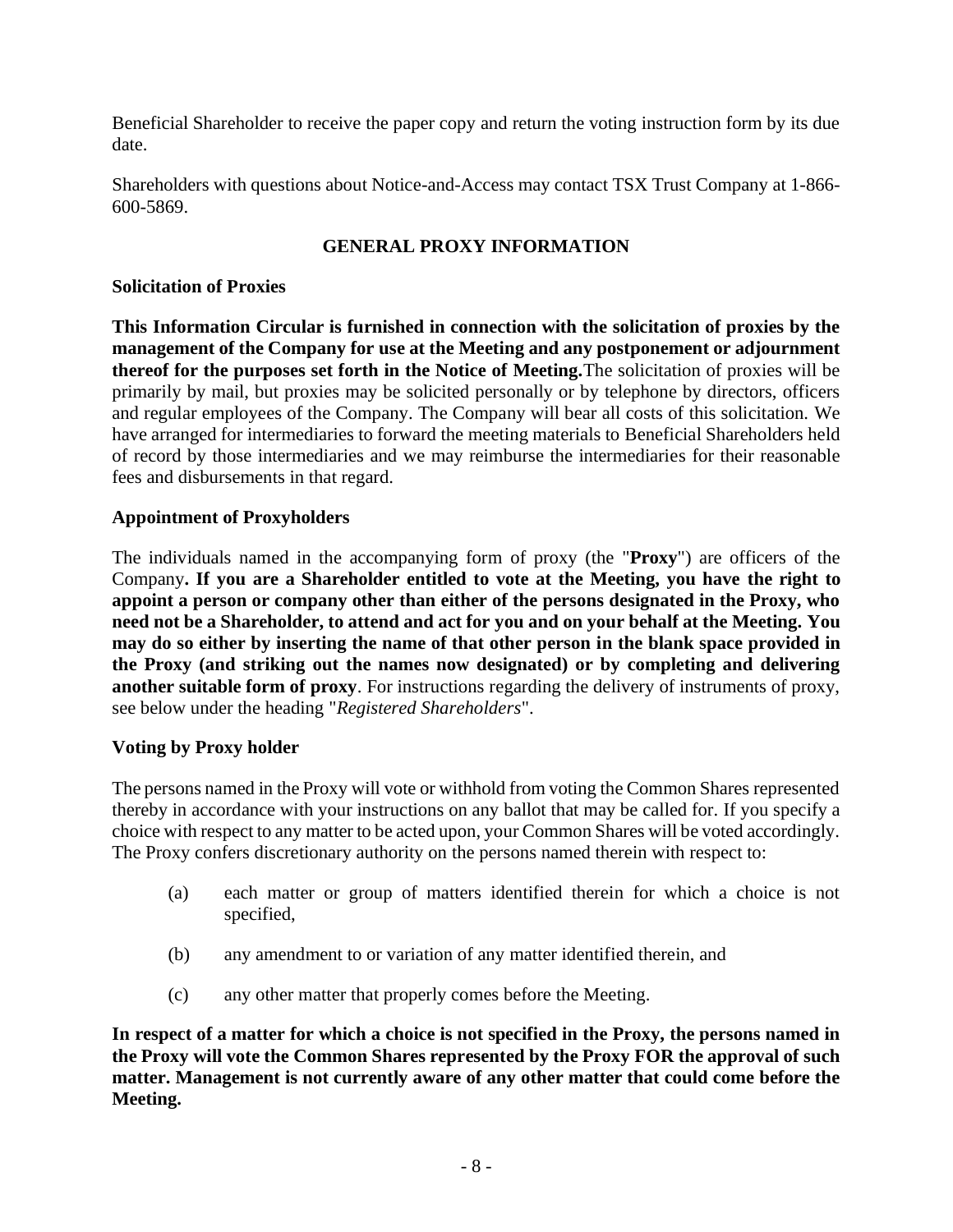Beneficial Shareholder to receive the paper copy and return the voting instruction form by its due date.

Shareholders with questions about Notice-and-Access may contact TSX Trust Company at 1-866- 600-5869.

## **GENERAL PROXY INFORMATION**

#### **Solicitation of Proxies**

**This Information Circular is furnished in connection with the solicitation of proxies by the management of the Company for use at the Meeting and any postponement or adjournment thereof for the purposes set forth in the Notice of Meeting.**The solicitation of proxies will be primarily by mail, but proxies may be solicited personally or by telephone by directors, officers and regular employees of the Company. The Company will bear all costs of this solicitation. We have arranged for intermediaries to forward the meeting materials to Beneficial Shareholders held of record by those intermediaries and we may reimburse the intermediaries for their reasonable fees and disbursements in that regard.

## **Appointment of Proxyholders**

The individuals named in the accompanying form of proxy (the "**Proxy**") are officers of the Company**. If you are a Shareholder entitled to vote at the Meeting, you have the right to appoint a person or company other than either of the persons designated in the Proxy, who need not be a Shareholder, to attend and act for you and on your behalf at the Meeting. You may do so either by inserting the name of that other person in the blank space provided in the Proxy (and striking out the names now designated) or by completing and delivering another suitable form of proxy**. For instructions regarding the delivery of instruments of proxy, see below under the heading "*Registered Shareholders*".

#### **Voting by Proxy holder**

The persons named in the Proxy will vote or withhold from voting the Common Shares represented thereby in accordance with your instructions on any ballot that may be called for. If you specify a choice with respect to any matter to be acted upon, your Common Shares will be voted accordingly. The Proxy confers discretionary authority on the persons named therein with respect to:

- (a) each matter or group of matters identified therein for which a choice is not specified,
- (b) any amendment to or variation of any matter identified therein, and
- (c) any other matter that properly comes before the Meeting.

**In respect of a matter for which a choice is not specified in the Proxy, the persons named in the Proxy will vote the Common Shares represented by the Proxy FOR the approval of such matter. Management is not currently aware of any other matter that could come before the Meeting.**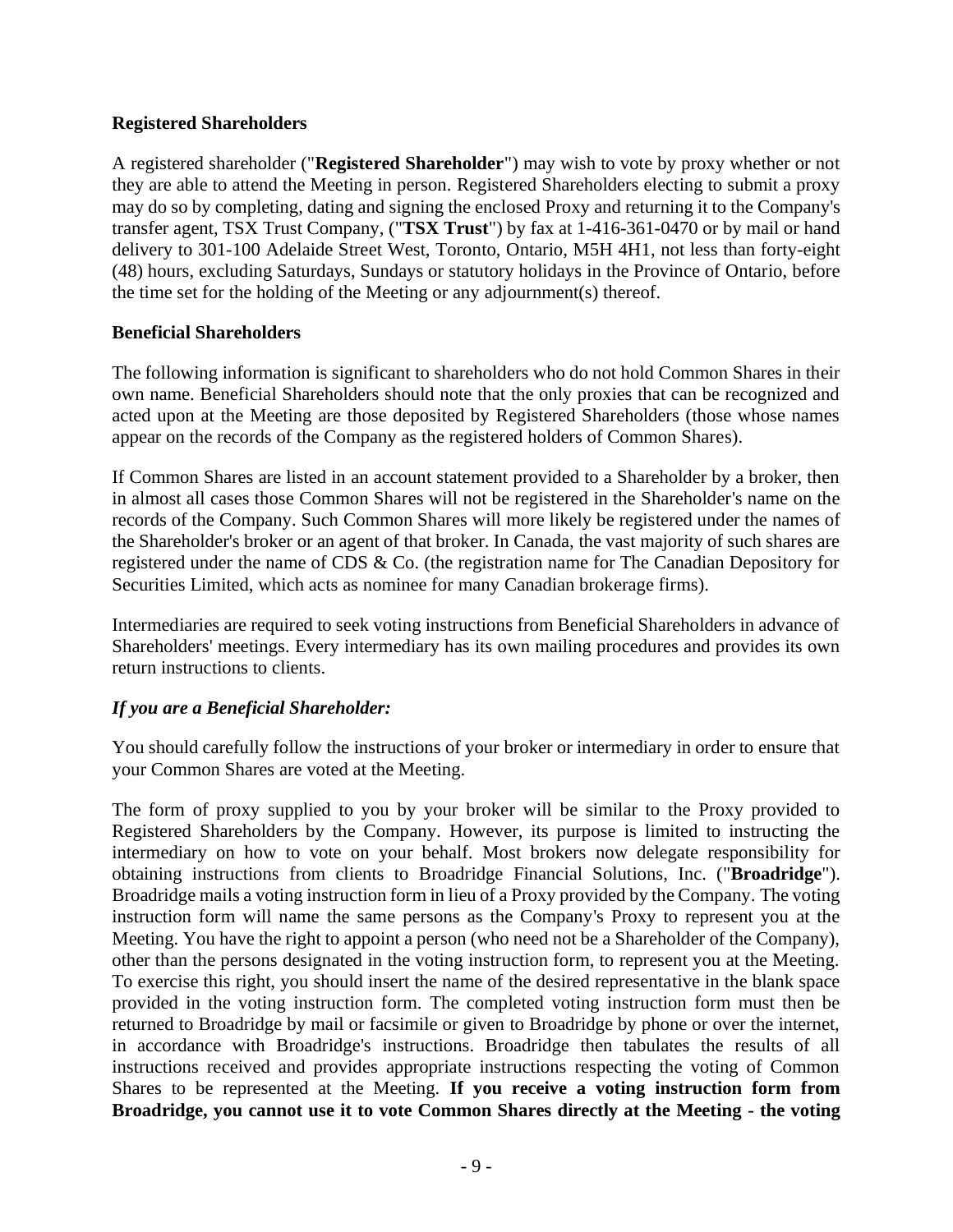## **Registered Shareholders**

A registered shareholder ("**Registered Shareholder**") may wish to vote by proxy whether or not they are able to attend the Meeting in person. Registered Shareholders electing to submit a proxy may do so by completing, dating and signing the enclosed Proxy and returning it to the Company's transfer agent, TSX Trust Company, ("**TSX Trust**") by fax at 1-416-361-0470 or by mail or hand delivery to 301-100 Adelaide Street West, Toronto, Ontario, M5H 4H1, not less than forty-eight (48) hours, excluding Saturdays, Sundays or statutory holidays in the Province of Ontario, before the time set for the holding of the Meeting or any adjournment(s) thereof.

#### **Beneficial Shareholders**

The following information is significant to shareholders who do not hold Common Shares in their own name. Beneficial Shareholders should note that the only proxies that can be recognized and acted upon at the Meeting are those deposited by Registered Shareholders (those whose names appear on the records of the Company as the registered holders of Common Shares).

If Common Shares are listed in an account statement provided to a Shareholder by a broker, then in almost all cases those Common Shares will not be registered in the Shareholder's name on the records of the Company. Such Common Shares will more likely be registered under the names of the Shareholder's broker or an agent of that broker. In Canada, the vast majority of such shares are registered under the name of CDS & Co. (the registration name for The Canadian Depository for Securities Limited, which acts as nominee for many Canadian brokerage firms).

Intermediaries are required to seek voting instructions from Beneficial Shareholders in advance of Shareholders' meetings. Every intermediary has its own mailing procedures and provides its own return instructions to clients.

## *If you are a Beneficial Shareholder:*

You should carefully follow the instructions of your broker or intermediary in order to ensure that your Common Shares are voted at the Meeting.

The form of proxy supplied to you by your broker will be similar to the Proxy provided to Registered Shareholders by the Company. However, its purpose is limited to instructing the intermediary on how to vote on your behalf. Most brokers now delegate responsibility for obtaining instructions from clients to Broadridge Financial Solutions, Inc. ("**Broadridge**"). Broadridge mails a voting instruction form in lieu of a Proxy provided by the Company. The voting instruction form will name the same persons as the Company's Proxy to represent you at the Meeting. You have the right to appoint a person (who need not be a Shareholder of the Company), other than the persons designated in the voting instruction form, to represent you at the Meeting. To exercise this right, you should insert the name of the desired representative in the blank space provided in the voting instruction form. The completed voting instruction form must then be returned to Broadridge by mail or facsimile or given to Broadridge by phone or over the internet, in accordance with Broadridge's instructions. Broadridge then tabulates the results of all instructions received and provides appropriate instructions respecting the voting of Common Shares to be represented at the Meeting. **If you receive a voting instruction form from Broadridge, you cannot use it to vote Common Shares directly at the Meeting - the voting**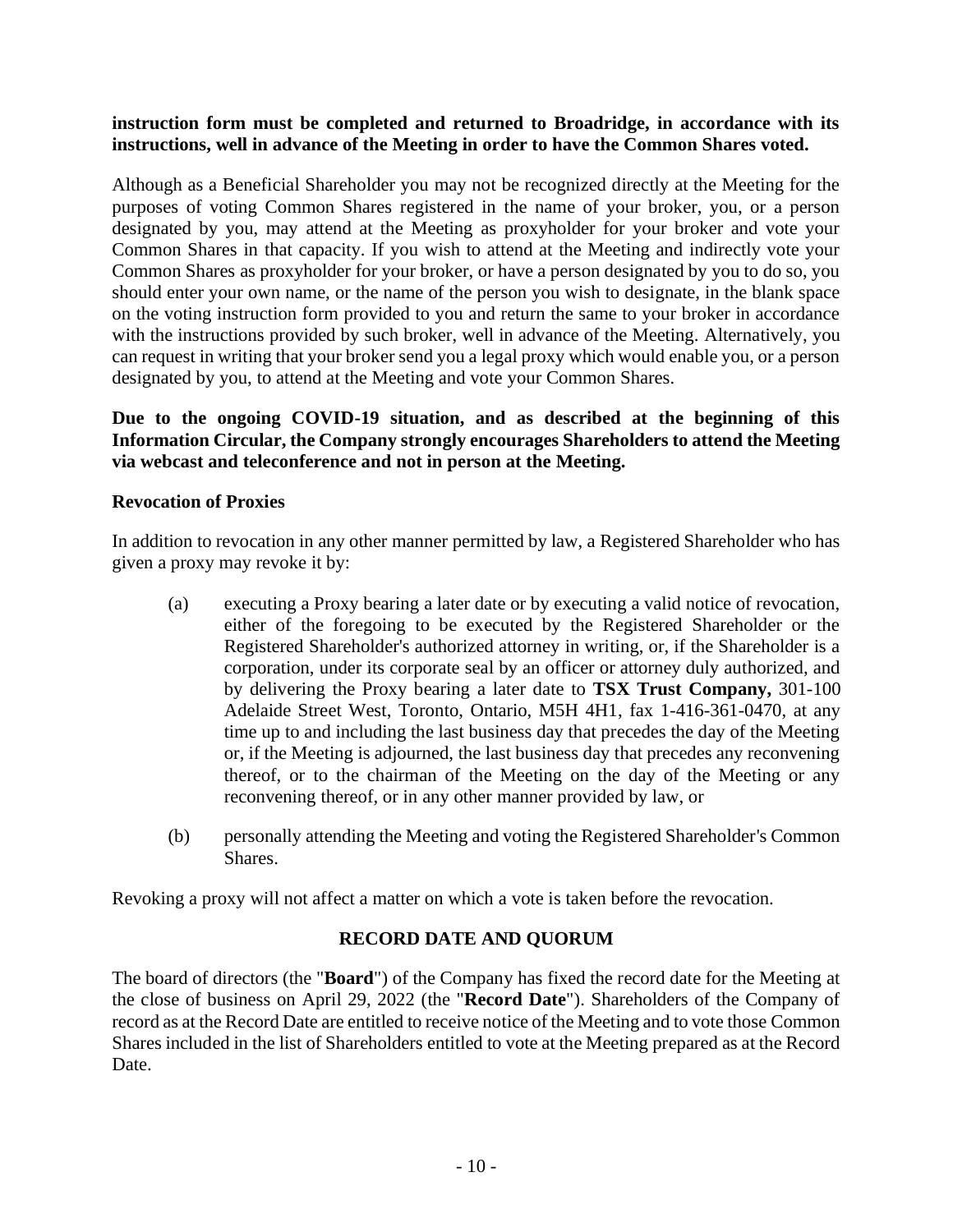#### **instruction form must be completed and returned to Broadridge, in accordance with its instructions, well in advance of the Meeting in order to have the Common Shares voted.**

Although as a Beneficial Shareholder you may not be recognized directly at the Meeting for the purposes of voting Common Shares registered in the name of your broker, you, or a person designated by you, may attend at the Meeting as proxyholder for your broker and vote your Common Shares in that capacity. If you wish to attend at the Meeting and indirectly vote your Common Shares as proxyholder for your broker, or have a person designated by you to do so, you should enter your own name, or the name of the person you wish to designate, in the blank space on the voting instruction form provided to you and return the same to your broker in accordance with the instructions provided by such broker, well in advance of the Meeting. Alternatively, you can request in writing that your broker send you a legal proxy which would enable you, or a person designated by you, to attend at the Meeting and vote your Common Shares.

## **Due to the ongoing COVID-19 situation, and as described at the beginning of this Information Circular, the Company strongly encourages Shareholders to attend the Meeting via webcast and teleconference and not in person at the Meeting.**

#### **Revocation of Proxies**

In addition to revocation in any other manner permitted by law, a Registered Shareholder who has given a proxy may revoke it by:

- (a) executing a Proxy bearing a later date or by executing a valid notice of revocation, either of the foregoing to be executed by the Registered Shareholder or the Registered Shareholder's authorized attorney in writing, or, if the Shareholder is a corporation, under its corporate seal by an officer or attorney duly authorized, and by delivering the Proxy bearing a later date to **TSX Trust Company,** 301-100 Adelaide Street West, Toronto, Ontario, M5H 4H1, fax 1-416-361-0470, at any time up to and including the last business day that precedes the day of the Meeting or, if the Meeting is adjourned, the last business day that precedes any reconvening thereof, or to the chairman of the Meeting on the day of the Meeting or any reconvening thereof, or in any other manner provided by law, or
- (b) personally attending the Meeting and voting the Registered Shareholder's Common Shares.

Revoking a proxy will not affect a matter on which a vote is taken before the revocation.

#### **RECORD DATE AND QUORUM**

The board of directors (the "**Board**") of the Company has fixed the record date for the Meeting at the close of business on April 29, 2022 (the "**Record Date**"). Shareholders of the Company of record as at the Record Date are entitled to receive notice of the Meeting and to vote those Common Shares included in the list of Shareholders entitled to vote at the Meeting prepared as at the Record Date.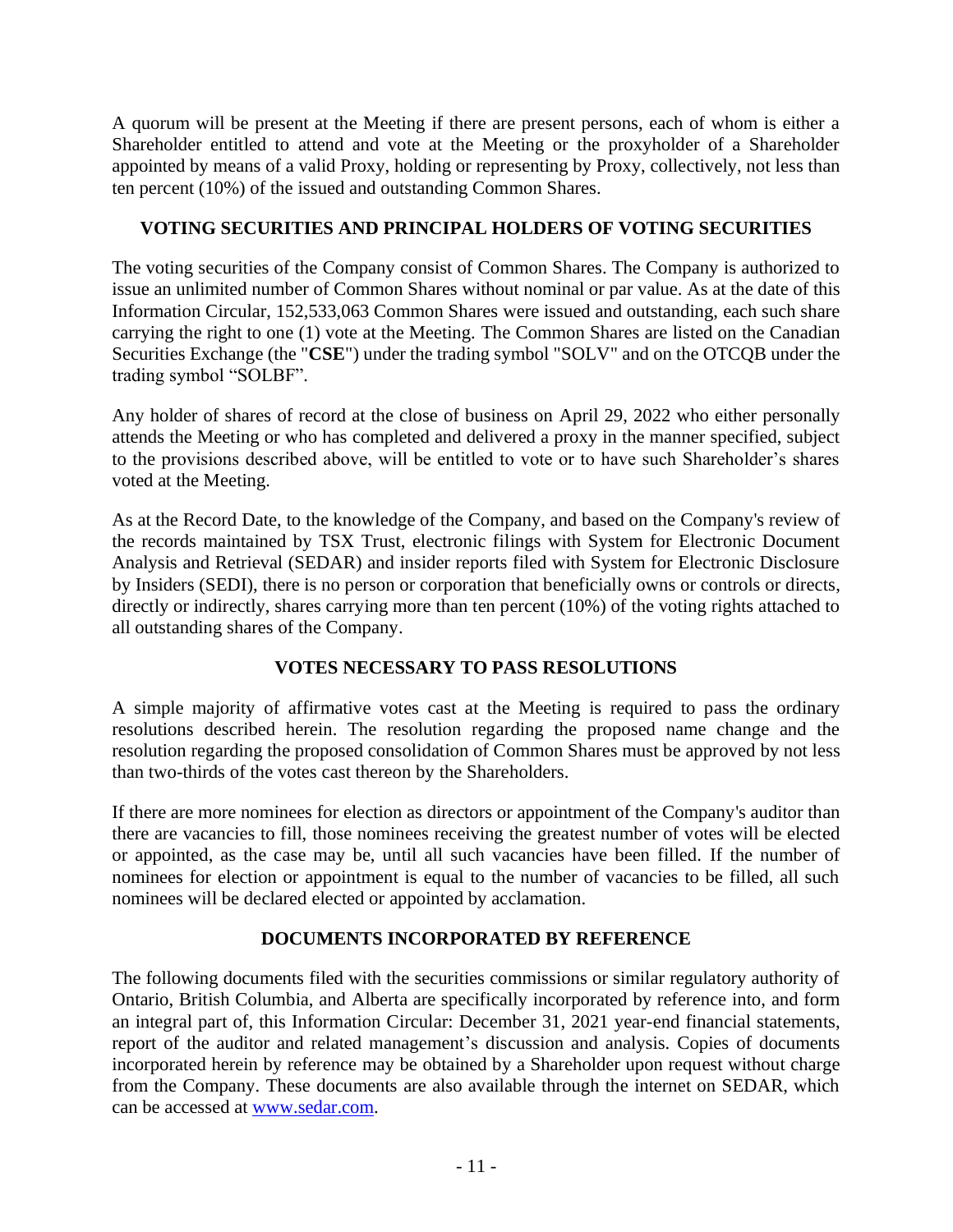A quorum will be present at the Meeting if there are present persons, each of whom is either a Shareholder entitled to attend and vote at the Meeting or the proxyholder of a Shareholder appointed by means of a valid Proxy, holding or representing by Proxy, collectively, not less than ten percent (10%) of the issued and outstanding Common Shares.

## **VOTING SECURITIES AND PRINCIPAL HOLDERS OF VOTING SECURITIES**

The voting securities of the Company consist of Common Shares. The Company is authorized to issue an unlimited number of Common Shares without nominal or par value. As at the date of this Information Circular, 152,533,063 Common Shares were issued and outstanding, each such share carrying the right to one (1) vote at the Meeting. The Common Shares are listed on the Canadian Securities Exchange (the "**CSE**") under the trading symbol "SOLV" and on the OTCQB under the trading symbol "SOLBF".

Any holder of shares of record at the close of business on April 29, 2022 who either personally attends the Meeting or who has completed and delivered a proxy in the manner specified, subject to the provisions described above, will be entitled to vote or to have such Shareholder's shares voted at the Meeting.

As at the Record Date, to the knowledge of the Company, and based on the Company's review of the records maintained by TSX Trust, electronic filings with System for Electronic Document Analysis and Retrieval (SEDAR) and insider reports filed with System for Electronic Disclosure by Insiders (SEDI), there is no person or corporation that beneficially owns or controls or directs, directly or indirectly, shares carrying more than ten percent (10%) of the voting rights attached to all outstanding shares of the Company.

## **VOTES NECESSARY TO PASS RESOLUTIONS**

A simple majority of affirmative votes cast at the Meeting is required to pass the ordinary resolutions described herein. The resolution regarding the proposed name change and the resolution regarding the proposed consolidation of Common Shares must be approved by not less than two-thirds of the votes cast thereon by the Shareholders.

If there are more nominees for election as directors or appointment of the Company's auditor than there are vacancies to fill, those nominees receiving the greatest number of votes will be elected or appointed, as the case may be, until all such vacancies have been filled. If the number of nominees for election or appointment is equal to the number of vacancies to be filled, all such nominees will be declared elected or appointed by acclamation.

## **DOCUMENTS INCORPORATED BY REFERENCE**

The following documents filed with the securities commissions or similar regulatory authority of Ontario, British Columbia, and Alberta are specifically incorporated by reference into, and form an integral part of, this Information Circular: December 31, 2021 year-end financial statements, report of the auditor and related management's discussion and analysis. Copies of documents incorporated herein by reference may be obtained by a Shareholder upon request without charge from the Company. These documents are also available through the internet on SEDAR, which can be accessed at [www.sedar.com.](http://www.sedar.com/)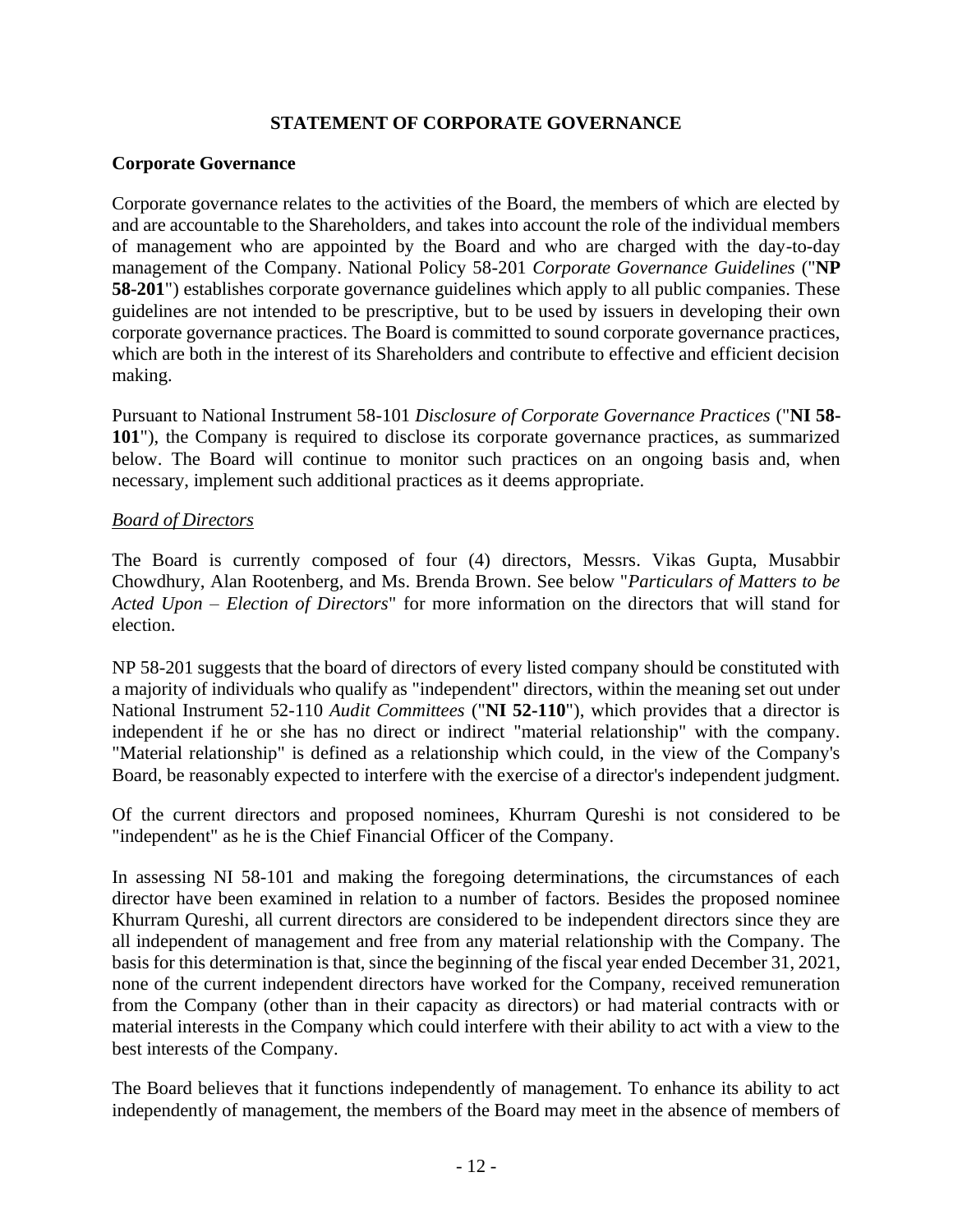## **STATEMENT OF CORPORATE GOVERNANCE**

#### **Corporate Governance**

Corporate governance relates to the activities of the Board, the members of which are elected by and are accountable to the Shareholders, and takes into account the role of the individual members of management who are appointed by the Board and who are charged with the day-to-day management of the Company. National Policy 58-201 *Corporate Governance Guidelines* ("**NP 58-201**") establishes corporate governance guidelines which apply to all public companies. These guidelines are not intended to be prescriptive, but to be used by issuers in developing their own corporate governance practices. The Board is committed to sound corporate governance practices, which are both in the interest of its Shareholders and contribute to effective and efficient decision making.

Pursuant to National Instrument 58-101 *Disclosure of Corporate Governance Practices* ("**NI 58- 101**"), the Company is required to disclose its corporate governance practices, as summarized below. The Board will continue to monitor such practices on an ongoing basis and, when necessary, implement such additional practices as it deems appropriate.

#### *Board of Directors*

The Board is currently composed of four (4) directors, Messrs. Vikas Gupta, Musabbir Chowdhury, Alan Rootenberg, and Ms. Brenda Brown. See below "*Particulars of Matters to be Acted Upon – Election of Directors*" for more information on the directors that will stand for election.

NP 58-201 suggests that the board of directors of every listed company should be constituted with a majority of individuals who qualify as "independent" directors, within the meaning set out under National Instrument 52-110 *Audit Committees* ("**NI 52-110**"), which provides that a director is independent if he or she has no direct or indirect "material relationship" with the company. "Material relationship" is defined as a relationship which could, in the view of the Company's Board, be reasonably expected to interfere with the exercise of a director's independent judgment.

Of the current directors and proposed nominees, Khurram Qureshi is not considered to be "independent" as he is the Chief Financial Officer of the Company.

In assessing NI 58-101 and making the foregoing determinations, the circumstances of each director have been examined in relation to a number of factors. Besides the proposed nominee Khurram Qureshi, all current directors are considered to be independent directors since they are all independent of management and free from any material relationship with the Company. The basis for this determination is that, since the beginning of the fiscal year ended December 31, 2021, none of the current independent directors have worked for the Company, received remuneration from the Company (other than in their capacity as directors) or had material contracts with or material interests in the Company which could interfere with their ability to act with a view to the best interests of the Company.

The Board believes that it functions independently of management. To enhance its ability to act independently of management, the members of the Board may meet in the absence of members of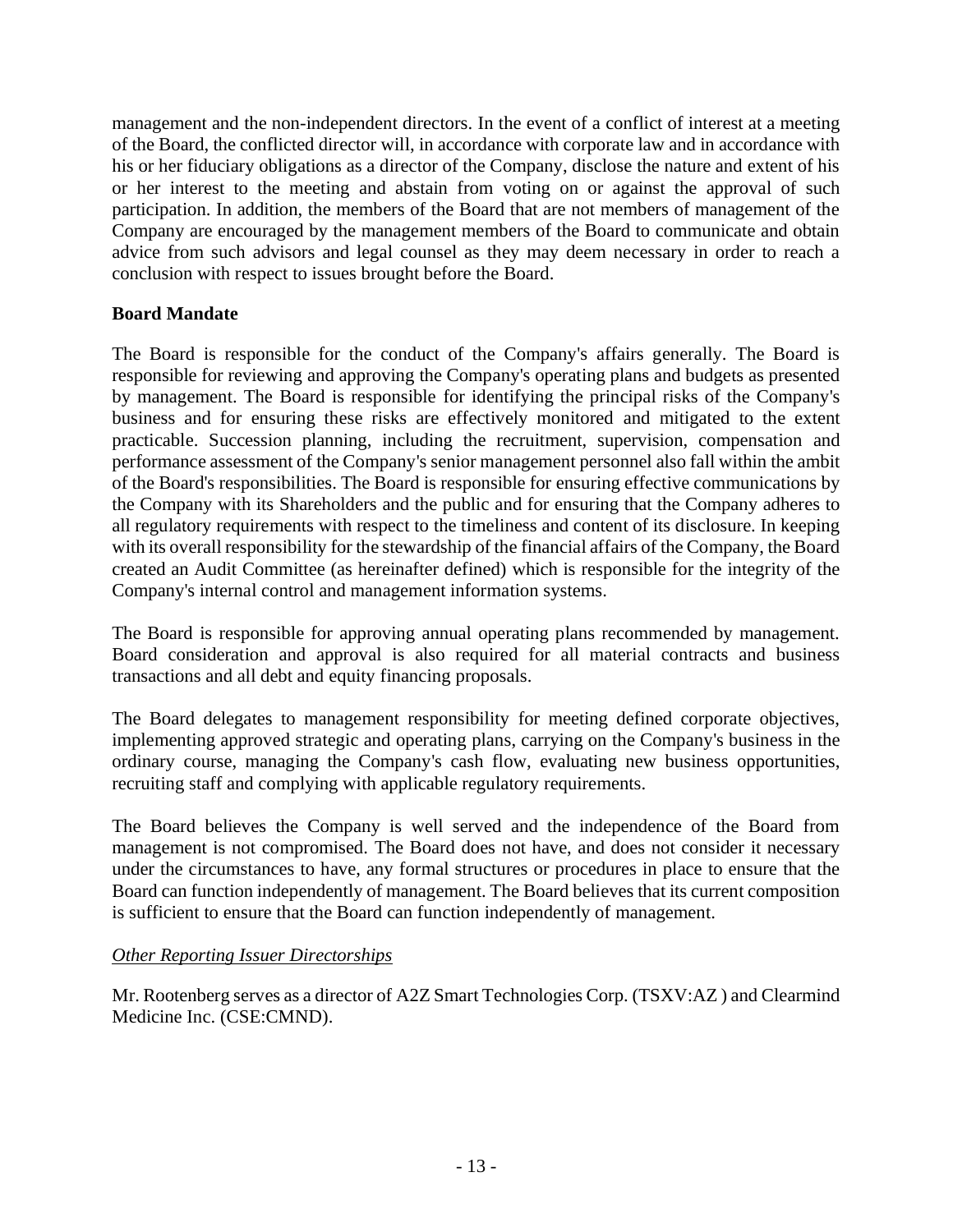management and the non-independent directors. In the event of a conflict of interest at a meeting of the Board, the conflicted director will, in accordance with corporate law and in accordance with his or her fiduciary obligations as a director of the Company, disclose the nature and extent of his or her interest to the meeting and abstain from voting on or against the approval of such participation. In addition, the members of the Board that are not members of management of the Company are encouraged by the management members of the Board to communicate and obtain advice from such advisors and legal counsel as they may deem necessary in order to reach a conclusion with respect to issues brought before the Board.

## **Board Mandate**

The Board is responsible for the conduct of the Company's affairs generally. The Board is responsible for reviewing and approving the Company's operating plans and budgets as presented by management. The Board is responsible for identifying the principal risks of the Company's business and for ensuring these risks are effectively monitored and mitigated to the extent practicable. Succession planning, including the recruitment, supervision, compensation and performance assessment of the Company's senior management personnel also fall within the ambit of the Board's responsibilities. The Board is responsible for ensuring effective communications by the Company with its Shareholders and the public and for ensuring that the Company adheres to all regulatory requirements with respect to the timeliness and content of its disclosure. In keeping with its overall responsibility for the stewardship of the financial affairs of the Company, the Board created an Audit Committee (as hereinafter defined) which is responsible for the integrity of the Company's internal control and management information systems.

The Board is responsible for approving annual operating plans recommended by management. Board consideration and approval is also required for all material contracts and business transactions and all debt and equity financing proposals.

The Board delegates to management responsibility for meeting defined corporate objectives, implementing approved strategic and operating plans, carrying on the Company's business in the ordinary course, managing the Company's cash flow, evaluating new business opportunities, recruiting staff and complying with applicable regulatory requirements.

The Board believes the Company is well served and the independence of the Board from management is not compromised. The Board does not have, and does not consider it necessary under the circumstances to have, any formal structures or procedures in place to ensure that the Board can function independently of management. The Board believes that its current composition is sufficient to ensure that the Board can function independently of management.

## *Other Reporting Issuer Directorships*

Mr. Rootenberg serves as a director of A2Z Smart Technologies Corp. (TSXV:AZ ) and Clearmind Medicine Inc. (CSE:CMND).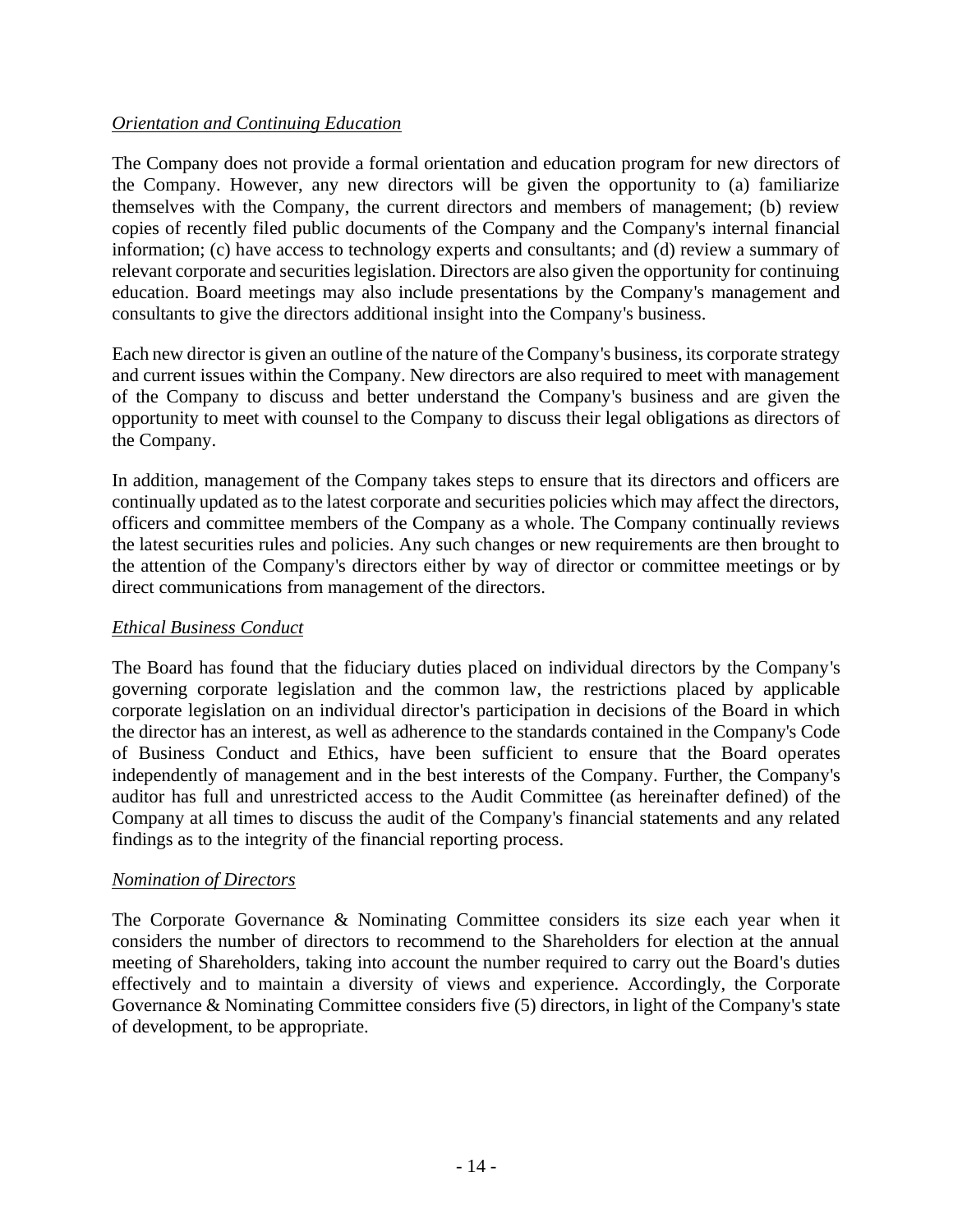## *Orientation and Continuing Education*

The Company does not provide a formal orientation and education program for new directors of the Company. However, any new directors will be given the opportunity to (a) familiarize themselves with the Company, the current directors and members of management; (b) review copies of recently filed public documents of the Company and the Company's internal financial information; (c) have access to technology experts and consultants; and (d) review a summary of relevant corporate and securities legislation. Directors are also given the opportunity for continuing education. Board meetings may also include presentations by the Company's management and consultants to give the directors additional insight into the Company's business.

Each new director is given an outline of the nature of the Company's business, its corporate strategy and current issues within the Company. New directors are also required to meet with management of the Company to discuss and better understand the Company's business and are given the opportunity to meet with counsel to the Company to discuss their legal obligations as directors of the Company.

In addition, management of the Company takes steps to ensure that its directors and officers are continually updated as to the latest corporate and securities policies which may affect the directors, officers and committee members of the Company as a whole. The Company continually reviews the latest securities rules and policies. Any such changes or new requirements are then brought to the attention of the Company's directors either by way of director or committee meetings or by direct communications from management of the directors.

## *Ethical Business Conduct*

The Board has found that the fiduciary duties placed on individual directors by the Company's governing corporate legislation and the common law, the restrictions placed by applicable corporate legislation on an individual director's participation in decisions of the Board in which the director has an interest, as well as adherence to the standards contained in the Company's Code of Business Conduct and Ethics, have been sufficient to ensure that the Board operates independently of management and in the best interests of the Company. Further, the Company's auditor has full and unrestricted access to the Audit Committee (as hereinafter defined) of the Company at all times to discuss the audit of the Company's financial statements and any related findings as to the integrity of the financial reporting process.

## *Nomination of Directors*

The Corporate Governance & Nominating Committee considers its size each year when it considers the number of directors to recommend to the Shareholders for election at the annual meeting of Shareholders, taking into account the number required to carry out the Board's duties effectively and to maintain a diversity of views and experience. Accordingly, the Corporate Governance & Nominating Committee considers five (5) directors, in light of the Company's state of development, to be appropriate.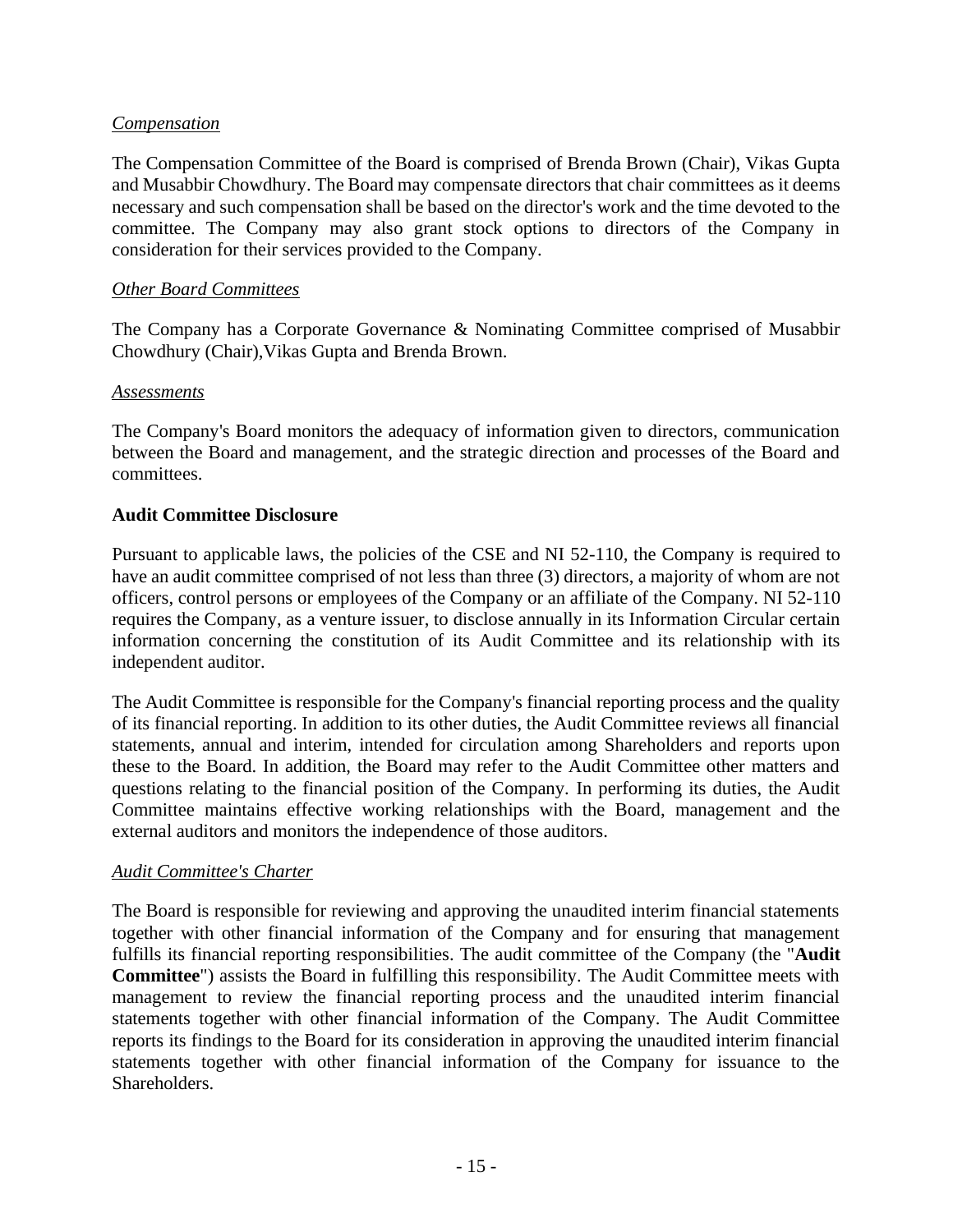#### *Compensation*

The Compensation Committee of the Board is comprised of Brenda Brown (Chair), Vikas Gupta and Musabbir Chowdhury. The Board may compensate directors that chair committees as it deems necessary and such compensation shall be based on the director's work and the time devoted to the committee. The Company may also grant stock options to directors of the Company in consideration for their services provided to the Company.

#### *Other Board Committees*

The Company has a Corporate Governance & Nominating Committee comprised of Musabbir Chowdhury (Chair),Vikas Gupta and Brenda Brown.

#### *Assessments*

The Company's Board monitors the adequacy of information given to directors, communication between the Board and management, and the strategic direction and processes of the Board and committees.

#### **Audit Committee Disclosure**

Pursuant to applicable laws, the policies of the CSE and NI 52-110*,* the Company is required to have an audit committee comprised of not less than three (3) directors, a majority of whom are not officers, control persons or employees of the Company or an affiliate of the Company. NI 52-110 requires the Company, as a venture issuer, to disclose annually in its Information Circular certain information concerning the constitution of its Audit Committee and its relationship with its independent auditor.

The Audit Committee is responsible for the Company's financial reporting process and the quality of its financial reporting. In addition to its other duties, the Audit Committee reviews all financial statements, annual and interim, intended for circulation among Shareholders and reports upon these to the Board. In addition, the Board may refer to the Audit Committee other matters and questions relating to the financial position of the Company. In performing its duties, the Audit Committee maintains effective working relationships with the Board, management and the external auditors and monitors the independence of those auditors.

#### *Audit Committee's Charter*

The Board is responsible for reviewing and approving the unaudited interim financial statements together with other financial information of the Company and for ensuring that management fulfills its financial reporting responsibilities. The audit committee of the Company (the "**Audit Committee**") assists the Board in fulfilling this responsibility. The Audit Committee meets with management to review the financial reporting process and the unaudited interim financial statements together with other financial information of the Company. The Audit Committee reports its findings to the Board for its consideration in approving the unaudited interim financial statements together with other financial information of the Company for issuance to the Shareholders.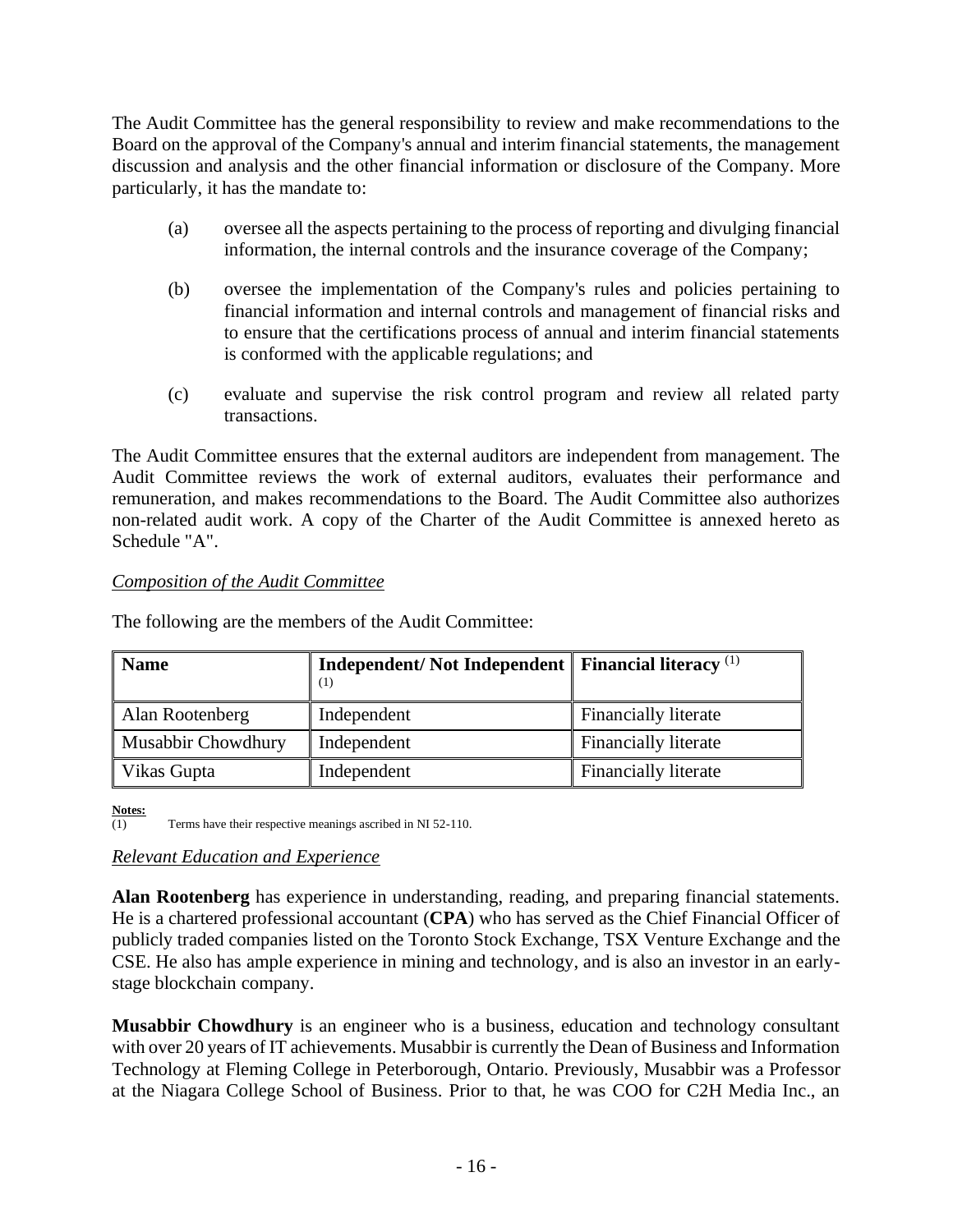The Audit Committee has the general responsibility to review and make recommendations to the Board on the approval of the Company's annual and interim financial statements, the management discussion and analysis and the other financial information or disclosure of the Company. More particularly, it has the mandate to:

- (a) oversee all the aspects pertaining to the process of reporting and divulging financial information, the internal controls and the insurance coverage of the Company;
- (b) oversee the implementation of the Company's rules and policies pertaining to financial information and internal controls and management of financial risks and to ensure that the certifications process of annual and interim financial statements is conformed with the applicable regulations; and
- (c) evaluate and supervise the risk control program and review all related party transactions.

The Audit Committee ensures that the external auditors are independent from management. The Audit Committee reviews the work of external auditors, evaluates their performance and remuneration, and makes recommendations to the Board. The Audit Committee also authorizes non-related audit work. A copy of the Charter of the Audit Committee is annexed hereto as Schedule "A".

## *Composition of the Audit Committee*

The following are the members of the Audit Committee:

| <b>Name</b>               | Independent/Not Independent   Financial literacy <sup>(1)</sup><br>(1) |                             |
|---------------------------|------------------------------------------------------------------------|-----------------------------|
| Alan Rootenberg           | Independent                                                            | Financially literate        |
| <b>Musabbir Chowdhury</b> | Independent                                                            | <b>Financially literate</b> |
| Vikas Gupta               | Independent                                                            | <b>Financially literate</b> |

**Notes:**

 $\overline{(1)}$  Terms have their respective meanings ascribed in NI 52-110.

## *Relevant Education and Experience*

**Alan Rootenberg** has experience in understanding, reading, and preparing financial statements. He is a chartered professional accountant (**CPA**) who has served as the Chief Financial Officer of publicly traded companies listed on the Toronto Stock Exchange, TSX Venture Exchange and the CSE. He also has ample experience in mining and technology, and is also an investor in an earlystage blockchain company.

**Musabbir Chowdhury** is an engineer who is a business, education and technology consultant with over 20 years of IT achievements. Musabbir is currently the Dean of Business and Information Technology at Fleming College in Peterborough, Ontario. Previously, Musabbir was a Professor at the Niagara College School of Business. Prior to that, he was COO for C2H Media Inc., an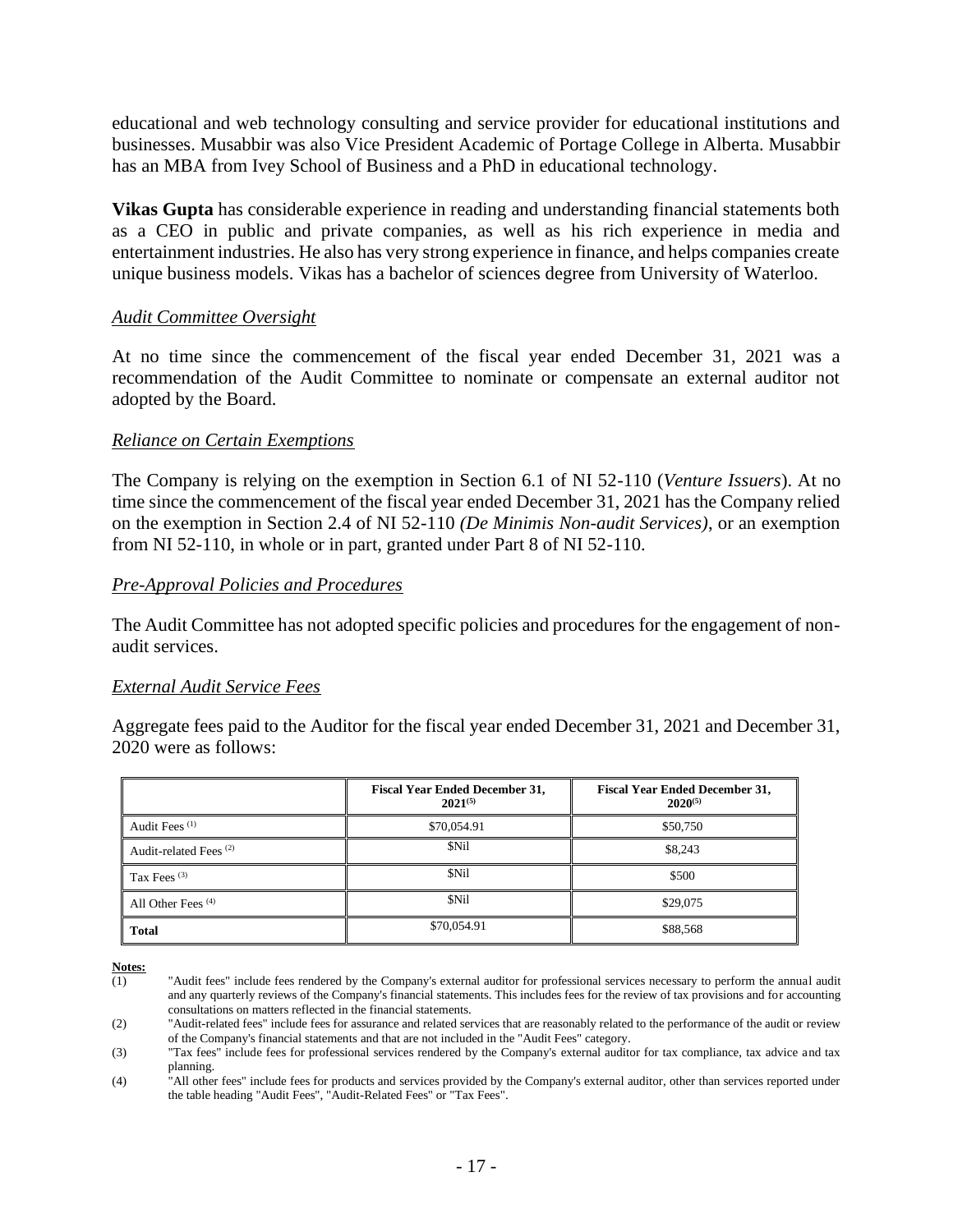educational and web technology consulting and service provider for educational institutions and businesses. Musabbir was also Vice President Academic of Portage College in Alberta. Musabbir has an MBA from Ivey School of Business and a PhD in educational technology.

**Vikas Gupta** has considerable experience in reading and understanding financial statements both as a CEO in public and private companies, as well as his rich experience in media and entertainment industries. He also has very strong experience in finance, and helps companies create unique business models. Vikas has a bachelor of sciences degree from University of Waterloo.

#### *Audit Committee Oversight*

At no time since the commencement of the fiscal year ended December 31, 2021 was a recommendation of the Audit Committee to nominate or compensate an external auditor not adopted by the Board.

#### *Reliance on Certain Exemptions*

The Company is relying on the exemption in Section 6.1 of NI 52-110 (*Venture Issuers*). At no time since the commencement of the fiscal year ended December 31, 2021 has the Company relied on the exemption in Section 2.4 of NI 52-110 *(De Minimis Non-audit Services)*, or an exemption from NI 52-110, in whole or in part, granted under Part 8 of NI 52-110.

#### *Pre-Approval Policies and Procedures*

The Audit Committee has not adopted specific policies and procedures for the engagement of nonaudit services.

#### *External Audit Service Fees*

Aggregate fees paid to the Auditor for the fiscal year ended December 31, 2021 and December 31, 2020 were as follows:

|                                   | <b>Fiscal Year Ended December 31,</b><br>$2021^{(5)}$ | <b>Fiscal Year Ended December 31,</b><br>$2020^{(5)}$ |
|-----------------------------------|-------------------------------------------------------|-------------------------------------------------------|
| Audit Fees <sup>(1)</sup>         | \$70,054.91                                           | \$50,750                                              |
| Audit-related Fees <sup>(2)</sup> | \$Nil                                                 | \$8,243                                               |
| Tax Fees $(3)$                    | \$Nil                                                 | \$500                                                 |
| All Other Fees <sup>(4)</sup>     | \$Nil                                                 | \$29,075                                              |
| Total                             | \$70,054.91                                           | \$88,568                                              |

**Notes:**

<sup>(1)</sup> "Audit fees" include fees rendered by the Company's external auditor for professional services necessary to perform the annual audit and any quarterly reviews of the Company's financial statements. This includes fees for the review of tax provisions and for accounting consultations on matters reflected in the financial statements.

<sup>(2)</sup> "Audit-related fees" include fees for assurance and related services that are reasonably related to the performance of the audit or review of the Company's financial statements and that are not included in the "Audit Fees" category.

<sup>(3)</sup> "Tax fees" include fees for professional services rendered by the Company's external auditor for tax compliance, tax advice and tax planning.

<sup>(4) &</sup>lt;sup>"All other fees" include fees for products and services provided by the Company's external auditor, other than services reported under</sup> the table heading "Audit Fees", "Audit-Related Fees" or "Tax Fees".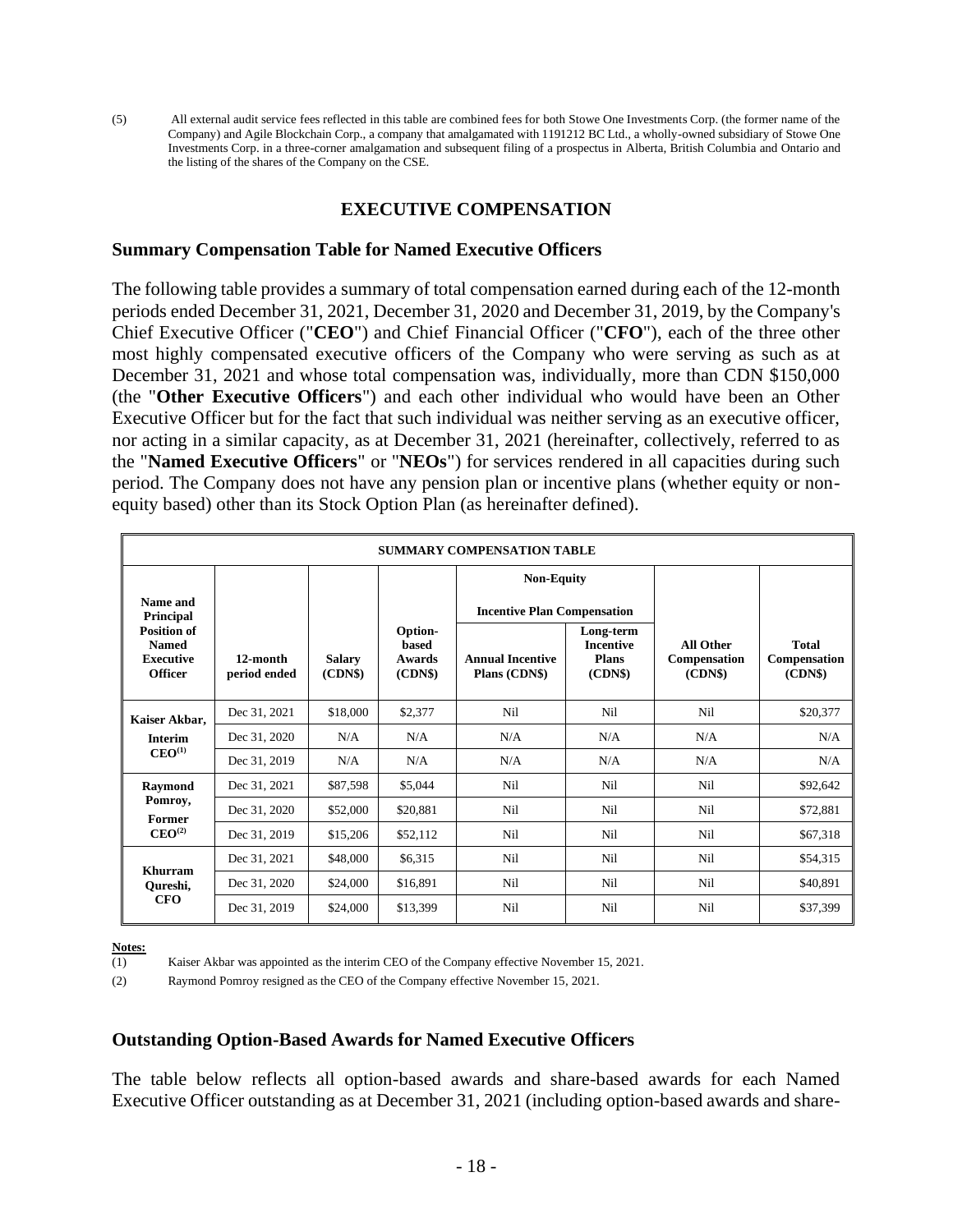(5) All external audit service fees reflected in this table are combined fees for both Stowe One Investments Corp. (the former name of the Company) and Agile Blockchain Corp., a company that amalgamated with 1191212 BC Ltd., a wholly-owned subsidiary of Stowe One Investments Corp. in a three-corner amalgamation and subsequent filing of a prospectus in Alberta, British Columbia and Ontario and the listing of the shares of the Company on the CSE.

#### **EXECUTIVE COMPENSATION**

#### **Summary Compensation Table for Named Executive Officers**

The following table provides a summary of total compensation earned during each of the 12-month periods ended December 31, 2021, December 31, 2020 and December 31, 2019, by the Company's Chief Executive Officer ("**CEO**") and Chief Financial Officer ("**CFO**"), each of the three other most highly compensated executive officers of the Company who were serving as such as at December 31, 2021 and whose total compensation was, individually, more than CDN \$150,000 (the "**Other Executive Officers**") and each other individual who would have been an Other Executive Officer but for the fact that such individual was neither serving as an executive officer, nor acting in a similar capacity, as at December 31, 2021 (hereinafter, collectively, referred to as the "**Named Executive Officers**" or "**NEOs**") for services rendered in all capacities during such period. The Company does not have any pension plan or incentive plans (whether equity or nonequity based) other than its Stock Option Plan (as hereinafter defined).

| <b>SUMMARY COMPENSATION TABLE</b>                                        |                          |                          |                                                    |                                          |                                                   |                                            |                                        |
|--------------------------------------------------------------------------|--------------------------|--------------------------|----------------------------------------------------|------------------------------------------|---------------------------------------------------|--------------------------------------------|----------------------------------------|
|                                                                          | <b>Non-Equity</b>        |                          |                                                    |                                          |                                                   |                                            |                                        |
| Name and<br>Principal                                                    |                          |                          |                                                    | <b>Incentive Plan Compensation</b>       |                                                   |                                            |                                        |
| <b>Position of</b><br><b>Named</b><br><b>Executive</b><br><b>Officer</b> | 12-month<br>period ended | <b>Salary</b><br>(CDN\$) | Option-<br><b>based</b><br><b>Awards</b><br>(CDNS) | <b>Annual Incentive</b><br>Plans (CDN\$) | Long-term<br><b>Incentive</b><br>Plans<br>(CDN\$) | <b>All Other</b><br>Compensation<br>(CDNS) | <b>Total</b><br>Compensation<br>(CDNS) |
| Kaiser Akbar,                                                            | Dec 31, 2021             | \$18,000                 | \$2,377                                            | Nil                                      | Nil                                               | Nil                                        | \$20,377                               |
| <b>Interim</b>                                                           | Dec 31, 2020             | N/A                      | N/A                                                | N/A                                      | N/A                                               | N/A                                        | N/A                                    |
| CEO <sup>(1)</sup>                                                       | Dec 31, 2019             | N/A                      | N/A                                                | N/A                                      | N/A                                               | N/A                                        | N/A                                    |
| Raymond                                                                  | Dec 31, 2021             | \$87,598                 | \$5,044                                            | Nil                                      | Nil                                               | Nil                                        | \$92,642                               |
| Pomroy,<br><b>Former</b>                                                 | Dec 31, 2020             | \$52,000                 | \$20,881                                           | Nil                                      | Nil                                               | Nil                                        | \$72,881                               |
| $\mathbf{CEO}^{(2)}$                                                     | Dec 31, 2019             | \$15,206                 | \$52,112                                           | Nil                                      | Nil                                               | Nil                                        | \$67,318                               |
| Khurram                                                                  | Dec 31, 2021             | \$48,000                 | \$6,315                                            | Nil                                      | Nil                                               | Nil                                        | \$54,315                               |
| Qureshi,                                                                 | Dec 31, 2020             | \$24,000                 | \$16,891                                           | Nil                                      | Nil                                               | Nil                                        | \$40,891                               |
| <b>CFO</b>                                                               | Dec 31, 2019             | \$24,000                 | \$13,399                                           | Nil                                      | Nil                                               | Nil                                        | \$37,399                               |

**Notes:**<br>(1)

Kaiser Akbar was appointed as the interim CEO of the Company effective November 15, 2021.

(2) Raymond Pomroy resigned as the CEO of the Company effective November 15, 2021.

#### **Outstanding Option-Based Awards for Named Executive Officers**

The table below reflects all option-based awards and share-based awards for each Named Executive Officer outstanding as at December 31, 2021 (including option-based awards and share-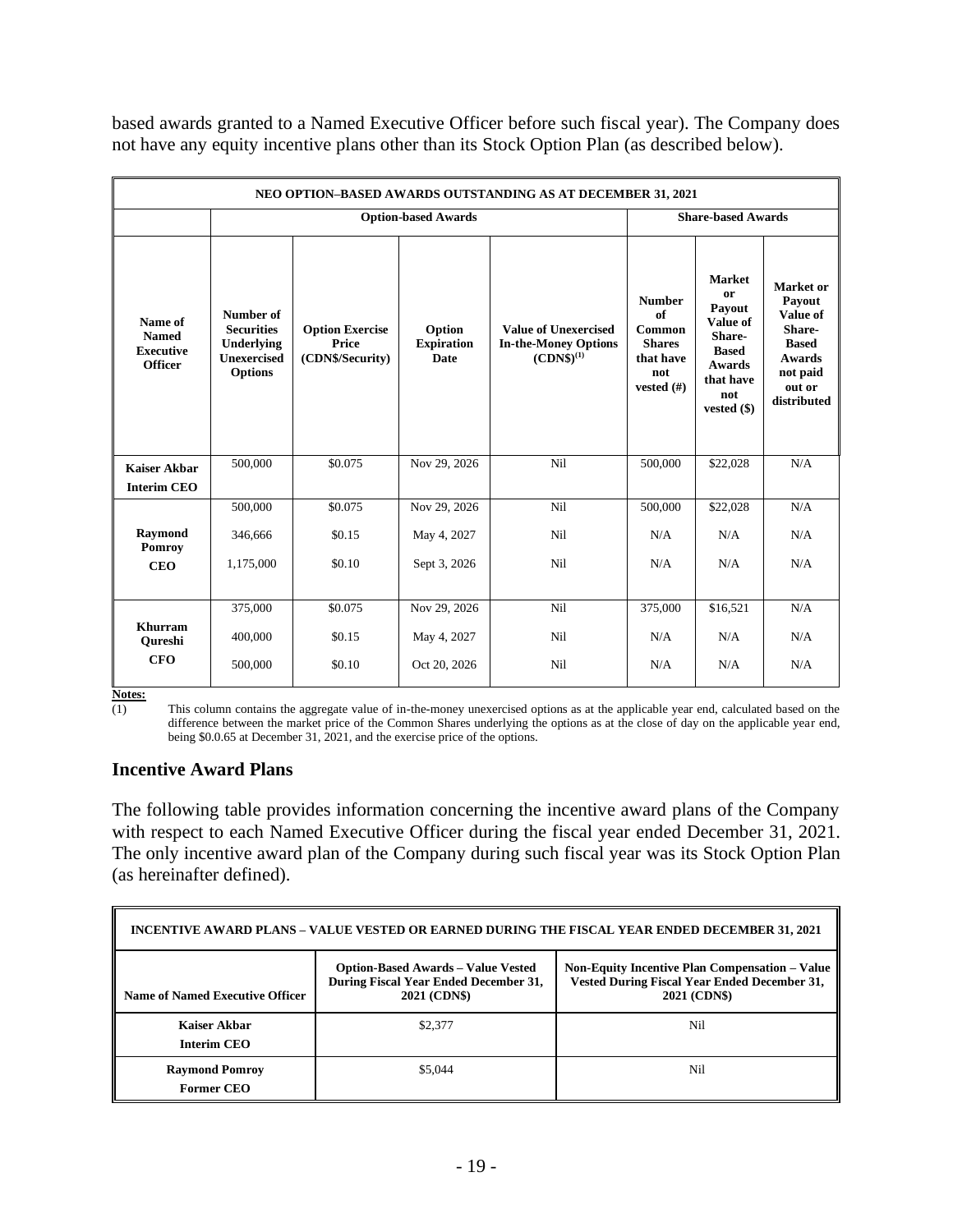|                                                               | NEO OPTION-BASED AWARDS OUTSTANDING AS AT DECEMBER 31, 2021                          |                                                     |                                            |                                                                              |                                                                                    |                                                                                                                         |                                                                                                                 |  |
|---------------------------------------------------------------|--------------------------------------------------------------------------------------|-----------------------------------------------------|--------------------------------------------|------------------------------------------------------------------------------|------------------------------------------------------------------------------------|-------------------------------------------------------------------------------------------------------------------------|-----------------------------------------------------------------------------------------------------------------|--|
|                                                               |                                                                                      | <b>Option-based Awards</b>                          |                                            |                                                                              |                                                                                    | <b>Share-based Awards</b>                                                                                               |                                                                                                                 |  |
| Name of<br><b>Named</b><br><b>Executive</b><br><b>Officer</b> | Number of<br><b>Securities</b><br>Underlying<br><b>Unexercised</b><br><b>Options</b> | <b>Option Exercise</b><br>Price<br>(CDN\$/Security) | Option<br><b>Expiration</b><br><b>Date</b> | <b>Value of Unexercised</b><br><b>In-the-Money Options</b><br>$(CDNS)^{(1)}$ | <b>Number</b><br>of<br>Common<br><b>Shares</b><br>that have<br>not<br>vested $(f)$ | <b>Market</b><br>or<br>Payout<br>Value of<br>Share-<br><b>Based</b><br><b>Awards</b><br>that have<br>not<br>vested (\$) | Market or<br>Payout<br>Value of<br>Share-<br><b>Based</b><br><b>Awards</b><br>not paid<br>out or<br>distributed |  |
| <b>Kaiser Akbar</b>                                           | 500,000                                                                              | \$0.075                                             | Nov 29, 2026                               | Nil                                                                          | 500,000                                                                            | \$22,028                                                                                                                | N/A                                                                                                             |  |
| <b>Interim CEO</b>                                            |                                                                                      |                                                     |                                            |                                                                              |                                                                                    |                                                                                                                         |                                                                                                                 |  |
|                                                               | 500,000                                                                              | \$0.075                                             | Nov 29, 2026                               | Ni1                                                                          | 500,000                                                                            | \$22,028                                                                                                                | N/A                                                                                                             |  |
| Raymond<br>Pomroy                                             | 346,666                                                                              | \$0.15                                              | May 4, 2027                                | Nil                                                                          | N/A                                                                                | N/A                                                                                                                     | N/A                                                                                                             |  |
| <b>CEO</b>                                                    | 1,175,000                                                                            | \$0.10                                              | Sept 3, 2026                               | Nil                                                                          | N/A                                                                                | N/A                                                                                                                     | N/A                                                                                                             |  |
|                                                               | 375,000                                                                              | \$0.075                                             | Nov 29, 2026                               | Nil                                                                          | 375,000                                                                            | \$16,521                                                                                                                | N/A                                                                                                             |  |
| <b>Khurram</b><br>Oureshi                                     | 400,000                                                                              | \$0.15                                              | May 4, 2027                                | Nil                                                                          | N/A                                                                                | N/A                                                                                                                     | N/A                                                                                                             |  |
| <b>CFO</b>                                                    | 500,000                                                                              | \$0.10                                              | Oct 20, 2026                               | Nil                                                                          | N/A                                                                                | N/A                                                                                                                     | N/A                                                                                                             |  |

based awards granted to a Named Executive Officer before such fiscal year). The Company does not have any equity incentive plans other than its Stock Option Plan (as described below).

**Notes:**

 $\overline{(1)}$  This column contains the aggregate value of in-the-money unexercised options as at the applicable year end, calculated based on the difference between the market price of the Common Shares underlying the options as at the close of day on the applicable year end, being \$0.0.65 at December 31, 2021, and the exercise price of the options.

## **Incentive Award Plans**

The following table provides information concerning the incentive award plans of the Company with respect to each Named Executive Officer during the fiscal year ended December 31, 2021. The only incentive award plan of the Company during such fiscal year was its Stock Option Plan (as hereinafter defined).

| INCENTIVE AWARD PLANS – VALUE VESTED OR EARNED DURING THE FISCAL YEAR ENDED DECEMBER 31, 2021                                                                                                                                                                         |         |     |  |  |  |  |
|-----------------------------------------------------------------------------------------------------------------------------------------------------------------------------------------------------------------------------------------------------------------------|---------|-----|--|--|--|--|
| <b>Option-Based Awards - Value Vested</b><br><b>Non-Equity Incentive Plan Compensation – Value</b><br>Vested During Fiscal Year Ended December 31,<br>During Fiscal Year Ended December 31,<br><b>2021 (CDN\$)</b><br>2021 (CDN\$)<br>Name of Named Executive Officer |         |     |  |  |  |  |
| Kaiser Akbar<br><b>Interim CEO</b>                                                                                                                                                                                                                                    | \$2,377 | Nil |  |  |  |  |
| <b>Raymond Pomroy</b><br><b>Former CEO</b>                                                                                                                                                                                                                            | \$5,044 | Nil |  |  |  |  |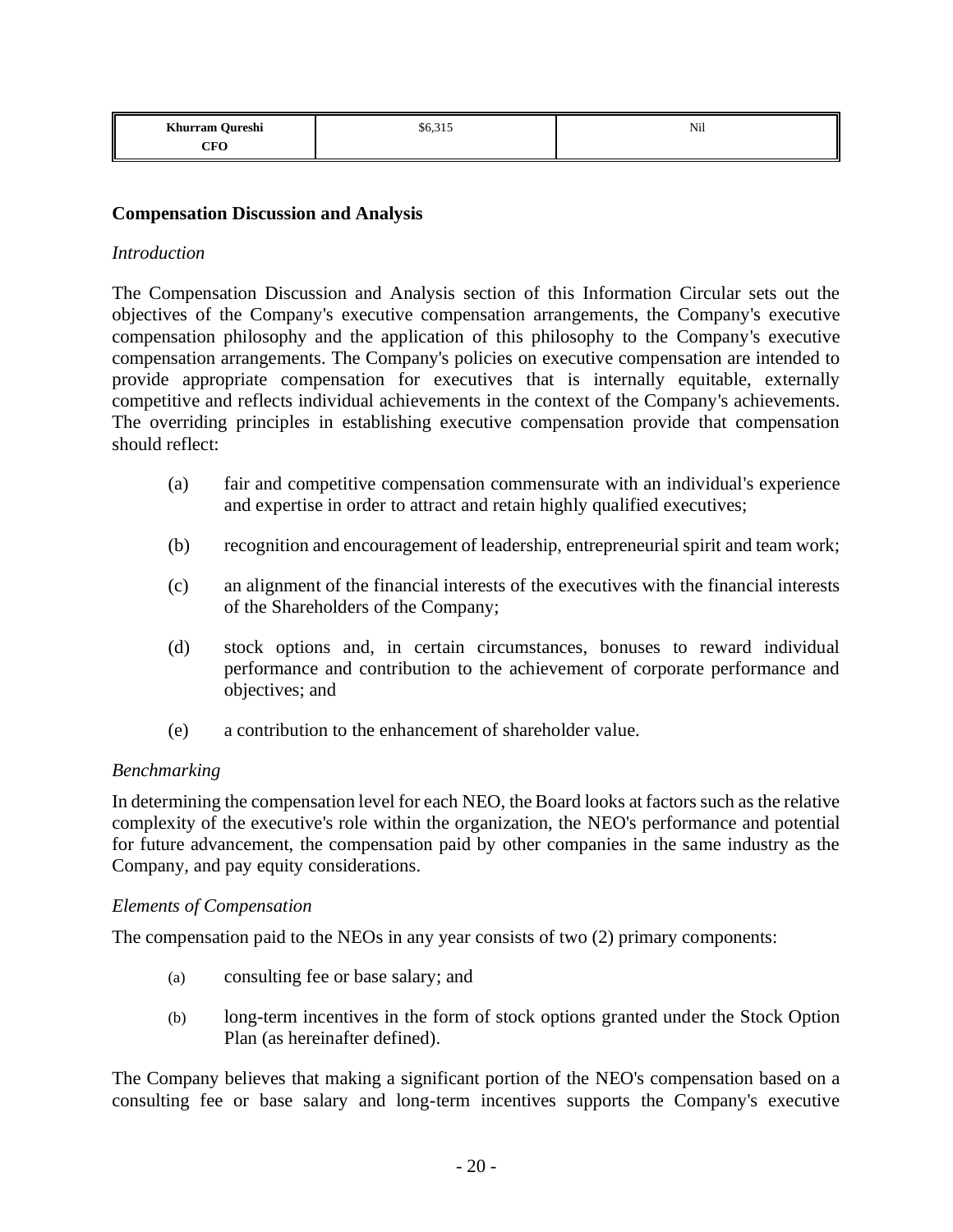| Khurram Qureshi                | $\sim$ 0.1 $\sim$<br>\$6,315 | Nil |
|--------------------------------|------------------------------|-----|
| $\gamma_{\rm E}\Omega$<br>ur v |                              |     |

#### **Compensation Discussion and Analysis**

#### *Introduction*

The Compensation Discussion and Analysis section of this Information Circular sets out the objectives of the Company's executive compensation arrangements, the Company's executive compensation philosophy and the application of this philosophy to the Company's executive compensation arrangements. The Company's policies on executive compensation are intended to provide appropriate compensation for executives that is internally equitable, externally competitive and reflects individual achievements in the context of the Company's achievements. The overriding principles in establishing executive compensation provide that compensation should reflect:

- (a) fair and competitive compensation commensurate with an individual's experience and expertise in order to attract and retain highly qualified executives;
- (b) recognition and encouragement of leadership, entrepreneurial spirit and team work;
- (c) an alignment of the financial interests of the executives with the financial interests of the Shareholders of the Company;
- (d) stock options and, in certain circumstances, bonuses to reward individual performance and contribution to the achievement of corporate performance and objectives; and
- (e) a contribution to the enhancement of shareholder value.

#### *Benchmarking*

In determining the compensation level for each NEO, the Board looks at factors such as the relative complexity of the executive's role within the organization, the NEO's performance and potential for future advancement, the compensation paid by other companies in the same industry as the Company, and pay equity considerations.

#### *Elements of Compensation*

The compensation paid to the NEOs in any year consists of two (2) primary components:

- (a) consulting fee or base salary; and
- (b) long-term incentives in the form of stock options granted under the Stock Option Plan (as hereinafter defined).

The Company believes that making a significant portion of the NEO's compensation based on a consulting fee or base salary and long-term incentives supports the Company's executive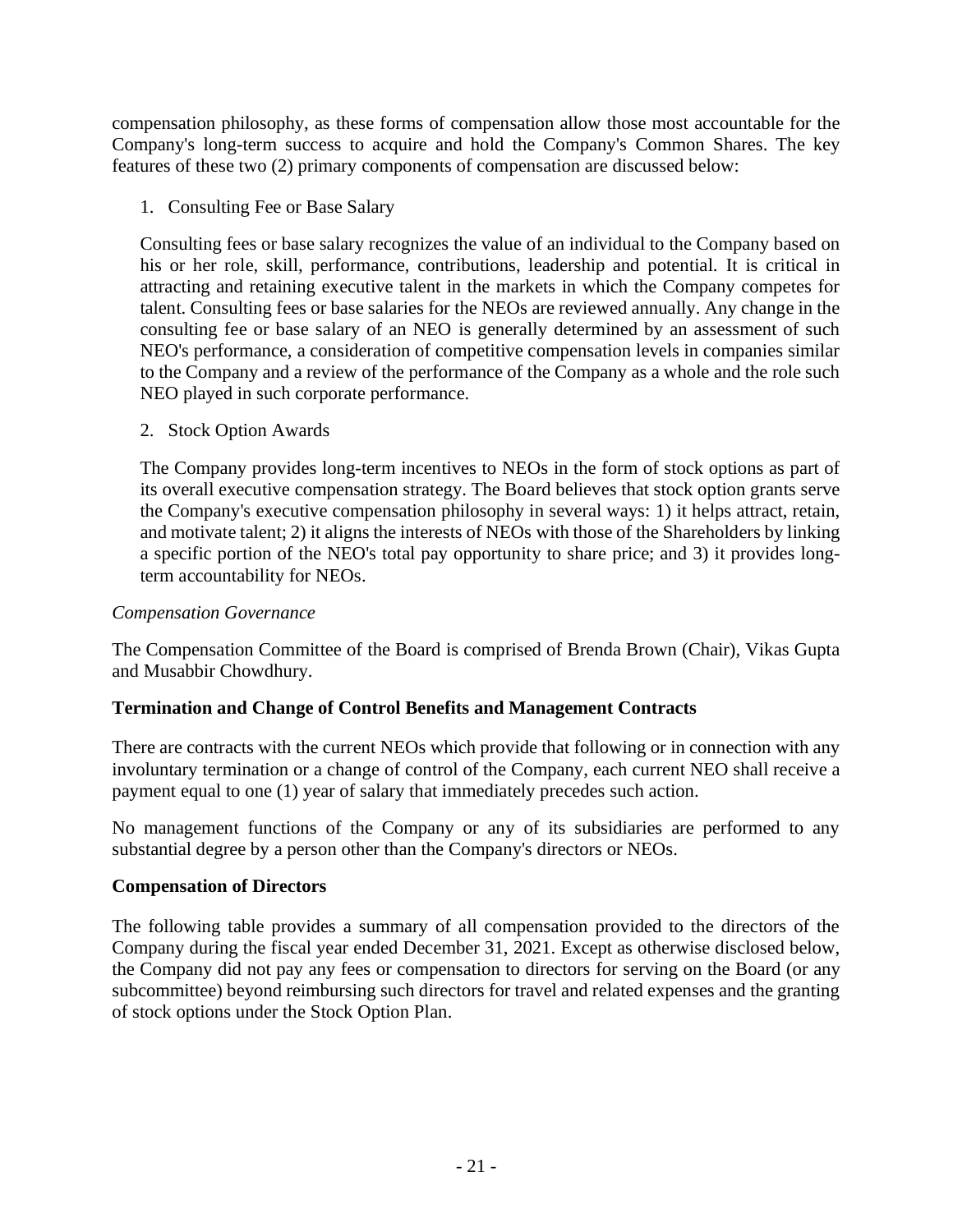compensation philosophy, as these forms of compensation allow those most accountable for the Company's long-term success to acquire and hold the Company's Common Shares. The key features of these two (2) primary components of compensation are discussed below:

1. Consulting Fee or Base Salary

Consulting fees or base salary recognizes the value of an individual to the Company based on his or her role, skill, performance, contributions, leadership and potential. It is critical in attracting and retaining executive talent in the markets in which the Company competes for talent. Consulting fees or base salaries for the NEOs are reviewed annually. Any change in the consulting fee or base salary of an NEO is generally determined by an assessment of such NEO's performance, a consideration of competitive compensation levels in companies similar to the Company and a review of the performance of the Company as a whole and the role such NEO played in such corporate performance.

2. Stock Option Awards

The Company provides long-term incentives to NEOs in the form of stock options as part of its overall executive compensation strategy. The Board believes that stock option grants serve the Company's executive compensation philosophy in several ways: 1) it helps attract, retain, and motivate talent; 2) it aligns the interests of NEOs with those of the Shareholders by linking a specific portion of the NEO's total pay opportunity to share price; and 3) it provides longterm accountability for NEOs.

## *Compensation Governance*

The Compensation Committee of the Board is comprised of Brenda Brown (Chair), Vikas Gupta and Musabbir Chowdhury.

## **Termination and Change of Control Benefits and Management Contracts**

There are contracts with the current NEOs which provide that following or in connection with any involuntary termination or a change of control of the Company, each current NEO shall receive a payment equal to one (1) year of salary that immediately precedes such action.

No management functions of the Company or any of its subsidiaries are performed to any substantial degree by a person other than the Company's directors or NEOs.

## **Compensation of Directors**

The following table provides a summary of all compensation provided to the directors of the Company during the fiscal year ended December 31, 2021. Except as otherwise disclosed below, the Company did not pay any fees or compensation to directors for serving on the Board (or any subcommittee) beyond reimbursing such directors for travel and related expenses and the granting of stock options under the Stock Option Plan.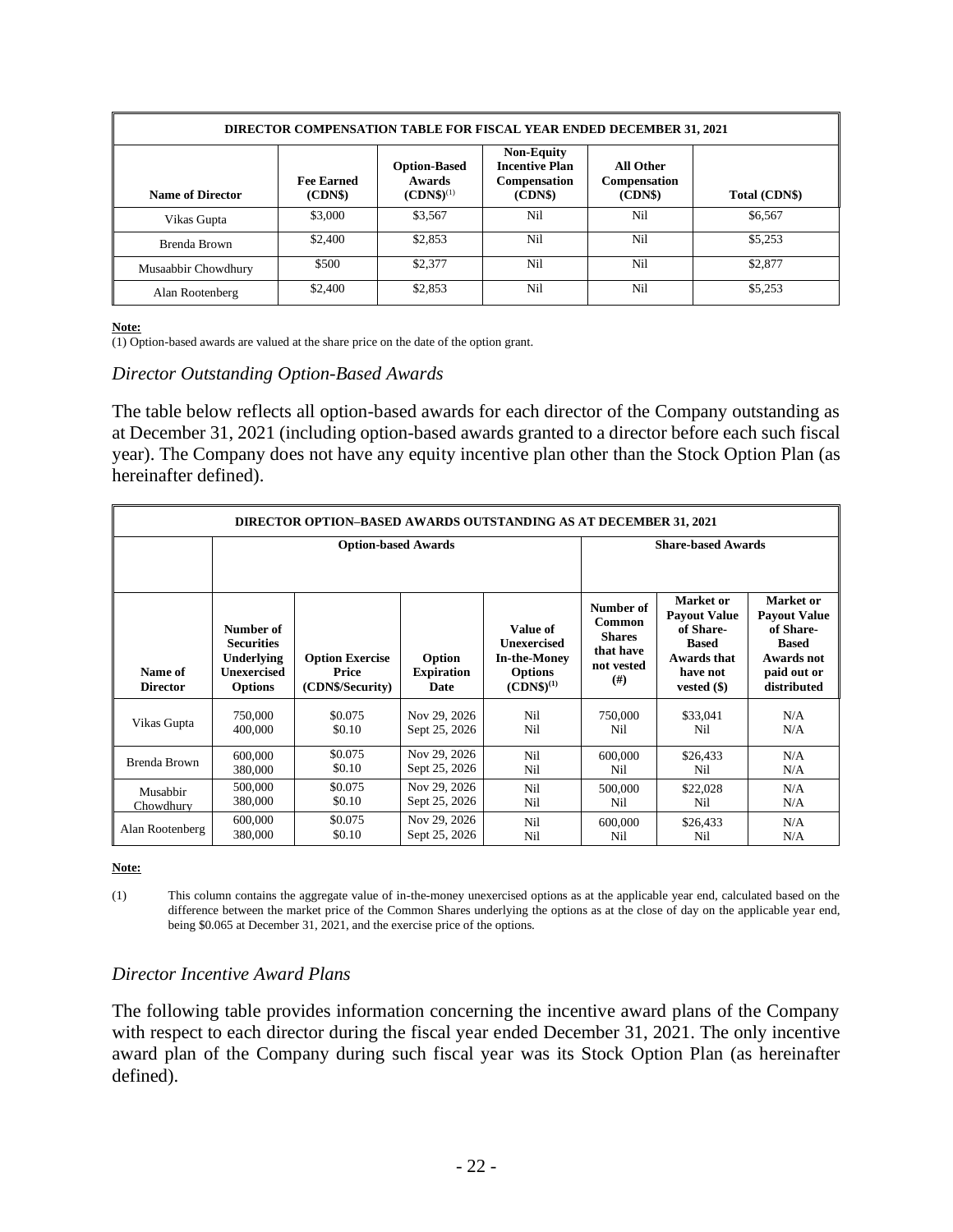| <b>DIRECTOR COMPENSATION TABLE FOR FISCAL YEAR ENDED DECEMBER 31, 2021</b> |                             |                                                        |                                                                              |                                      |               |
|----------------------------------------------------------------------------|-----------------------------|--------------------------------------------------------|------------------------------------------------------------------------------|--------------------------------------|---------------|
| <b>Name of Director</b>                                                    | <b>Fee Earned</b><br>(CDNS) | <b>Option-Based</b><br><b>Awards</b><br>$(CDNS)^{(1)}$ | <b>Non-Equity</b><br><b>Incentive Plan</b><br><b>Compensation</b><br>(CDN\$) | All Other<br>Compensation<br>(CDN\$) | Total (CDN\$) |
| Vikas Gupta                                                                | \$3,000                     | \$3,567                                                | Nil                                                                          | Nil                                  | \$6,567       |
| Brenda Brown                                                               | \$2,400                     | \$2,853                                                | Nil                                                                          | Nil                                  | \$5,253       |
| Musaabbir Chowdhury                                                        | \$500                       | \$2,377                                                | Nil                                                                          | Nil                                  | \$2,877       |
| Alan Rootenberg                                                            | \$2,400                     | \$2,853                                                | Nil                                                                          | Nil                                  | \$5,253       |

#### **Note:**

 $\overline{(1)$  Option-based awards are valued at the share price on the date of the option grant.

#### *Director Outstanding Option-Based Awards*

The table below reflects all option-based awards for each director of the Company outstanding as at December 31, 2021 (including option-based awards granted to a director before each such fiscal year). The Company does not have any equity incentive plan other than the Stock Option Plan (as hereinafter defined).

| <b>DIRECTOR OPTION-BASED AWARDS OUTSTANDING AS AT DECEMBER 31, 2021</b> |                                                                                      |                                                     |                                            |                                                                                           |                                                                         |                                                                                                           |                                                                                                           |
|-------------------------------------------------------------------------|--------------------------------------------------------------------------------------|-----------------------------------------------------|--------------------------------------------|-------------------------------------------------------------------------------------------|-------------------------------------------------------------------------|-----------------------------------------------------------------------------------------------------------|-----------------------------------------------------------------------------------------------------------|
|                                                                         | <b>Option-based Awards</b>                                                           |                                                     |                                            |                                                                                           |                                                                         | <b>Share-based Awards</b>                                                                                 |                                                                                                           |
|                                                                         |                                                                                      |                                                     |                                            |                                                                                           |                                                                         |                                                                                                           |                                                                                                           |
| Name of<br><b>Director</b>                                              | Number of<br><b>Securities</b><br>Underlying<br><b>Unexercised</b><br><b>Options</b> | <b>Option Exercise</b><br>Price<br>(CDN\$/Security) | Option<br><b>Expiration</b><br><b>Date</b> | Value of<br><b>Unexercised</b><br><b>In-the-Money</b><br><b>Options</b><br>$(CDNS)^{(1)}$ | Number of<br>Common<br><b>Shares</b><br>that have<br>not vested<br>(# ) | Market or<br><b>Payout Value</b><br>of Share-<br><b>Based</b><br>Awards that<br>have not<br>vested $(\$)$ | Market or<br><b>Payout Value</b><br>of Share-<br><b>Based</b><br>Awards not<br>paid out or<br>distributed |
| Vikas Gupta                                                             | 750,000                                                                              | \$0.075                                             | Nov 29, 2026                               | Nil                                                                                       | 750,000                                                                 | \$33,041                                                                                                  | N/A                                                                                                       |
|                                                                         | 400,000                                                                              | \$0.10                                              | Sept 25, 2026                              | Nil                                                                                       | Nil                                                                     | Nil                                                                                                       | N/A                                                                                                       |
| Brenda Brown                                                            | 600,000                                                                              | \$0.075                                             | Nov 29, 2026                               | Nil                                                                                       | 600,000                                                                 | \$26,433                                                                                                  | N/A                                                                                                       |
|                                                                         | 380,000                                                                              | \$0.10                                              | Sept 25, 2026                              | Nil                                                                                       | Nil                                                                     | Nil                                                                                                       | N/A                                                                                                       |
| Musabbir                                                                | 500,000                                                                              | \$0.075                                             | Nov 29, 2026                               | Nil                                                                                       | 500,000                                                                 | \$22,028                                                                                                  | N/A                                                                                                       |
| Chowdhury                                                               | 380,000                                                                              | \$0.10                                              | Sept 25, 2026                              | Nil                                                                                       | Nil                                                                     | Nil                                                                                                       | N/A                                                                                                       |
| Alan Rootenberg                                                         | 600,000                                                                              | \$0.075                                             | Nov 29, 2026                               | Nil                                                                                       | 600,000                                                                 | \$26,433                                                                                                  | N/A                                                                                                       |
|                                                                         | 380,000                                                                              | \$0.10                                              | Sept 25, 2026                              | Nil                                                                                       | Nil                                                                     | Nil                                                                                                       | N/A                                                                                                       |

**Note:**

## *Director Incentive Award Plans*

The following table provides information concerning the incentive award plans of the Company with respect to each director during the fiscal year ended December 31, 2021. The only incentive award plan of the Company during such fiscal year was its Stock Option Plan (as hereinafter defined).

<sup>(1)</sup> This column contains the aggregate value of in-the-money unexercised options as at the applicable year end, calculated based on the difference between the market price of the Common Shares underlying the options as at the close of day on the applicable year end, being \$0.065 at December 31, 2021, and the exercise price of the options.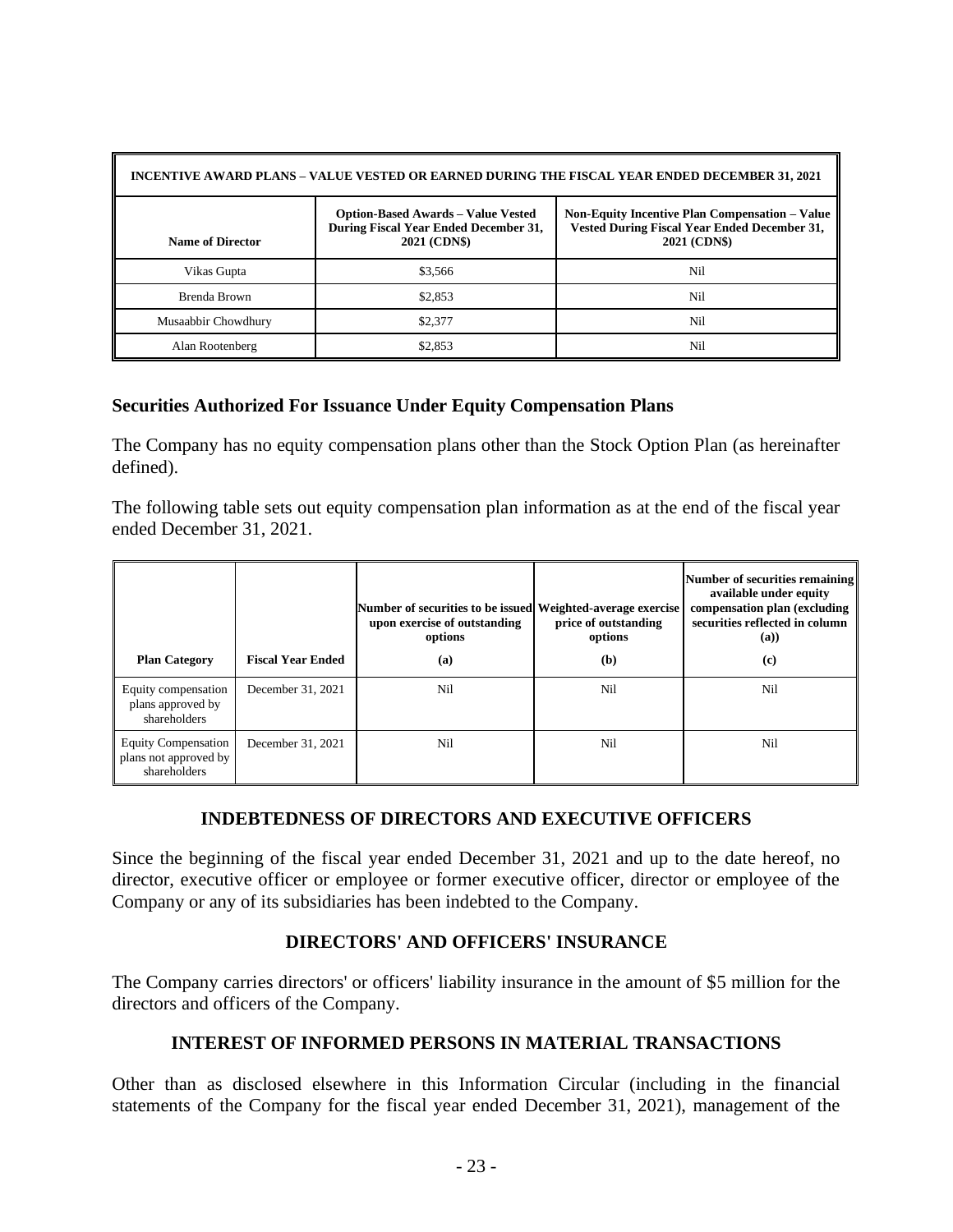| INCENTIVE AWARD PLANS – VALUE VESTED OR EARNED DURING THE FISCAL YEAR ENDED DECEMBER 31, 2021 |                                                                                                    |                                                                                                                       |  |  |  |
|-----------------------------------------------------------------------------------------------|----------------------------------------------------------------------------------------------------|-----------------------------------------------------------------------------------------------------------------------|--|--|--|
| <b>Name of Director</b>                                                                       | <b>Option-Based Awards – Value Vested</b><br>During Fiscal Year Ended December 31,<br>2021 (CDN\$) | <b>Non-Equity Incentive Plan Compensation - Value</b><br>Vested During Fiscal Year Ended December 31,<br>2021 (CDN\$) |  |  |  |
| Vikas Gupta                                                                                   | \$3,566                                                                                            | Nil                                                                                                                   |  |  |  |
| Brenda Brown                                                                                  | \$2,853                                                                                            | Nil                                                                                                                   |  |  |  |
| Musaabbir Chowdhury                                                                           | \$2,377                                                                                            | Nil                                                                                                                   |  |  |  |
| Alan Rootenberg                                                                               | \$2,853                                                                                            | Nil                                                                                                                   |  |  |  |

#### **Securities Authorized For Issuance Under Equity Compensation Plans**

The Company has no equity compensation plans other than the Stock Option Plan (as hereinafter defined).

The following table sets out equity compensation plan information as at the end of the fiscal year ended December 31, 2021.

| <b>Plan Category</b>                                                | <b>Fiscal Year Ended</b> | Number of securities to be issued Weighted-average exercise<br>upon exercise of outstanding<br>options<br>(a) | price of outstanding<br>options<br>(b) | Number of securities remaining<br>available under equity<br>compensation plan (excluding<br>securities reflected in column<br>(a))<br>(c) |
|---------------------------------------------------------------------|--------------------------|---------------------------------------------------------------------------------------------------------------|----------------------------------------|-------------------------------------------------------------------------------------------------------------------------------------------|
| Equity compensation<br>plans approved by<br>shareholders            | December 31, 2021        | Nil                                                                                                           | Nil                                    | Nil                                                                                                                                       |
| <b>Equity Compensation</b><br>plans not approved by<br>shareholders | December 31, 2021        | Nil                                                                                                           | Nil                                    | Nil                                                                                                                                       |

## **INDEBTEDNESS OF DIRECTORS AND EXECUTIVE OFFICERS**

Since the beginning of the fiscal year ended December 31, 2021 and up to the date hereof, no director, executive officer or employee or former executive officer, director or employee of the Company or any of its subsidiaries has been indebted to the Company.

## **DIRECTORS' AND OFFICERS' INSURANCE**

The Company carries directors' or officers' liability insurance in the amount of \$5 million for the directors and officers of the Company.

## **INTEREST OF INFORMED PERSONS IN MATERIAL TRANSACTIONS**

Other than as disclosed elsewhere in this Information Circular (including in the financial statements of the Company for the fiscal year ended December 31, 2021), management of the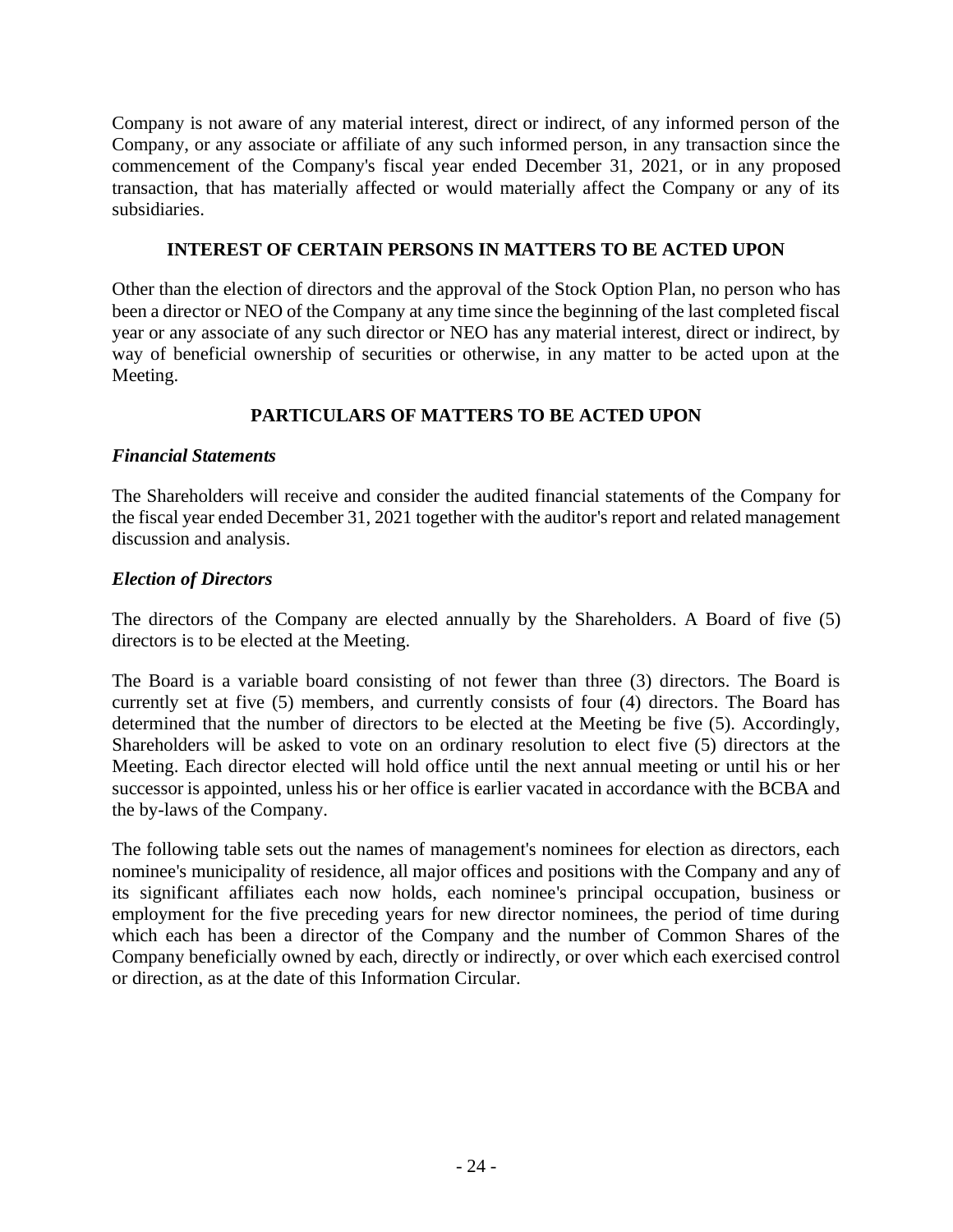Company is not aware of any material interest, direct or indirect, of any informed person of the Company, or any associate or affiliate of any such informed person, in any transaction since the commencement of the Company's fiscal year ended December 31, 2021, or in any proposed transaction, that has materially affected or would materially affect the Company or any of its subsidiaries.

#### **INTEREST OF CERTAIN PERSONS IN MATTERS TO BE ACTED UPON**

Other than the election of directors and the approval of the Stock Option Plan, no person who has been a director or NEO of the Company at any time since the beginning of the last completed fiscal year or any associate of any such director or NEO has any material interest, direct or indirect, by way of beneficial ownership of securities or otherwise, in any matter to be acted upon at the Meeting.

## **PARTICULARS OF MATTERS TO BE ACTED UPON**

#### *Financial Statements*

The Shareholders will receive and consider the audited financial statements of the Company for the fiscal year ended December 31, 2021 together with the auditor's report and related management discussion and analysis.

#### *Election of Directors*

The directors of the Company are elected annually by the Shareholders. A Board of five (5) directors is to be elected at the Meeting.

The Board is a variable board consisting of not fewer than three (3) directors. The Board is currently set at five (5) members, and currently consists of four (4) directors. The Board has determined that the number of directors to be elected at the Meeting be five (5). Accordingly, Shareholders will be asked to vote on an ordinary resolution to elect five (5) directors at the Meeting. Each director elected will hold office until the next annual meeting or until his or her successor is appointed, unless his or her office is earlier vacated in accordance with the BCBA and the by-laws of the Company.

The following table sets out the names of management's nominees for election as directors, each nominee's municipality of residence, all major offices and positions with the Company and any of its significant affiliates each now holds, each nominee's principal occupation, business or employment for the five preceding years for new director nominees, the period of time during which each has been a director of the Company and the number of Common Shares of the Company beneficially owned by each, directly or indirectly, or over which each exercised control or direction, as at the date of this Information Circular.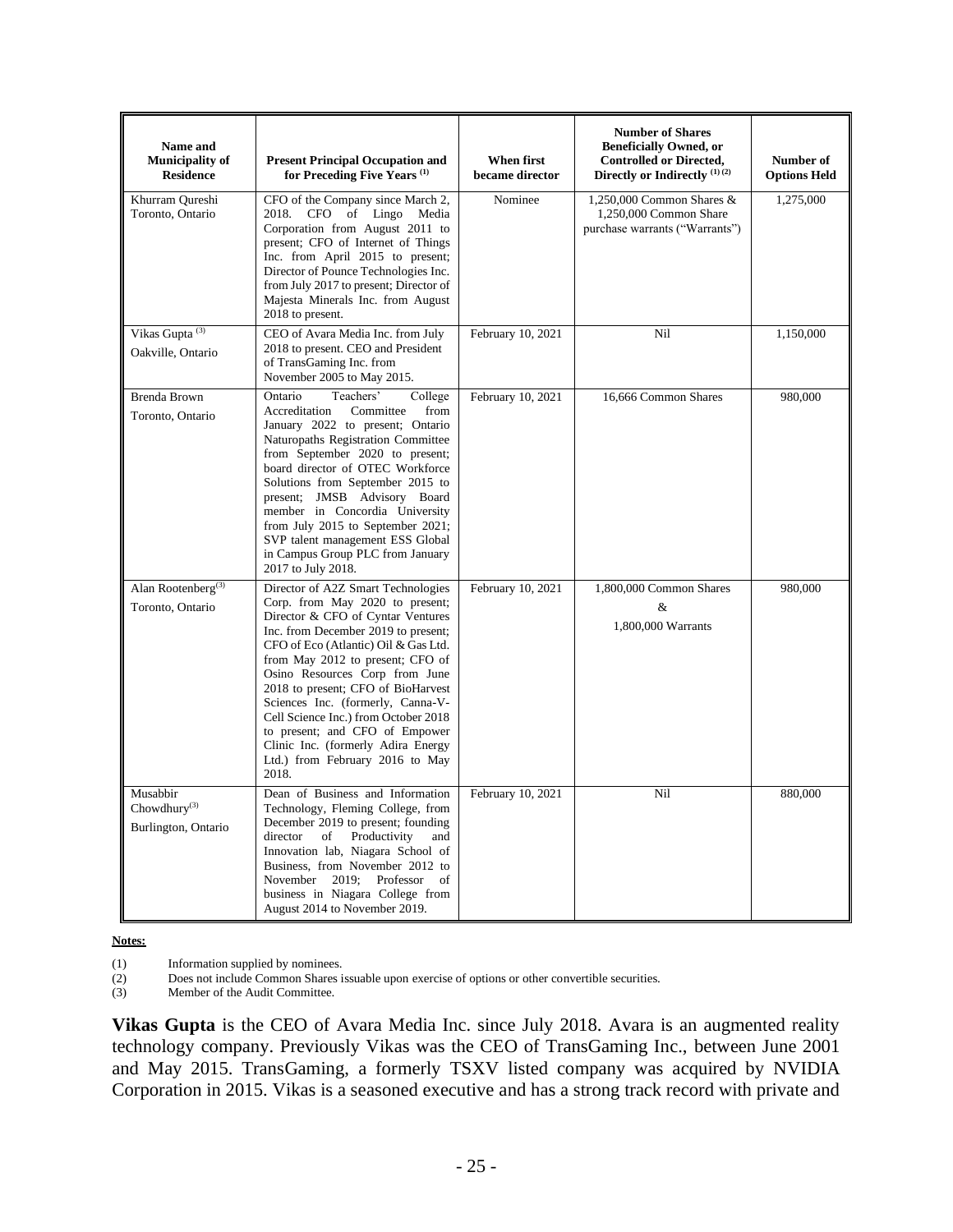| Name and<br><b>Municipality of</b><br><b>Residence</b>      | <b>Present Principal Occupation and</b><br>for Preceding Five Years <sup>(1)</sup>                                                                                                                                                                                                                                                                                                                                                                                                                     | When first<br>became director | <b>Number of Shares</b><br><b>Beneficially Owned, or</b><br><b>Controlled or Directed,</b><br>Directly or Indirectly <sup>(1)(2)</sup> | Number of<br><b>Options Held</b> |
|-------------------------------------------------------------|--------------------------------------------------------------------------------------------------------------------------------------------------------------------------------------------------------------------------------------------------------------------------------------------------------------------------------------------------------------------------------------------------------------------------------------------------------------------------------------------------------|-------------------------------|----------------------------------------------------------------------------------------------------------------------------------------|----------------------------------|
| Khurram Qureshi<br>Toronto, Ontario                         | CFO of the Company since March 2,<br>2018. CFO of Lingo Media<br>Corporation from August 2011 to<br>present; CFO of Internet of Things<br>Inc. from April 2015 to present;<br>Director of Pounce Technologies Inc.<br>from July 2017 to present; Director of<br>Majesta Minerals Inc. from August<br>2018 to present.                                                                                                                                                                                  | Nominee                       | 1,250,000 Common Shares &<br>1,250,000 Common Share<br>purchase warrants ("Warrants")                                                  | 1,275,000                        |
| Vikas Gupta <sup>(3)</sup><br>Oakville, Ontario             | CEO of Avara Media Inc. from July<br>2018 to present. CEO and President<br>of TransGaming Inc. from<br>November 2005 to May 2015.                                                                                                                                                                                                                                                                                                                                                                      | February 10, 2021             | Nil                                                                                                                                    | 1,150,000                        |
| Brenda Brown<br>Toronto, Ontario                            | Teachers'<br>Ontario<br>College<br>Accreditation<br>Committee<br>from<br>January 2022 to present; Ontario<br>Naturopaths Registration Committee<br>from September 2020 to present;<br>board director of OTEC Workforce<br>Solutions from September 2015 to<br>present; JMSB Advisory Board<br>member in Concordia University<br>from July 2015 to September 2021;<br>SVP talent management ESS Global<br>in Campus Group PLC from January<br>2017 to July 2018.                                        | February 10, 2021             | 16,666 Common Shares                                                                                                                   | 980,000                          |
| Alan Rootenberg <sup>(3)</sup><br>Toronto, Ontario          | Director of A2Z Smart Technologies<br>Corp. from May 2020 to present;<br>Director & CFO of Cyntar Ventures<br>Inc. from December 2019 to present;<br>CFO of Eco (Atlantic) Oil & Gas Ltd.<br>from May 2012 to present; CFO of<br>Osino Resources Corp from June<br>2018 to present; CFO of BioHarvest<br>Sciences Inc. (formerly, Canna-V-<br>Cell Science Inc.) from October 2018<br>to present; and CFO of Empower<br>Clinic Inc. (formerly Adira Energy<br>Ltd.) from February 2016 to May<br>2018. | February 10, 2021             | 1,800,000 Common Shares<br>&<br>1,800,000 Warrants                                                                                     | 980,000                          |
| Musabbir<br>Chowdhury <sup>(3)</sup><br>Burlington, Ontario | Dean of Business and Information<br>Technology, Fleming College, from<br>December 2019 to present; founding<br>director<br>of<br>Productivity<br>and<br>Innovation lab, Niagara School of<br>Business, from November 2012 to<br>November<br>2019; Professor<br>of<br>business in Niagara College from<br>August 2014 to November 2019.                                                                                                                                                                 | February 10, 2021             | Nil                                                                                                                                    | 880,000                          |

**Notes:**

(1) Information supplied by nominees.<br>
(2) Does not include Common Shares i<br>
(3) Member of the Audit Committee. Does not include Common Shares issuable upon exercise of options or other convertible securities.

Member of the Audit Committee.

**Vikas Gupta** is the CEO of Avara Media Inc. since July 2018. Avara is an augmented reality technology company. Previously Vikas was the CEO of TransGaming Inc., between June 2001 and May 2015. TransGaming, a formerly TSXV listed company was acquired by NVIDIA Corporation in 2015. Vikas is a seasoned executive and has a strong track record with private and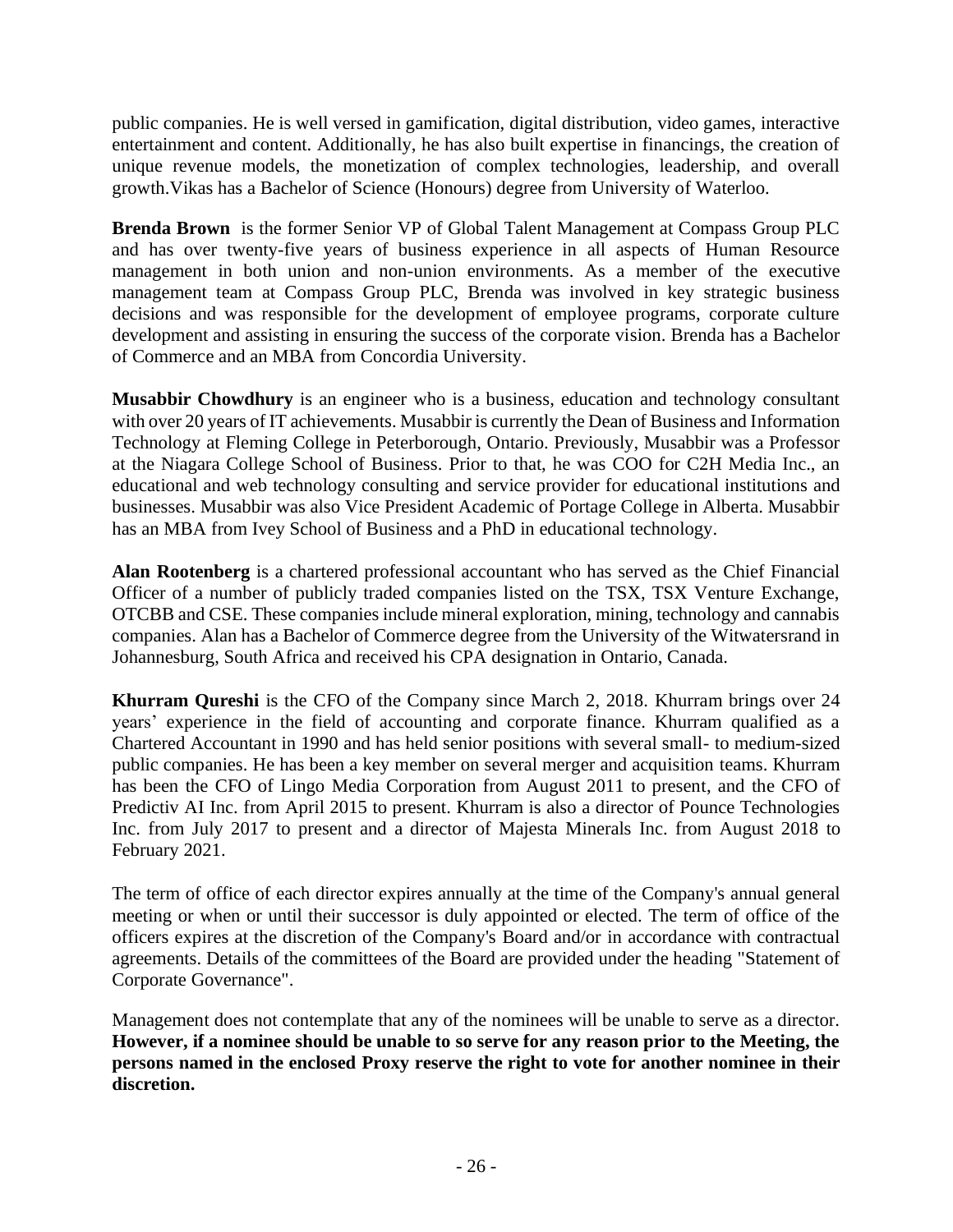public companies. He is well versed in gamification, digital distribution, video games, interactive entertainment and content. Additionally, he has also built expertise in financings, the creation of unique revenue models, the monetization of complex technologies, leadership, and overall growth.Vikas has a Bachelor of Science (Honours) degree from University of Waterloo.

**Brenda Brown** is the former Senior VP of Global Talent Management at Compass Group PLC and has over twenty-five years of business experience in all aspects of Human Resource management in both union and non-union environments. As a member of the executive management team at Compass Group PLC, Brenda was involved in key strategic business decisions and was responsible for the development of employee programs, corporate culture development and assisting in ensuring the success of the corporate vision. Brenda has a Bachelor of Commerce and an MBA from Concordia University.

**Musabbir Chowdhury** is an engineer who is a business, education and technology consultant with over 20 years of IT achievements. Musabbir is currently the Dean of Business and Information Technology at Fleming College in Peterborough, Ontario. Previously, Musabbir was a Professor at the Niagara College School of Business. Prior to that, he was COO for C2H Media Inc., an educational and web technology consulting and service provider for educational institutions and businesses. Musabbir was also Vice President Academic of Portage College in Alberta. Musabbir has an MBA from Ivey School of Business and a PhD in educational technology.

**Alan Rootenberg** is a chartered professional accountant who has served as the Chief Financial Officer of a number of publicly traded companies listed on the TSX, TSX Venture Exchange, OTCBB and CSE. These companies include mineral exploration, mining, technology and cannabis companies. Alan has a Bachelor of Commerce degree from the University of the Witwatersrand in Johannesburg, South Africa and received his CPA designation in Ontario, Canada.

**Khurram Qureshi** is the CFO of the Company since March 2, 2018. Khurram brings over 24 years' experience in the field of accounting and corporate finance. Khurram qualified as a Chartered Accountant in 1990 and has held senior positions with several small- to medium-sized public companies. He has been a key member on several merger and acquisition teams. Khurram has been the CFO of Lingo Media Corporation from August 2011 to present, and the CFO of Predictiv AI Inc. from April 2015 to present. Khurram is also a director of Pounce Technologies Inc. from July 2017 to present and a director of Majesta Minerals Inc. from August 2018 to February 2021.

The term of office of each director expires annually at the time of the Company's annual general meeting or when or until their successor is duly appointed or elected. The term of office of the officers expires at the discretion of the Company's Board and/or in accordance with contractual agreements. Details of the committees of the Board are provided under the heading "Statement of Corporate Governance".

Management does not contemplate that any of the nominees will be unable to serve as a director. **However, if a nominee should be unable to so serve for any reason prior to the Meeting, the persons named in the enclosed Proxy reserve the right to vote for another nominee in their discretion.**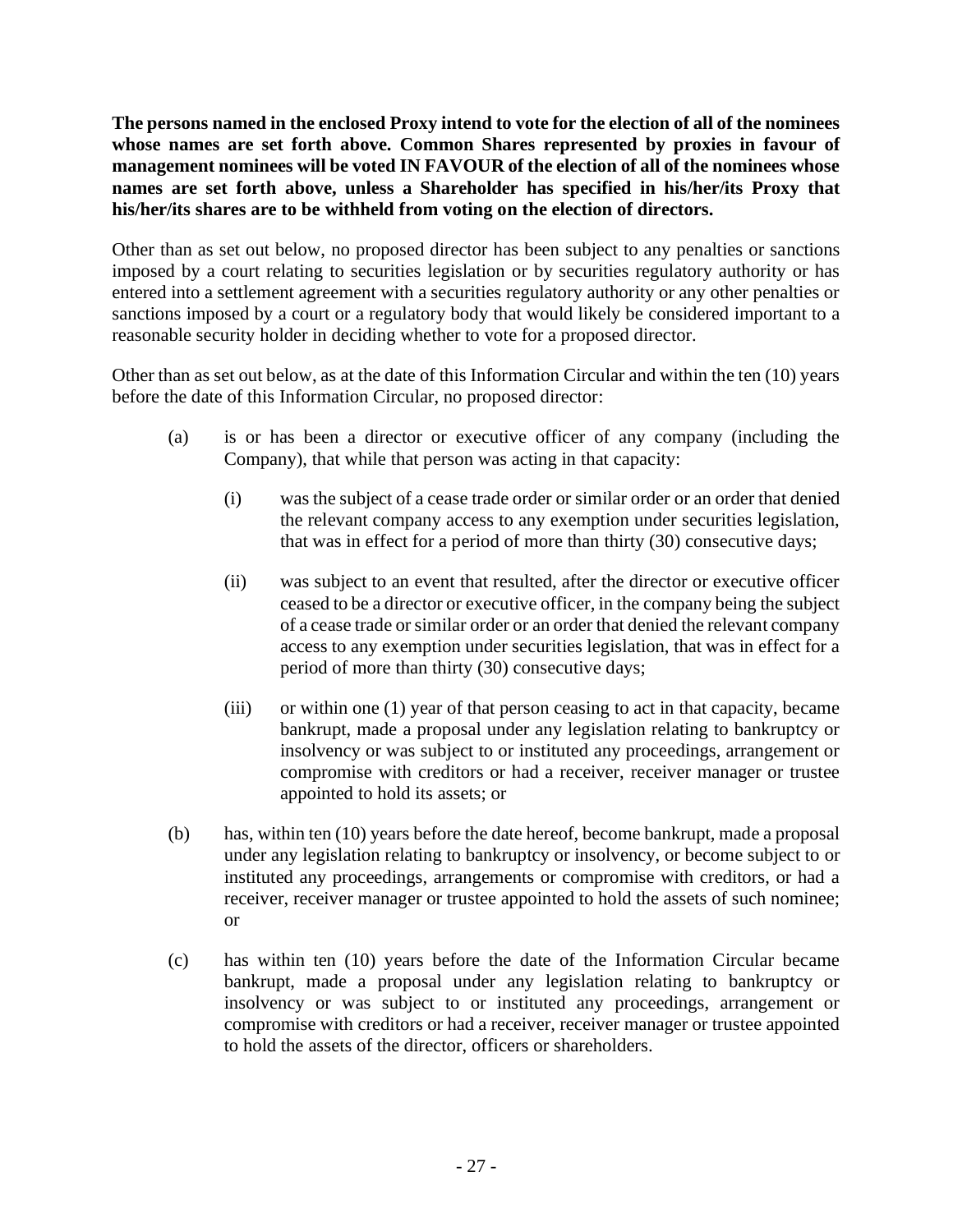**The persons named in the enclosed Proxy intend to vote for the election of all of the nominees whose names are set forth above. Common Shares represented by proxies in favour of management nominees will be voted IN FAVOUR of the election of all of the nominees whose names are set forth above, unless a Shareholder has specified in his/her/its Proxy that his/her/its shares are to be withheld from voting on the election of directors.**

Other than as set out below, no proposed director has been subject to any penalties or sanctions imposed by a court relating to securities legislation or by securities regulatory authority or has entered into a settlement agreement with a securities regulatory authority or any other penalties or sanctions imposed by a court or a regulatory body that would likely be considered important to a reasonable security holder in deciding whether to vote for a proposed director.

Other than as set out below, as at the date of this Information Circular and within the ten (10) years before the date of this Information Circular, no proposed director:

- (a) is or has been a director or executive officer of any company (including the Company), that while that person was acting in that capacity:
	- (i) was the subject of a cease trade order or similar order or an order that denied the relevant company access to any exemption under securities legislation, that was in effect for a period of more than thirty (30) consecutive days;
	- (ii) was subject to an event that resulted, after the director or executive officer ceased to be a director or executive officer, in the company being the subject of a cease trade or similar order or an order that denied the relevant company access to any exemption under securities legislation, that was in effect for a period of more than thirty (30) consecutive days;
	- (iii) or within one (1) year of that person ceasing to act in that capacity, became bankrupt, made a proposal under any legislation relating to bankruptcy or insolvency or was subject to or instituted any proceedings, arrangement or compromise with creditors or had a receiver, receiver manager or trustee appointed to hold its assets; or
- (b) has, within ten (10) years before the date hereof, become bankrupt, made a proposal under any legislation relating to bankruptcy or insolvency, or become subject to or instituted any proceedings, arrangements or compromise with creditors, or had a receiver, receiver manager or trustee appointed to hold the assets of such nominee; or
- (c) has within ten (10) years before the date of the Information Circular became bankrupt, made a proposal under any legislation relating to bankruptcy or insolvency or was subject to or instituted any proceedings, arrangement or compromise with creditors or had a receiver, receiver manager or trustee appointed to hold the assets of the director, officers or shareholders.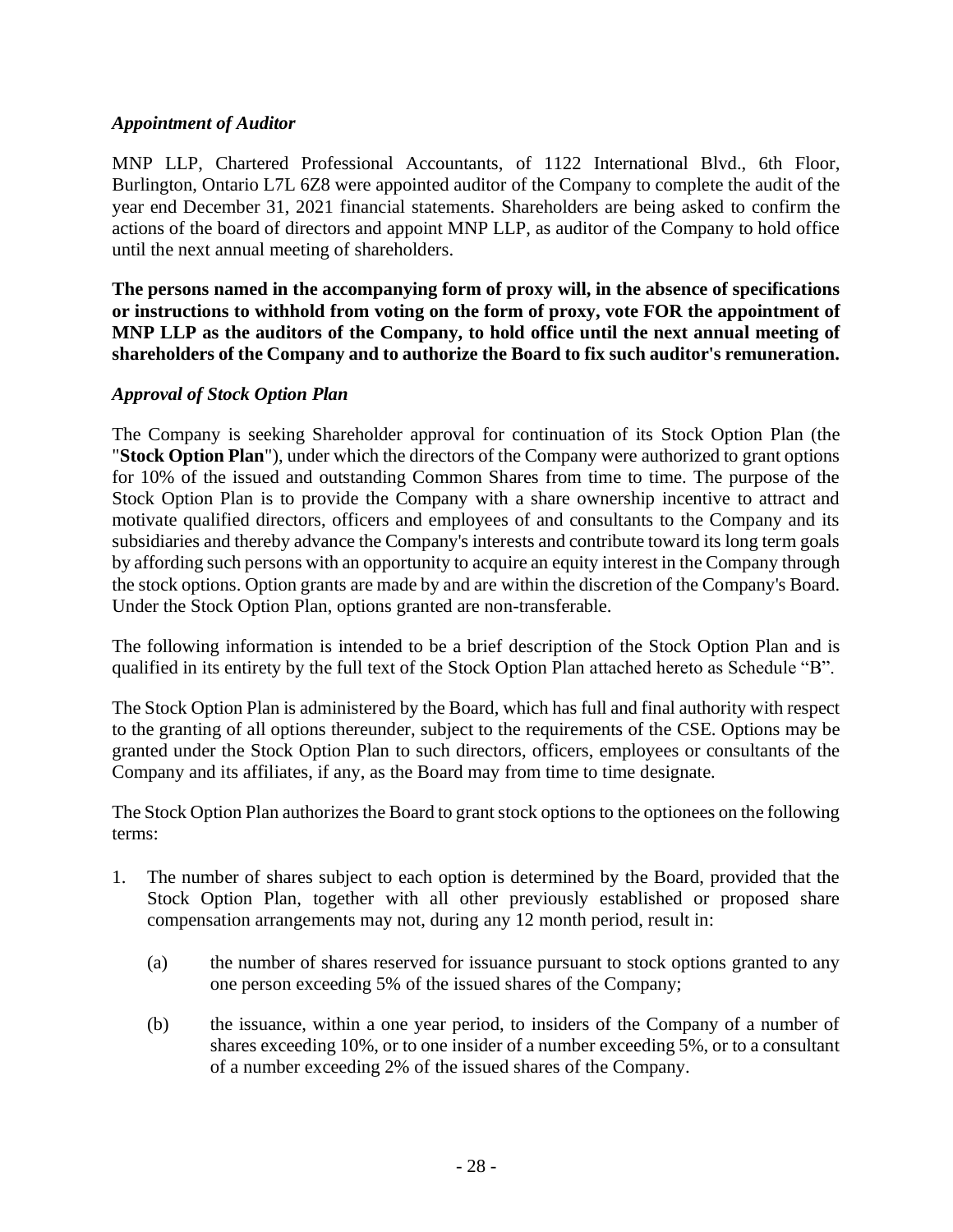#### *Appointment of Auditor*

MNP LLP, Chartered Professional Accountants, of 1122 International Blvd., 6th Floor, Burlington, Ontario L7L 6Z8 were appointed auditor of the Company to complete the audit of the year end December 31, 2021 financial statements. Shareholders are being asked to confirm the actions of the board of directors and appoint MNP LLP, as auditor of the Company to hold office until the next annual meeting of shareholders.

**The persons named in the accompanying form of proxy will, in the absence of specifications or instructions to withhold from voting on the form of proxy, vote FOR the appointment of MNP LLP as the auditors of the Company, to hold office until the next annual meeting of shareholders of the Company and to authorize the Board to fix such auditor's remuneration.**

#### *Approval of Stock Option Plan*

The Company is seeking Shareholder approval for continuation of its Stock Option Plan (the "**Stock Option Plan**"), under which the directors of the Company were authorized to grant options for 10% of the issued and outstanding Common Shares from time to time. The purpose of the Stock Option Plan is to provide the Company with a share ownership incentive to attract and motivate qualified directors, officers and employees of and consultants to the Company and its subsidiaries and thereby advance the Company's interests and contribute toward its long term goals by affording such persons with an opportunity to acquire an equity interest in the Company through the stock options. Option grants are made by and are within the discretion of the Company's Board. Under the Stock Option Plan, options granted are non-transferable.

The following information is intended to be a brief description of the Stock Option Plan and is qualified in its entirety by the full text of the Stock Option Plan attached hereto as Schedule "B".

The Stock Option Plan is administered by the Board, which has full and final authority with respect to the granting of all options thereunder, subject to the requirements of the CSE. Options may be granted under the Stock Option Plan to such directors, officers, employees or consultants of the Company and its affiliates, if any, as the Board may from time to time designate.

The Stock Option Plan authorizes the Board to grant stock options to the optionees on the following terms:

- 1. The number of shares subject to each option is determined by the Board, provided that the Stock Option Plan, together with all other previously established or proposed share compensation arrangements may not, during any 12 month period, result in:
	- (a) the number of shares reserved for issuance pursuant to stock options granted to any one person exceeding 5% of the issued shares of the Company;
	- (b) the issuance, within a one year period, to insiders of the Company of a number of shares exceeding 10%, or to one insider of a number exceeding 5%, or to a consultant of a number exceeding 2% of the issued shares of the Company.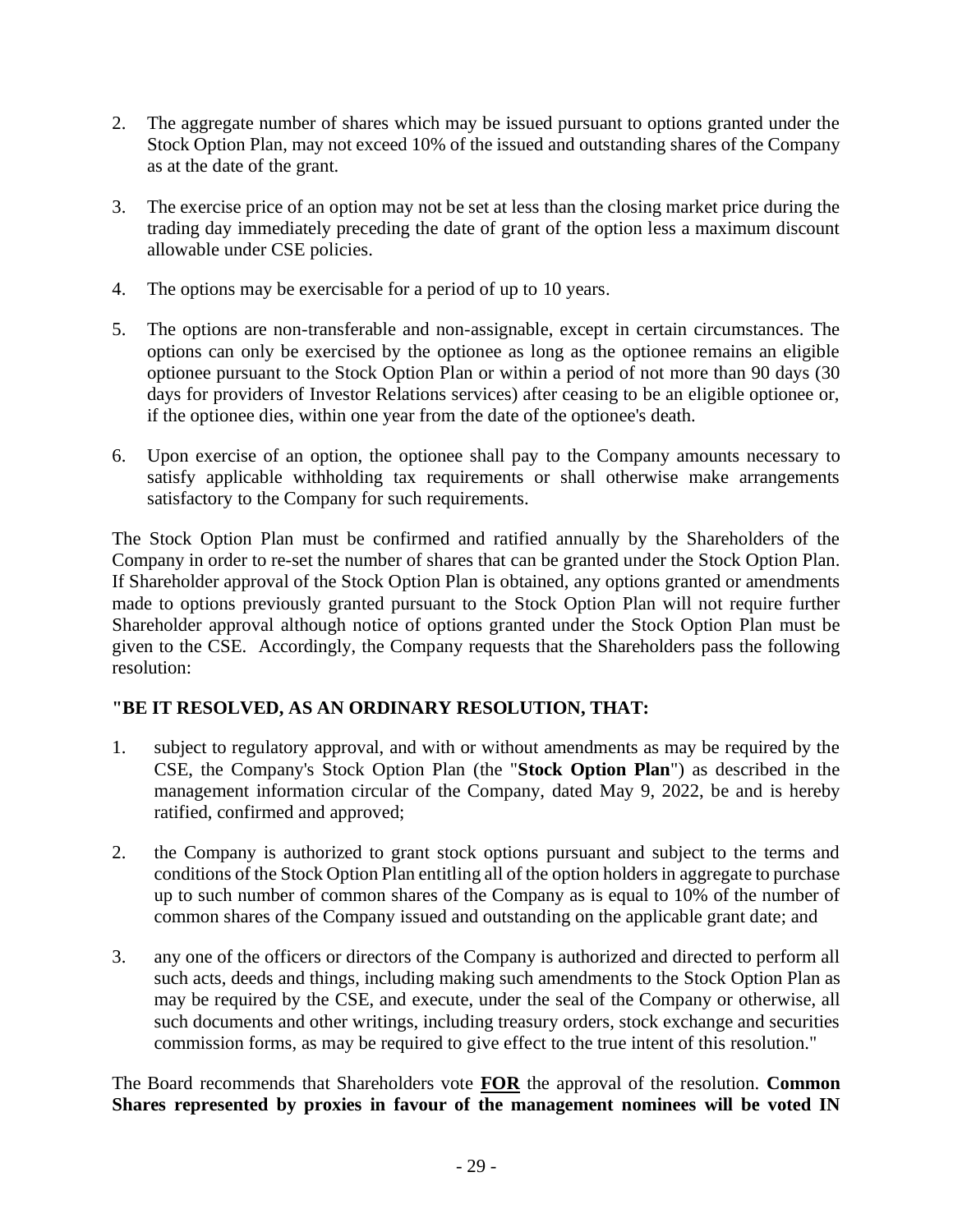- 2. The aggregate number of shares which may be issued pursuant to options granted under the Stock Option Plan, may not exceed 10% of the issued and outstanding shares of the Company as at the date of the grant.
- 3. The exercise price of an option may not be set at less than the closing market price during the trading day immediately preceding the date of grant of the option less a maximum discount allowable under CSE policies.
- 4. The options may be exercisable for a period of up to 10 years.
- 5. The options are non-transferable and non-assignable, except in certain circumstances. The options can only be exercised by the optionee as long as the optionee remains an eligible optionee pursuant to the Stock Option Plan or within a period of not more than 90 days (30 days for providers of Investor Relations services) after ceasing to be an eligible optionee or, if the optionee dies, within one year from the date of the optionee's death.
- 6. Upon exercise of an option, the optionee shall pay to the Company amounts necessary to satisfy applicable withholding tax requirements or shall otherwise make arrangements satisfactory to the Company for such requirements.

The Stock Option Plan must be confirmed and ratified annually by the Shareholders of the Company in order to re-set the number of shares that can be granted under the Stock Option Plan. If Shareholder approval of the Stock Option Plan is obtained, any options granted or amendments made to options previously granted pursuant to the Stock Option Plan will not require further Shareholder approval although notice of options granted under the Stock Option Plan must be given to the CSE. Accordingly, the Company requests that the Shareholders pass the following resolution:

## **"BE IT RESOLVED, AS AN ORDINARY RESOLUTION, THAT:**

- 1. subject to regulatory approval, and with or without amendments as may be required by the CSE, the Company's Stock Option Plan (the "**Stock Option Plan**") as described in the management information circular of the Company, dated May 9, 2022, be and is hereby ratified, confirmed and approved;
- 2. the Company is authorized to grant stock options pursuant and subject to the terms and conditions of the Stock Option Plan entitling all of the option holders in aggregate to purchase up to such number of common shares of the Company as is equal to 10% of the number of common shares of the Company issued and outstanding on the applicable grant date; and
- 3. any one of the officers or directors of the Company is authorized and directed to perform all such acts, deeds and things, including making such amendments to the Stock Option Plan as may be required by the CSE, and execute, under the seal of the Company or otherwise, all such documents and other writings, including treasury orders, stock exchange and securities commission forms, as may be required to give effect to the true intent of this resolution."

The Board recommends that Shareholders vote **FOR** the approval of the resolution. **Common Shares represented by proxies in favour of the management nominees will be voted IN**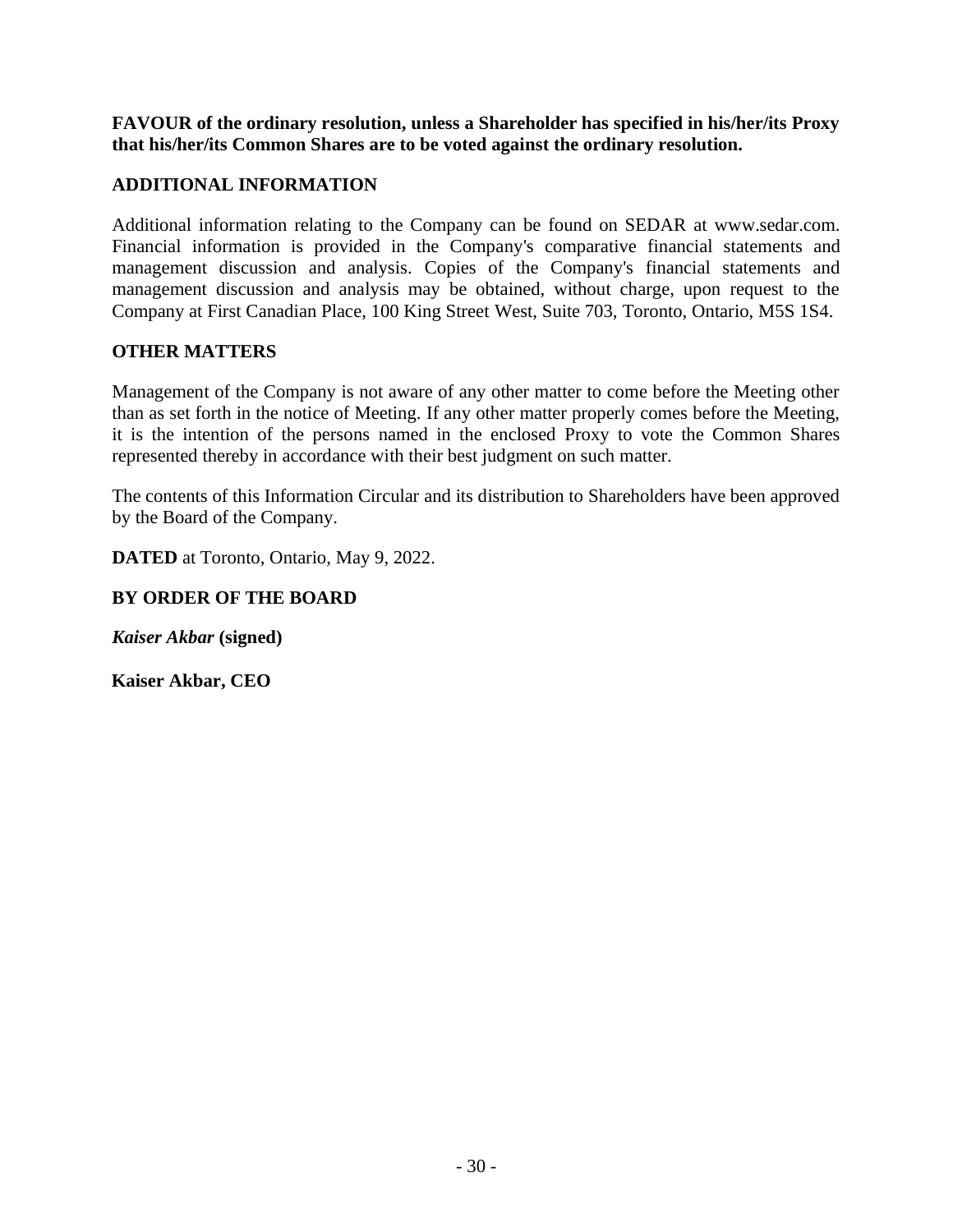**FAVOUR of the ordinary resolution, unless a Shareholder has specified in his/her/its Proxy that his/her/its Common Shares are to be voted against the ordinary resolution.**

## **ADDITIONAL INFORMATION**

Additional information relating to the Company can be found on SEDAR at [www.sedar.com.](http://www.sedar.com/) Financial information is provided in the Company's comparative financial statements and management discussion and analysis. Copies of the Company's financial statements and management discussion and analysis may be obtained, without charge, upon request to the Company at First Canadian Place, 100 King Street West, Suite 703, Toronto, Ontario, M5S 1S4.

## **OTHER MATTERS**

Management of the Company is not aware of any other matter to come before the Meeting other than as set forth in the notice of Meeting. If any other matter properly comes before the Meeting, it is the intention of the persons named in the enclosed Proxy to vote the Common Shares represented thereby in accordance with their best judgment on such matter.

The contents of this Information Circular and its distribution to Shareholders have been approved by the Board of the Company.

**DATED** at Toronto, Ontario, May 9, 2022.

## **BY ORDER OF THE BOARD**

*Kaiser Akbar* **(signed)**

**Kaiser Akbar, CEO**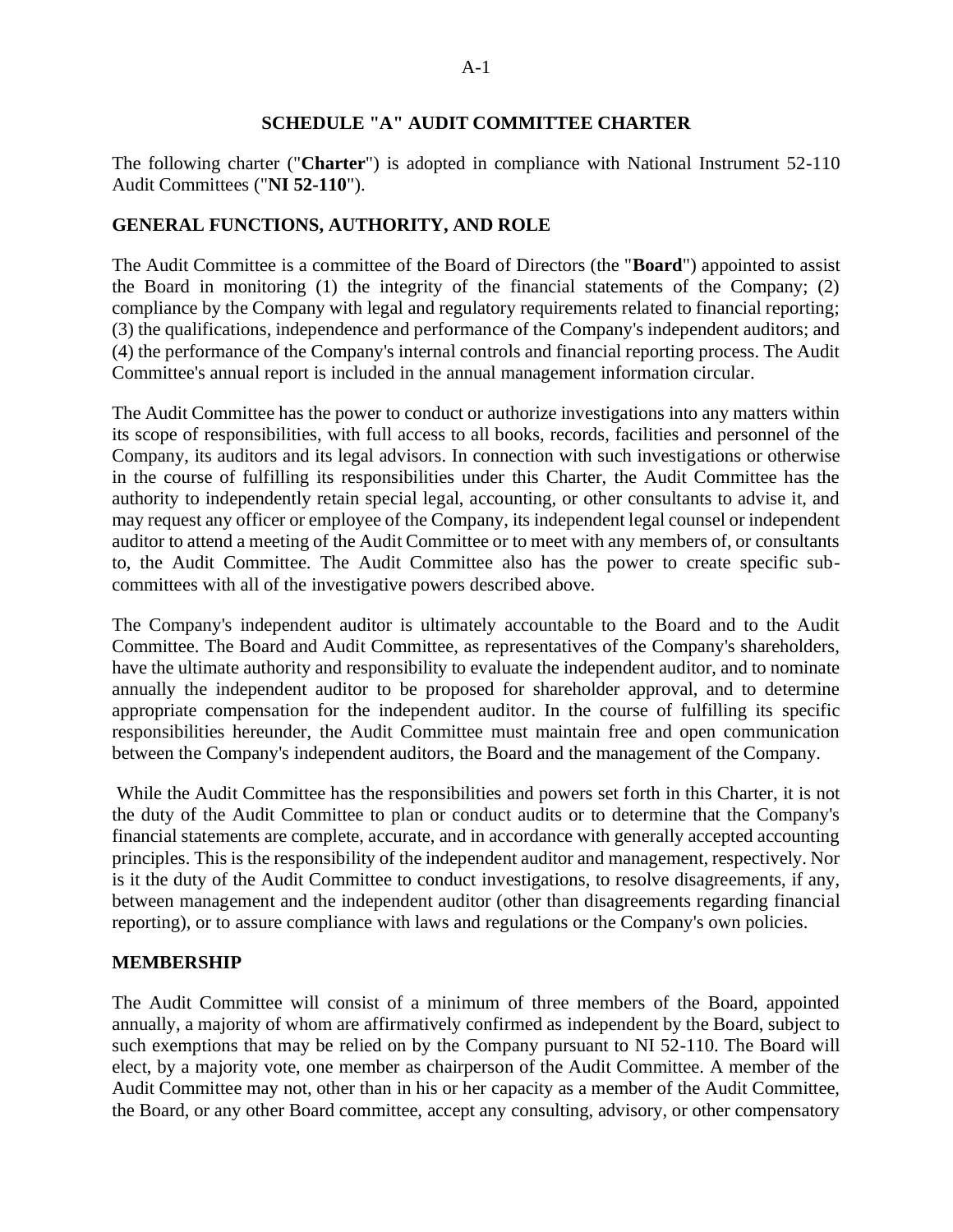#### **SCHEDULE "A" AUDIT COMMITTEE CHARTER**

The following charter ("**Charter**") is adopted in compliance with National Instrument 52-110 Audit Committees ("**NI 52-110**").

#### **GENERAL FUNCTIONS, AUTHORITY, AND ROLE**

The Audit Committee is a committee of the Board of Directors (the "**Board**") appointed to assist the Board in monitoring (1) the integrity of the financial statements of the Company; (2) compliance by the Company with legal and regulatory requirements related to financial reporting; (3) the qualifications, independence and performance of the Company's independent auditors; and (4) the performance of the Company's internal controls and financial reporting process. The Audit Committee's annual report is included in the annual management information circular.

The Audit Committee has the power to conduct or authorize investigations into any matters within its scope of responsibilities, with full access to all books, records, facilities and personnel of the Company, its auditors and its legal advisors. In connection with such investigations or otherwise in the course of fulfilling its responsibilities under this Charter, the Audit Committee has the authority to independently retain special legal, accounting, or other consultants to advise it, and may request any officer or employee of the Company, its independent legal counsel or independent auditor to attend a meeting of the Audit Committee or to meet with any members of, or consultants to, the Audit Committee. The Audit Committee also has the power to create specific subcommittees with all of the investigative powers described above.

The Company's independent auditor is ultimately accountable to the Board and to the Audit Committee. The Board and Audit Committee, as representatives of the Company's shareholders, have the ultimate authority and responsibility to evaluate the independent auditor, and to nominate annually the independent auditor to be proposed for shareholder approval, and to determine appropriate compensation for the independent auditor. In the course of fulfilling its specific responsibilities hereunder, the Audit Committee must maintain free and open communication between the Company's independent auditors, the Board and the management of the Company.

While the Audit Committee has the responsibilities and powers set forth in this Charter, it is not the duty of the Audit Committee to plan or conduct audits or to determine that the Company's financial statements are complete, accurate, and in accordance with generally accepted accounting principles. This is the responsibility of the independent auditor and management, respectively. Nor is it the duty of the Audit Committee to conduct investigations, to resolve disagreements, if any, between management and the independent auditor (other than disagreements regarding financial reporting), or to assure compliance with laws and regulations or the Company's own policies.

#### **MEMBERSHIP**

The Audit Committee will consist of a minimum of three members of the Board, appointed annually, a majority of whom are affirmatively confirmed as independent by the Board, subject to such exemptions that may be relied on by the Company pursuant to NI 52-110. The Board will elect, by a majority vote, one member as chairperson of the Audit Committee. A member of the Audit Committee may not, other than in his or her capacity as a member of the Audit Committee, the Board, or any other Board committee, accept any consulting, advisory, or other compensatory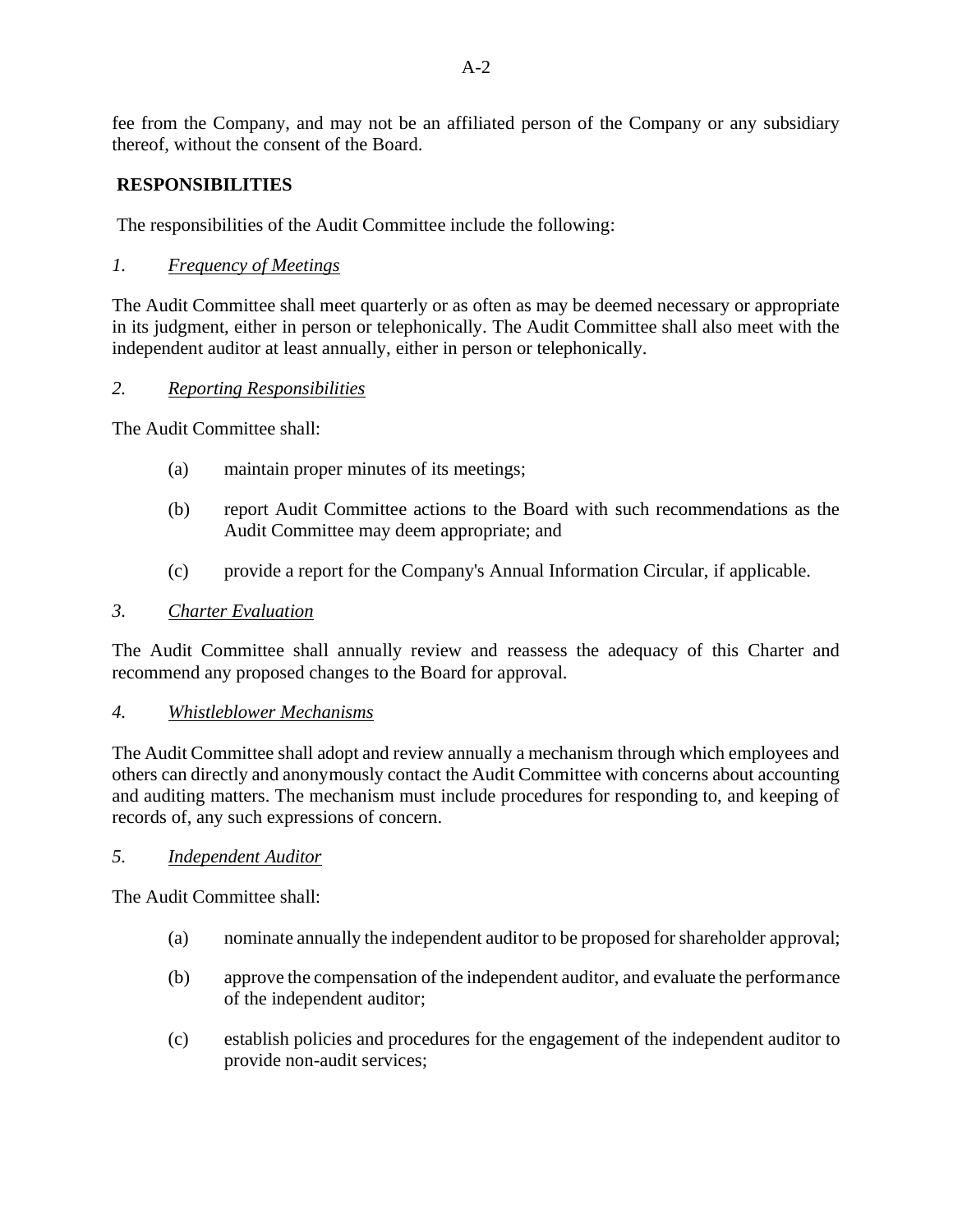fee from the Company, and may not be an affiliated person of the Company or any subsidiary thereof, without the consent of the Board.

## **RESPONSIBILITIES**

The responsibilities of the Audit Committee include the following:

*1. Frequency of Meetings*

The Audit Committee shall meet quarterly or as often as may be deemed necessary or appropriate in its judgment, either in person or telephonically. The Audit Committee shall also meet with the independent auditor at least annually, either in person or telephonically.

#### *2. Reporting Responsibilities*

The Audit Committee shall:

- (a) maintain proper minutes of its meetings;
- (b) report Audit Committee actions to the Board with such recommendations as the Audit Committee may deem appropriate; and
- (c) provide a report for the Company's Annual Information Circular, if applicable.

#### *3. Charter Evaluation*

The Audit Committee shall annually review and reassess the adequacy of this Charter and recommend any proposed changes to the Board for approval.

#### *4. Whistleblower Mechanisms*

The Audit Committee shall adopt and review annually a mechanism through which employees and others can directly and anonymously contact the Audit Committee with concerns about accounting and auditing matters. The mechanism must include procedures for responding to, and keeping of records of, any such expressions of concern.

#### *5. Independent Auditor*

The Audit Committee shall:

- (a) nominate annually the independent auditor to be proposed for shareholder approval;
- (b) approve the compensation of the independent auditor, and evaluate the performance of the independent auditor;
- (c) establish policies and procedures for the engagement of the independent auditor to provide non-audit services;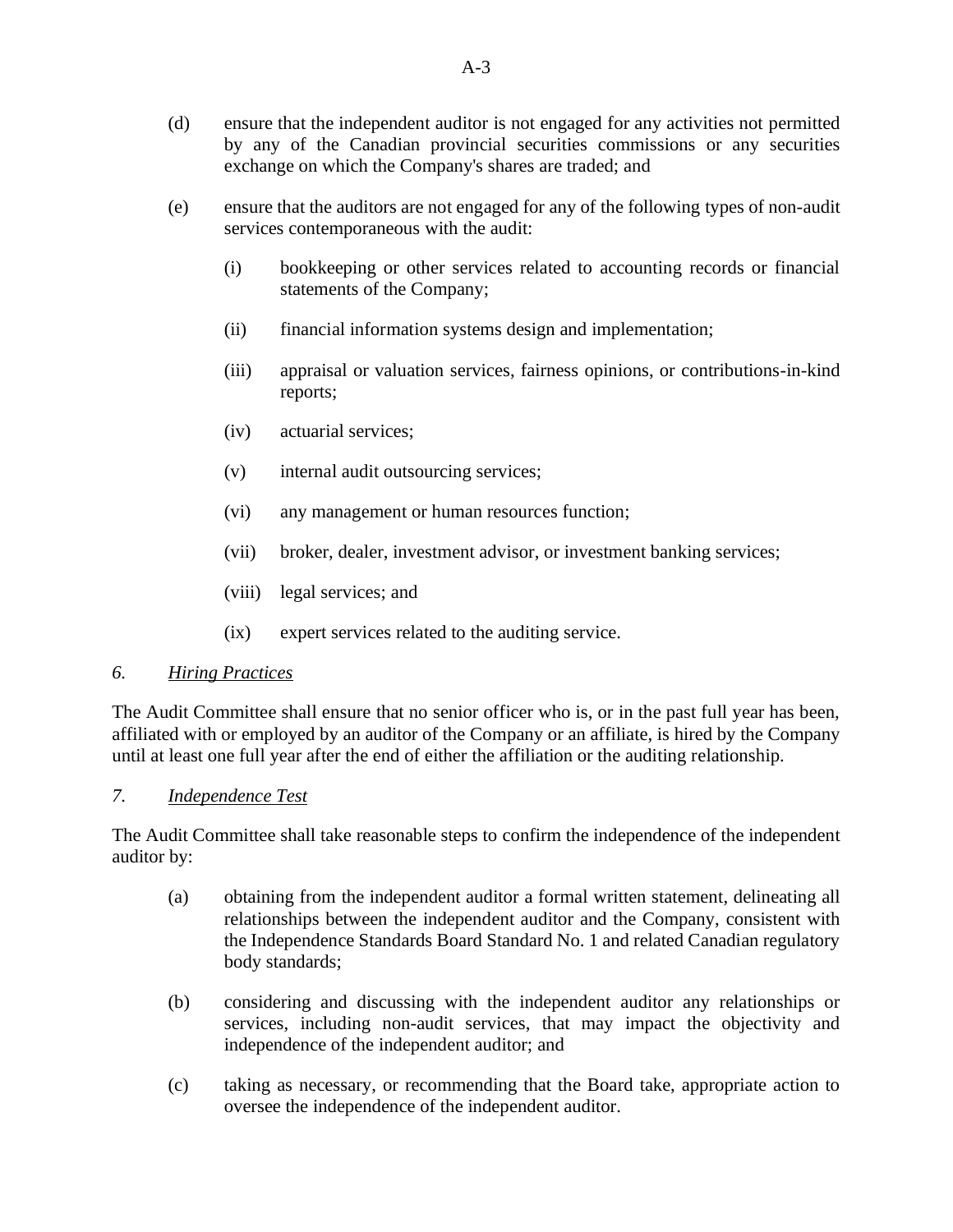- (d) ensure that the independent auditor is not engaged for any activities not permitted by any of the Canadian provincial securities commissions or any securities exchange on which the Company's shares are traded; and
- (e) ensure that the auditors are not engaged for any of the following types of non-audit services contemporaneous with the audit:
	- (i) bookkeeping or other services related to accounting records or financial statements of the Company;
	- (ii) financial information systems design and implementation;
	- (iii) appraisal or valuation services, fairness opinions, or contributions-in-kind reports;
	- (iv) actuarial services;
	- (v) internal audit outsourcing services;
	- (vi) any management or human resources function;
	- (vii) broker, dealer, investment advisor, or investment banking services;
	- (viii) legal services; and
	- (ix) expert services related to the auditing service.

#### *6. Hiring Practices*

The Audit Committee shall ensure that no senior officer who is, or in the past full year has been, affiliated with or employed by an auditor of the Company or an affiliate, is hired by the Company until at least one full year after the end of either the affiliation or the auditing relationship.

#### *7. Independence Test*

The Audit Committee shall take reasonable steps to confirm the independence of the independent auditor by:

- (a) obtaining from the independent auditor a formal written statement, delineating all relationships between the independent auditor and the Company, consistent with the Independence Standards Board Standard No. 1 and related Canadian regulatory body standards;
- (b) considering and discussing with the independent auditor any relationships or services, including non-audit services, that may impact the objectivity and independence of the independent auditor; and
- (c) taking as necessary, or recommending that the Board take, appropriate action to oversee the independence of the independent auditor.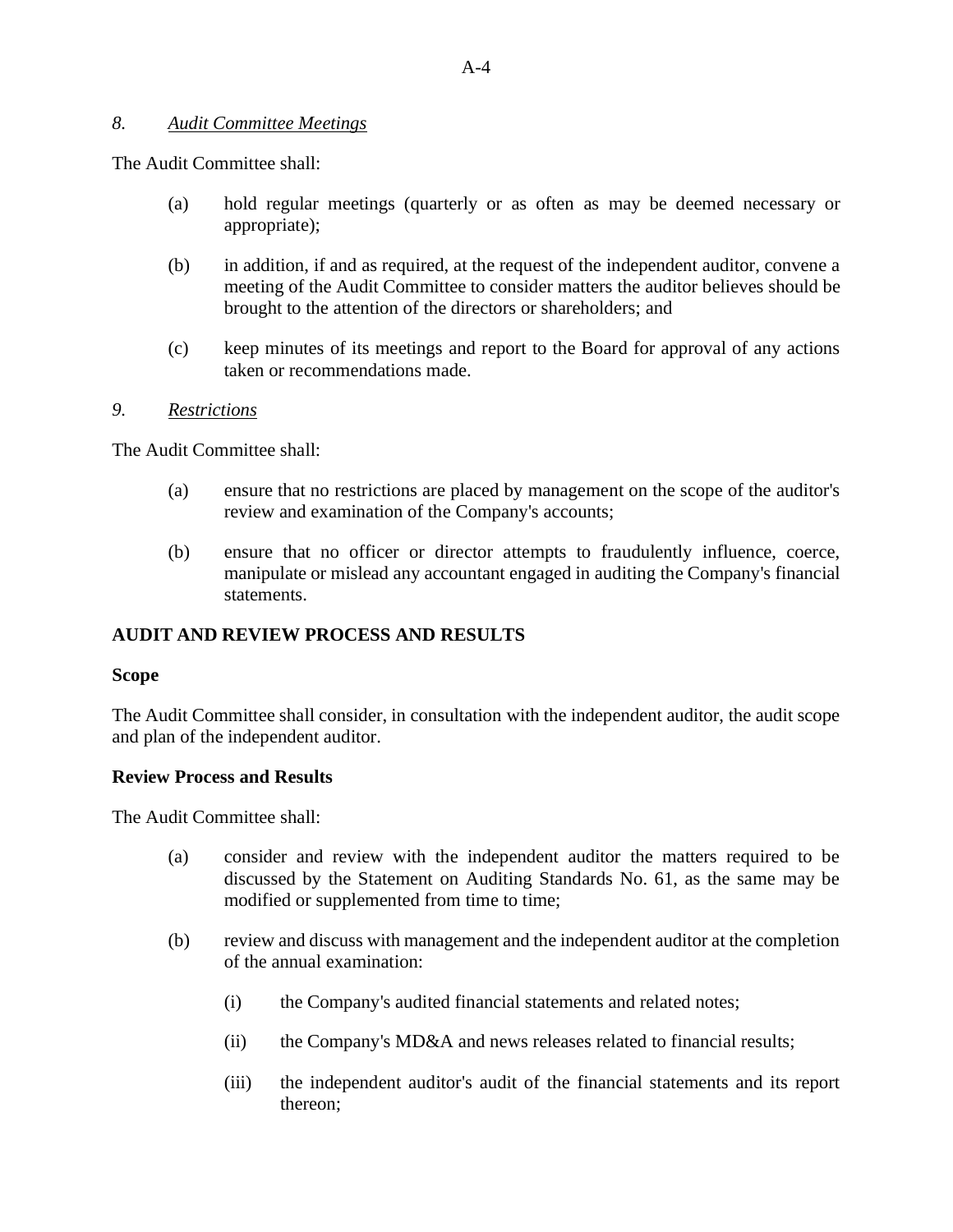#### *8. Audit Committee Meetings*

The Audit Committee shall:

- (a) hold regular meetings (quarterly or as often as may be deemed necessary or appropriate);
- (b) in addition, if and as required, at the request of the independent auditor, convene a meeting of the Audit Committee to consider matters the auditor believes should be brought to the attention of the directors or shareholders; and
- (c) keep minutes of its meetings and report to the Board for approval of any actions taken or recommendations made.

#### *9. Restrictions*

The Audit Committee shall:

- (a) ensure that no restrictions are placed by management on the scope of the auditor's review and examination of the Company's accounts;
- (b) ensure that no officer or director attempts to fraudulently influence, coerce, manipulate or mislead any accountant engaged in auditing the Company's financial statements.

## **AUDIT AND REVIEW PROCESS AND RESULTS**

#### **Scope**

The Audit Committee shall consider, in consultation with the independent auditor, the audit scope and plan of the independent auditor.

#### **Review Process and Results**

The Audit Committee shall:

- (a) consider and review with the independent auditor the matters required to be discussed by the Statement on Auditing Standards No. 61, as the same may be modified or supplemented from time to time;
- (b) review and discuss with management and the independent auditor at the completion of the annual examination:
	- (i) the Company's audited financial statements and related notes;
	- (ii) the Company's MD&A and news releases related to financial results;
	- (iii) the independent auditor's audit of the financial statements and its report thereon;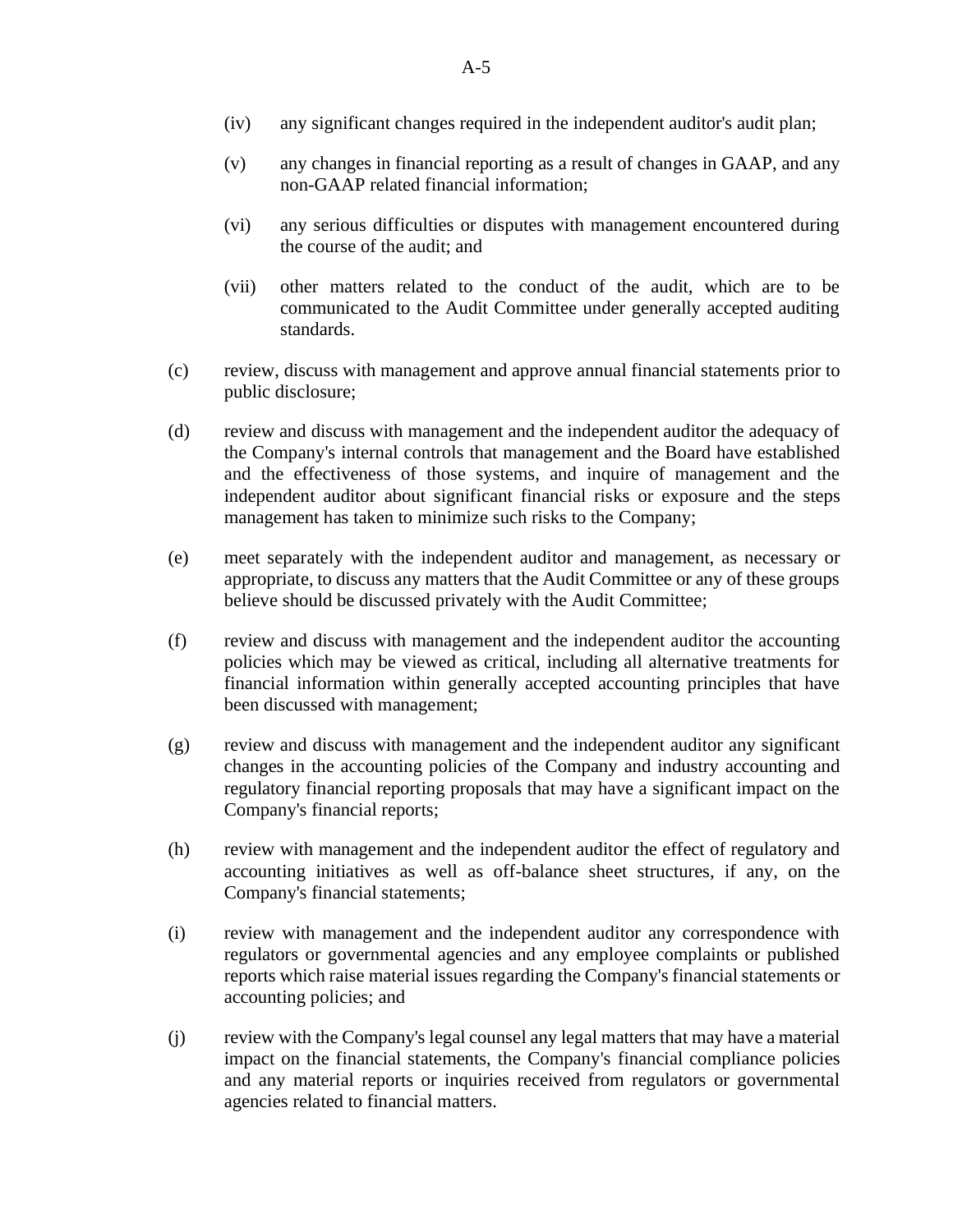- (iv) any significant changes required in the independent auditor's audit plan;
- (v) any changes in financial reporting as a result of changes in GAAP, and any non-GAAP related financial information;
- (vi) any serious difficulties or disputes with management encountered during the course of the audit; and
- (vii) other matters related to the conduct of the audit, which are to be communicated to the Audit Committee under generally accepted auditing standards.
- (c) review, discuss with management and approve annual financial statements prior to public disclosure;
- (d) review and discuss with management and the independent auditor the adequacy of the Company's internal controls that management and the Board have established and the effectiveness of those systems, and inquire of management and the independent auditor about significant financial risks or exposure and the steps management has taken to minimize such risks to the Company;
- (e) meet separately with the independent auditor and management, as necessary or appropriate, to discuss any matters that the Audit Committee or any of these groups believe should be discussed privately with the Audit Committee;
- (f) review and discuss with management and the independent auditor the accounting policies which may be viewed as critical, including all alternative treatments for financial information within generally accepted accounting principles that have been discussed with management;
- (g) review and discuss with management and the independent auditor any significant changes in the accounting policies of the Company and industry accounting and regulatory financial reporting proposals that may have a significant impact on the Company's financial reports;
- (h) review with management and the independent auditor the effect of regulatory and accounting initiatives as well as off-balance sheet structures, if any, on the Company's financial statements;
- (i) review with management and the independent auditor any correspondence with regulators or governmental agencies and any employee complaints or published reports which raise material issues regarding the Company's financial statements or accounting policies; and
- (j) review with the Company's legal counsel any legal matters that may have a material impact on the financial statements, the Company's financial compliance policies and any material reports or inquiries received from regulators or governmental agencies related to financial matters.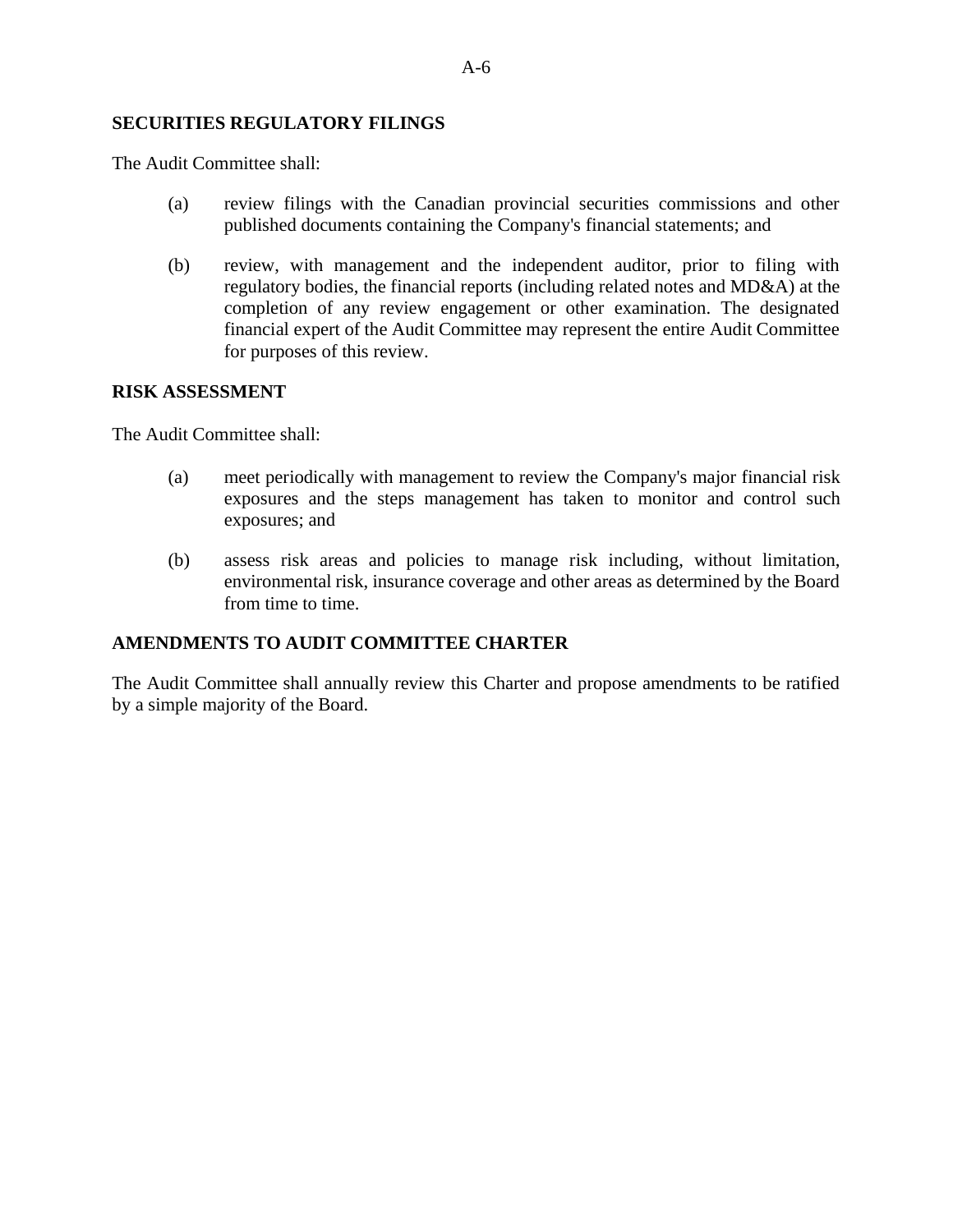#### **SECURITIES REGULATORY FILINGS**

The Audit Committee shall:

- (a) review filings with the Canadian provincial securities commissions and other published documents containing the Company's financial statements; and
- (b) review, with management and the independent auditor, prior to filing with regulatory bodies, the financial reports (including related notes and MD&A) at the completion of any review engagement or other examination. The designated financial expert of the Audit Committee may represent the entire Audit Committee for purposes of this review.

#### **RISK ASSESSMENT**

The Audit Committee shall:

- (a) meet periodically with management to review the Company's major financial risk exposures and the steps management has taken to monitor and control such exposures; and
- (b) assess risk areas and policies to manage risk including, without limitation, environmental risk, insurance coverage and other areas as determined by the Board from time to time.

#### **AMENDMENTS TO AUDIT COMMITTEE CHARTER**

The Audit Committee shall annually review this Charter and propose amendments to be ratified by a simple majority of the Board.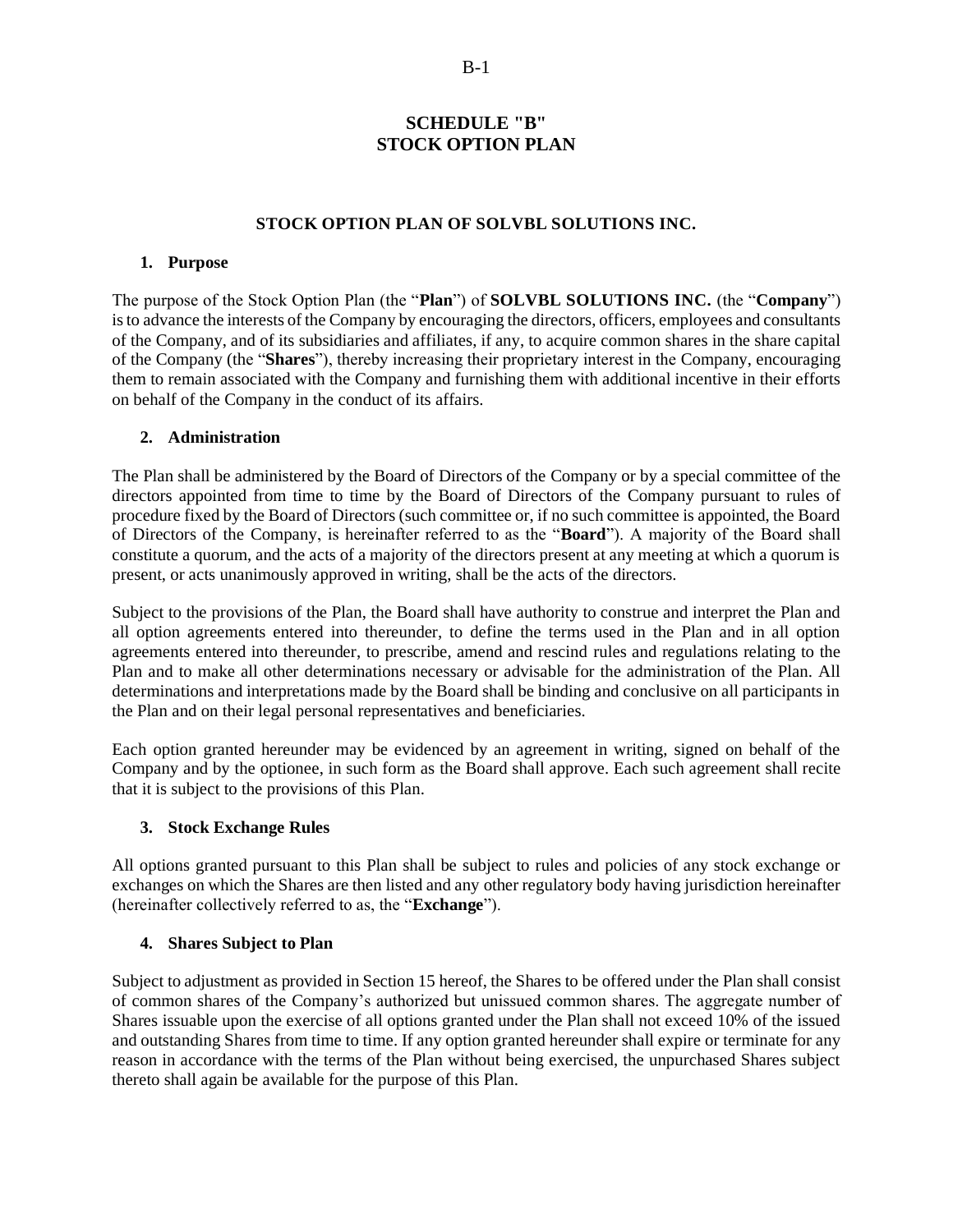#### **SCHEDULE "B" STOCK OPTION PLAN**

#### **STOCK OPTION PLAN OF SOLVBL SOLUTIONS INC.**

#### **1. Purpose**

The purpose of the Stock Option Plan (the "**Plan**") of **SOLVBL SOLUTIONS INC.** (the "**Company**") is to advance the interests of the Company by encouraging the directors, officers, employees and consultants of the Company, and of its subsidiaries and affiliates, if any, to acquire common shares in the share capital of the Company (the "**Shares**"), thereby increasing their proprietary interest in the Company, encouraging them to remain associated with the Company and furnishing them with additional incentive in their efforts on behalf of the Company in the conduct of its affairs.

#### **2. Administration**

The Plan shall be administered by the Board of Directors of the Company or by a special committee of the directors appointed from time to time by the Board of Directors of the Company pursuant to rules of procedure fixed by the Board of Directors (such committee or, if no such committee is appointed, the Board of Directors of the Company, is hereinafter referred to as the "**Board**"). A majority of the Board shall constitute a quorum, and the acts of a majority of the directors present at any meeting at which a quorum is present, or acts unanimously approved in writing, shall be the acts of the directors.

Subject to the provisions of the Plan, the Board shall have authority to construe and interpret the Plan and all option agreements entered into thereunder, to define the terms used in the Plan and in all option agreements entered into thereunder, to prescribe, amend and rescind rules and regulations relating to the Plan and to make all other determinations necessary or advisable for the administration of the Plan. All determinations and interpretations made by the Board shall be binding and conclusive on all participants in the Plan and on their legal personal representatives and beneficiaries.

Each option granted hereunder may be evidenced by an agreement in writing, signed on behalf of the Company and by the optionee, in such form as the Board shall approve. Each such agreement shall recite that it is subject to the provisions of this Plan.

#### **3. Stock Exchange Rules**

All options granted pursuant to this Plan shall be subject to rules and policies of any stock exchange or exchanges on which the Shares are then listed and any other regulatory body having jurisdiction hereinafter (hereinafter collectively referred to as, the "**Exchange**").

#### **4. Shares Subject to Plan**

Subject to adjustment as provided in Section 15 hereof, the Shares to be offered under the Plan shall consist of common shares of the Company's authorized but unissued common shares. The aggregate number of Shares issuable upon the exercise of all options granted under the Plan shall not exceed 10% of the issued and outstanding Shares from time to time. If any option granted hereunder shall expire or terminate for any reason in accordance with the terms of the Plan without being exercised, the unpurchased Shares subject thereto shall again be available for the purpose of this Plan.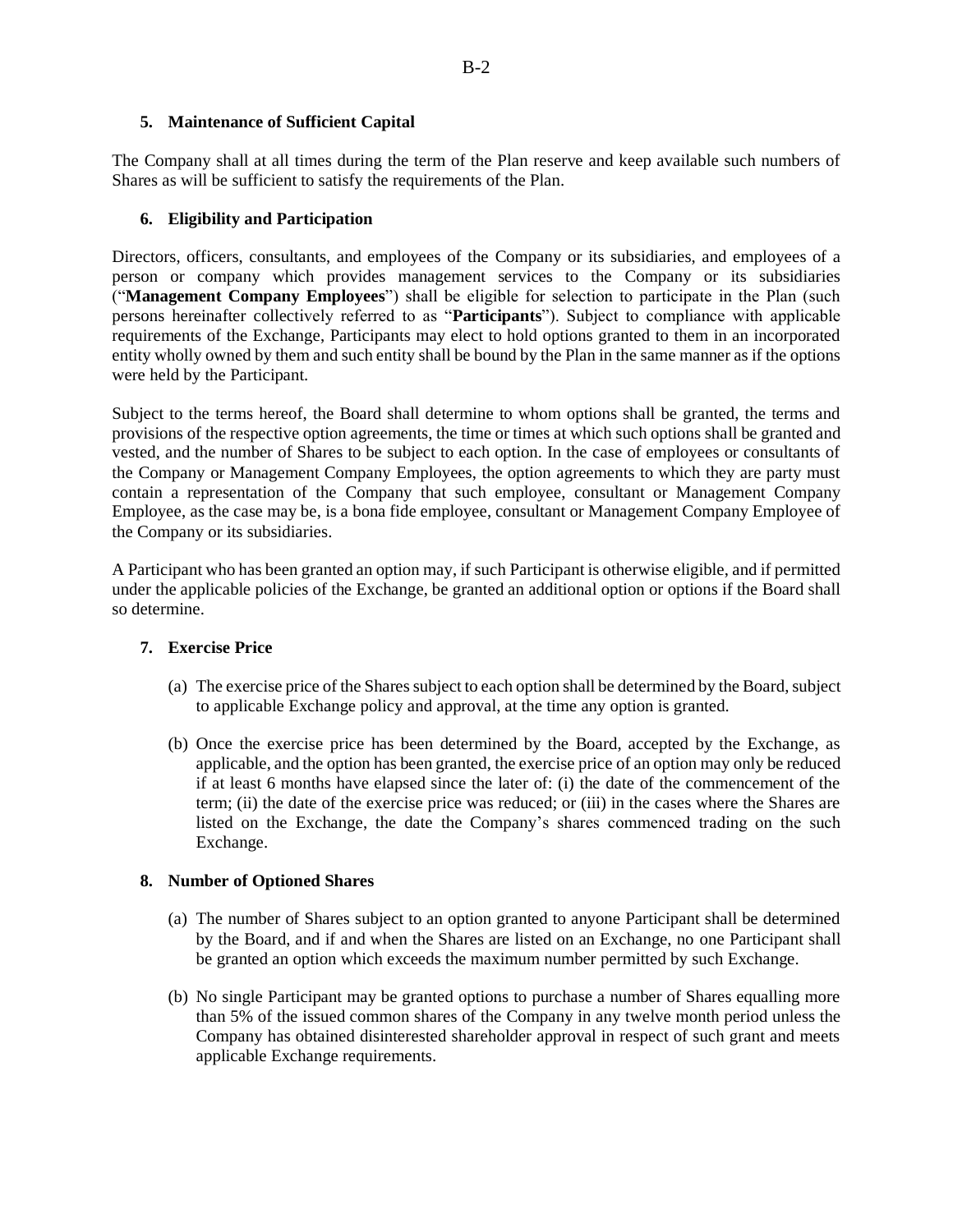#### **5. Maintenance of Sufficient Capital**

The Company shall at all times during the term of the Plan reserve and keep available such numbers of Shares as will be sufficient to satisfy the requirements of the Plan.

#### **6. Eligibility and Participation**

Directors, officers, consultants, and employees of the Company or its subsidiaries, and employees of a person or company which provides management services to the Company or its subsidiaries ("**Management Company Employees**") shall be eligible for selection to participate in the Plan (such persons hereinafter collectively referred to as "**Participants**"). Subject to compliance with applicable requirements of the Exchange, Participants may elect to hold options granted to them in an incorporated entity wholly owned by them and such entity shall be bound by the Plan in the same manner as if the options were held by the Participant.

Subject to the terms hereof, the Board shall determine to whom options shall be granted, the terms and provisions of the respective option agreements, the time or times at which such options shall be granted and vested, and the number of Shares to be subject to each option. In the case of employees or consultants of the Company or Management Company Employees, the option agreements to which they are party must contain a representation of the Company that such employee, consultant or Management Company Employee, as the case may be, is a bona fide employee, consultant or Management Company Employee of the Company or its subsidiaries.

A Participant who has been granted an option may, if such Participant is otherwise eligible, and if permitted under the applicable policies of the Exchange, be granted an additional option or options if the Board shall so determine.

#### **7. Exercise Price**

- (a) The exercise price of the Shares subject to each option shall be determined by the Board, subject to applicable Exchange policy and approval, at the time any option is granted.
- (b) Once the exercise price has been determined by the Board, accepted by the Exchange, as applicable, and the option has been granted, the exercise price of an option may only be reduced if at least 6 months have elapsed since the later of: (i) the date of the commencement of the term; (ii) the date of the exercise price was reduced; or (iii) in the cases where the Shares are listed on the Exchange, the date the Company's shares commenced trading on the such Exchange.

#### **8. Number of Optioned Shares**

- (a) The number of Shares subject to an option granted to anyone Participant shall be determined by the Board, and if and when the Shares are listed on an Exchange, no one Participant shall be granted an option which exceeds the maximum number permitted by such Exchange.
- (b) No single Participant may be granted options to purchase a number of Shares equalling more than 5% of the issued common shares of the Company in any twelve month period unless the Company has obtained disinterested shareholder approval in respect of such grant and meets applicable Exchange requirements.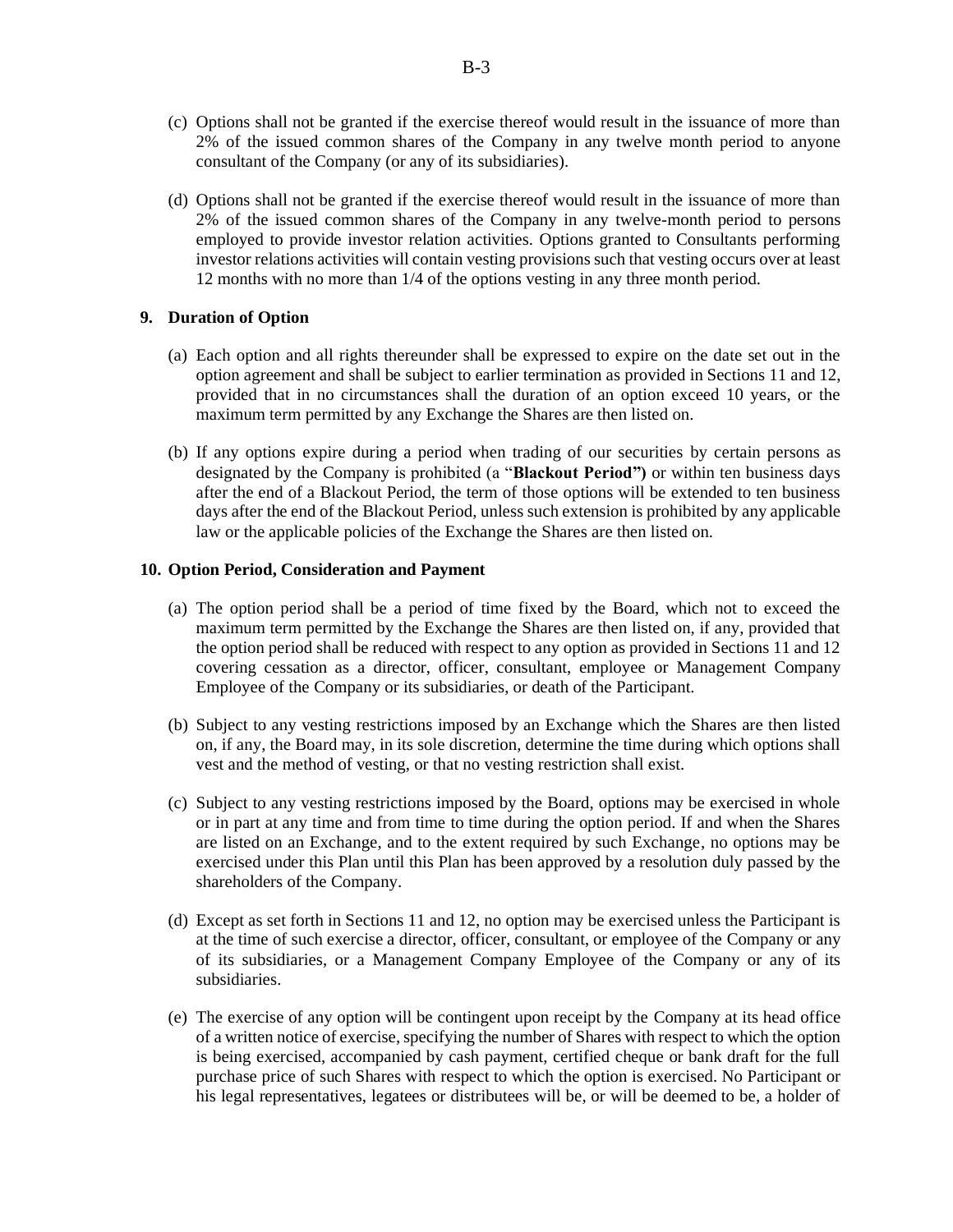- (c) Options shall not be granted if the exercise thereof would result in the issuance of more than 2% of the issued common shares of the Company in any twelve month period to anyone consultant of the Company (or any of its subsidiaries).
- (d) Options shall not be granted if the exercise thereof would result in the issuance of more than 2% of the issued common shares of the Company in any twelve-month period to persons employed to provide investor relation activities. Options granted to Consultants performing investor relations activities will contain vesting provisions such that vesting occurs over at least 12 months with no more than 1/4 of the options vesting in any three month period.

#### **9. Duration of Option**

- (a) Each option and all rights thereunder shall be expressed to expire on the date set out in the option agreement and shall be subject to earlier termination as provided in Sections 11 and 12, provided that in no circumstances shall the duration of an option exceed 10 years, or the maximum term permitted by any Exchange the Shares are then listed on.
- (b) If any options expire during a period when trading of our securities by certain persons as designated by the Company is prohibited (a "**Blackout Period")** or within ten business days after the end of a Blackout Period, the term of those options will be extended to ten business days after the end of the Blackout Period, unless such extension is prohibited by any applicable law or the applicable policies of the Exchange the Shares are then listed on.

#### **10. Option Period, Consideration and Payment**

- (a) The option period shall be a period of time fixed by the Board, which not to exceed the maximum term permitted by the Exchange the Shares are then listed on, if any, provided that the option period shall be reduced with respect to any option as provided in Sections 11 and 12 covering cessation as a director, officer, consultant, employee or Management Company Employee of the Company or its subsidiaries, or death of the Participant.
- (b) Subject to any vesting restrictions imposed by an Exchange which the Shares are then listed on, if any, the Board may, in its sole discretion, determine the time during which options shall vest and the method of vesting, or that no vesting restriction shall exist.
- (c) Subject to any vesting restrictions imposed by the Board, options may be exercised in whole or in part at any time and from time to time during the option period. If and when the Shares are listed on an Exchange, and to the extent required by such Exchange, no options may be exercised under this Plan until this Plan has been approved by a resolution duly passed by the shareholders of the Company.
- (d) Except as set forth in Sections 11 and 12, no option may be exercised unless the Participant is at the time of such exercise a director, officer, consultant, or employee of the Company or any of its subsidiaries, or a Management Company Employee of the Company or any of its subsidiaries.
- (e) The exercise of any option will be contingent upon receipt by the Company at its head office of a written notice of exercise, specifying the number of Shares with respect to which the option is being exercised, accompanied by cash payment, certified cheque or bank draft for the full purchase price of such Shares with respect to which the option is exercised. No Participant or his legal representatives, legatees or distributees will be, or will be deemed to be, a holder of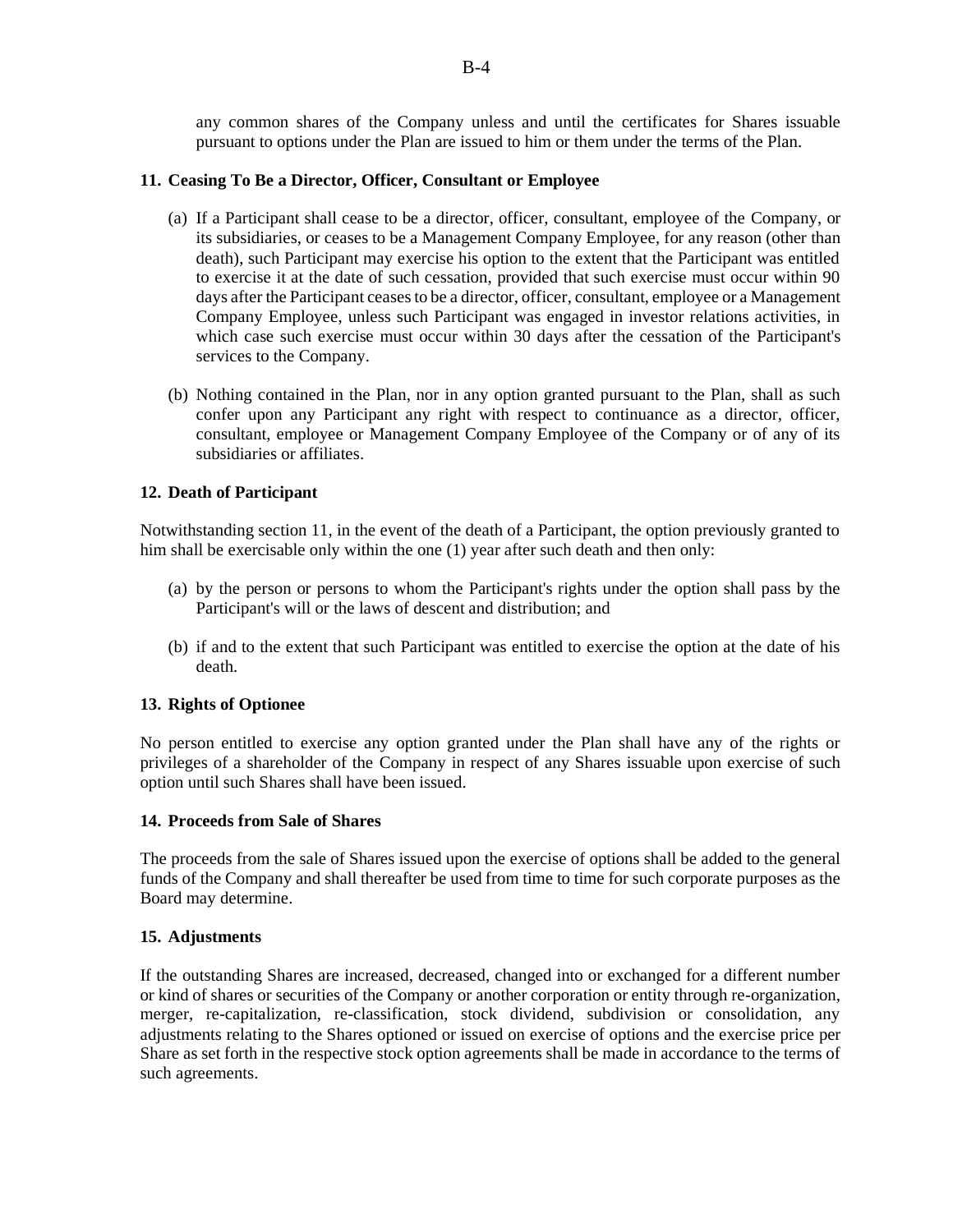any common shares of the Company unless and until the certificates for Shares issuable pursuant to options under the Plan are issued to him or them under the terms of the Plan.

#### **11. Ceasing To Be a Director, Officer, Consultant or Employee**

- (a) If a Participant shall cease to be a director, officer, consultant, employee of the Company, or its subsidiaries, or ceases to be a Management Company Employee, for any reason (other than death), such Participant may exercise his option to the extent that the Participant was entitled to exercise it at the date of such cessation, provided that such exercise must occur within 90 days after the Participant ceases to be a director, officer, consultant, employee or a Management Company Employee, unless such Participant was engaged in investor relations activities, in which case such exercise must occur within 30 days after the cessation of the Participant's services to the Company.
- (b) Nothing contained in the Plan, nor in any option granted pursuant to the Plan, shall as such confer upon any Participant any right with respect to continuance as a director, officer, consultant, employee or Management Company Employee of the Company or of any of its subsidiaries or affiliates.

#### **12. Death of Participant**

Notwithstanding section 11, in the event of the death of a Participant, the option previously granted to him shall be exercisable only within the one (1) year after such death and then only:

- (a) by the person or persons to whom the Participant's rights under the option shall pass by the Participant's will or the laws of descent and distribution; and
- (b) if and to the extent that such Participant was entitled to exercise the option at the date of his death.

#### **13. Rights of Optionee**

No person entitled to exercise any option granted under the Plan shall have any of the rights or privileges of a shareholder of the Company in respect of any Shares issuable upon exercise of such option until such Shares shall have been issued.

#### **14. Proceeds from Sale of Shares**

The proceeds from the sale of Shares issued upon the exercise of options shall be added to the general funds of the Company and shall thereafter be used from time to time for such corporate purposes as the Board may determine.

#### **15. Adjustments**

If the outstanding Shares are increased, decreased, changed into or exchanged for a different number or kind of shares or securities of the Company or another corporation or entity through re-organization, merger, re-capitalization, re-classification, stock dividend, subdivision or consolidation, any adjustments relating to the Shares optioned or issued on exercise of options and the exercise price per Share as set forth in the respective stock option agreements shall be made in accordance to the terms of such agreements.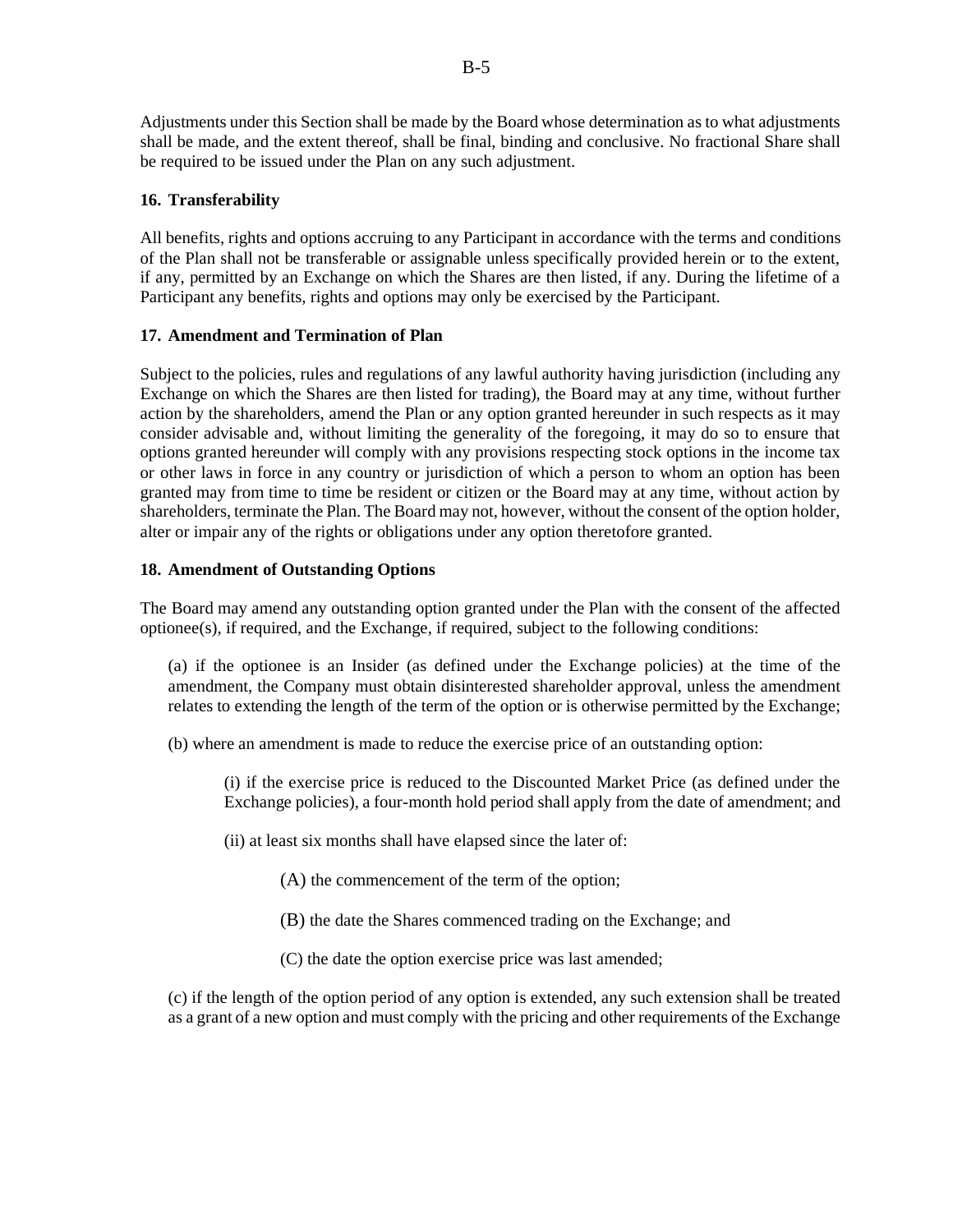Adjustments under this Section shall be made by the Board whose determination as to what adjustments shall be made, and the extent thereof, shall be final, binding and conclusive. No fractional Share shall be required to be issued under the Plan on any such adjustment.

#### **16. Transferability**

All benefits, rights and options accruing to any Participant in accordance with the terms and conditions of the Plan shall not be transferable or assignable unless specifically provided herein or to the extent, if any, permitted by an Exchange on which the Shares are then listed, if any. During the lifetime of a Participant any benefits, rights and options may only be exercised by the Participant.

#### **17. Amendment and Termination of Plan**

Subject to the policies, rules and regulations of any lawful authority having jurisdiction (including any Exchange on which the Shares are then listed for trading), the Board may at any time, without further action by the shareholders, amend the Plan or any option granted hereunder in such respects as it may consider advisable and, without limiting the generality of the foregoing, it may do so to ensure that options granted hereunder will comply with any provisions respecting stock options in the income tax or other laws in force in any country or jurisdiction of which a person to whom an option has been granted may from time to time be resident or citizen or the Board may at any time, without action by shareholders, terminate the Plan. The Board may not, however, without the consent of the option holder, alter or impair any of the rights or obligations under any option theretofore granted.

#### **18. Amendment of Outstanding Options**

The Board may amend any outstanding option granted under the Plan with the consent of the affected optionee(s), if required, and the Exchange, if required, subject to the following conditions:

(a) if the optionee is an Insider (as defined under the Exchange policies) at the time of the amendment, the Company must obtain disinterested shareholder approval, unless the amendment relates to extending the length of the term of the option or is otherwise permitted by the Exchange;

(b) where an amendment is made to reduce the exercise price of an outstanding option:

(i) if the exercise price is reduced to the Discounted Market Price (as defined under the Exchange policies), a four-month hold period shall apply from the date of amendment; and

(ii) at least six months shall have elapsed since the later of:

(A) the commencement of the term of the option;

- (B) the date the Shares commenced trading on the Exchange; and
- (C) the date the option exercise price was last amended;

(c) if the length of the option period of any option is extended, any such extension shall be treated as a grant of a new option and must comply with the pricing and other requirements of the Exchange